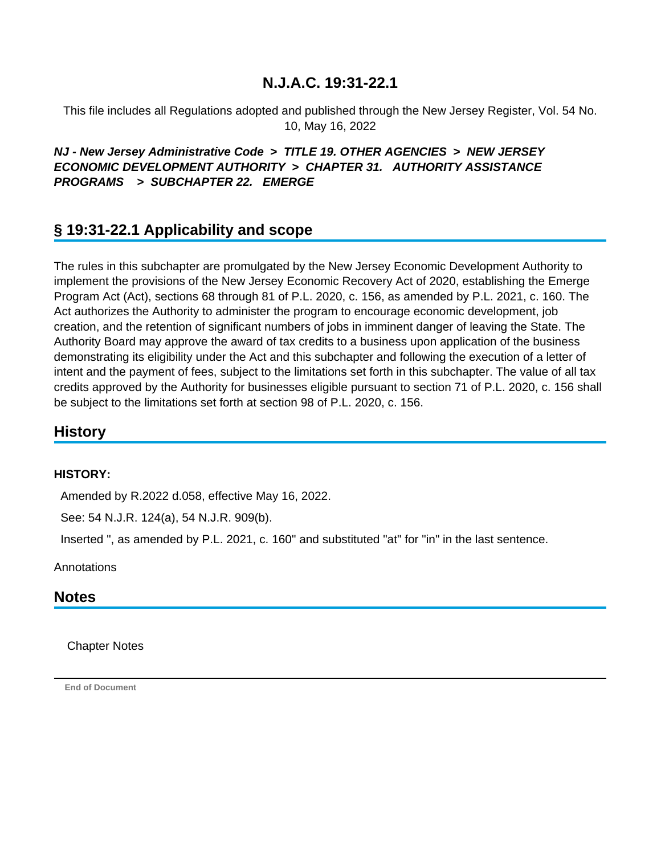This file includes all Regulations adopted and published through the New Jersey Register, Vol. 54 No. 10, May 16, 2022

## **NJ - New Jersey Administrative Code > TITLE 19. OTHER AGENCIES > NEW JERSEY ECONOMIC DEVELOPMENT AUTHORITY > CHAPTER 31. AUTHORITY ASSISTANCE PROGRAMS > SUBCHAPTER 22. EMERGE**

# **§ 19:31-22.1 Applicability and scope**

The rules in this subchapter are promulgated by the New Jersey Economic Development Authority to implement the provisions of the New Jersey Economic Recovery Act of 2020, establishing the Emerge Program Act (Act), sections 68 through 81 of P.L. 2020, c. 156, as amended by P.L. 2021, c. 160. The Act authorizes the Authority to administer the program to encourage economic development, job creation, and the retention of significant numbers of jobs in imminent danger of leaving the State. The Authority Board may approve the award of tax credits to a business upon application of the business demonstrating its eligibility under the Act and this subchapter and following the execution of a letter of intent and the payment of fees, subject to the limitations set forth in this subchapter. The value of all tax credits approved by the Authority for businesses eligible pursuant to section 71 of P.L. 2020, c. 156 shall be subject to the limitations set forth at section 98 of P.L. 2020, c. 156.

## **History**

#### **HISTORY:**

Amended by R.2022 d.058, effective May 16, 2022.

See: 54 N.J.R. 124(a), 54 N.J.R. 909(b).

Inserted ", as amended by P.L. 2021, c. 160" and substituted "at" for "in" in the last sentence.

**Annotations** 

## **Notes**

Chapter Notes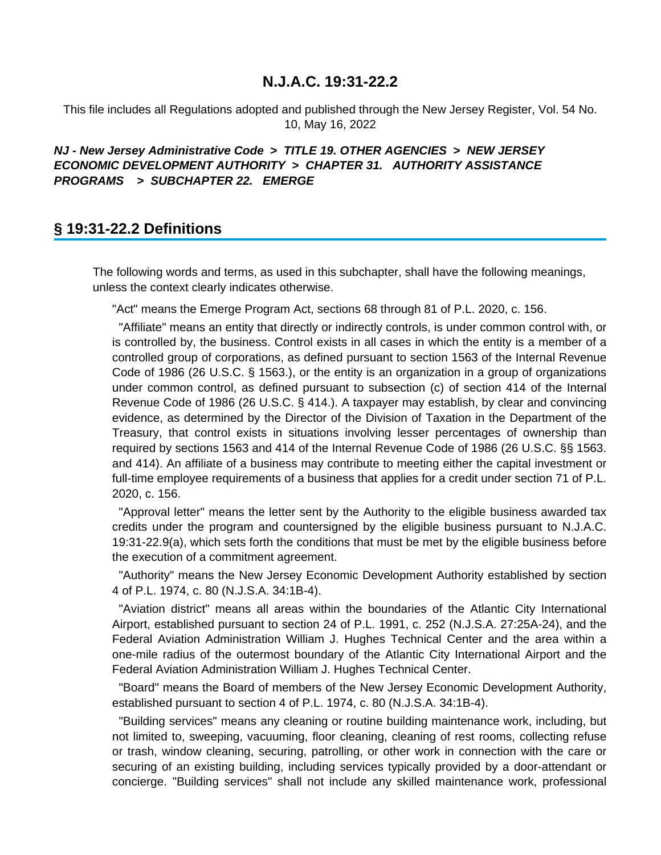This file includes all Regulations adopted and published through the New Jersey Register, Vol. 54 No. 10, May 16, 2022

### **NJ - New Jersey Administrative Code > TITLE 19. OTHER AGENCIES > NEW JERSEY ECONOMIC DEVELOPMENT AUTHORITY > CHAPTER 31. AUTHORITY ASSISTANCE PROGRAMS > SUBCHAPTER 22. EMERGE**

## **§ 19:31-22.2 Definitions**

The following words and terms, as used in this subchapter, shall have the following meanings, unless the context clearly indicates otherwise.

"Act" means the Emerge Program Act, sections 68 through 81 of P.L. 2020, c. 156.

 "Affiliate" means an entity that directly or indirectly controls, is under common control with, or is controlled by, the business. Control exists in all cases in which the entity is a member of a controlled group of corporations, as defined pursuant to section 1563 of the Internal Revenue Code of 1986 (26 U.S.C. § 1563.), or the entity is an organization in a group of organizations under common control, as defined pursuant to subsection (c) of section 414 of the Internal Revenue Code of 1986 (26 U.S.C. § 414.). A taxpayer may establish, by clear and convincing evidence, as determined by the Director of the Division of Taxation in the Department of the Treasury, that control exists in situations involving lesser percentages of ownership than required by sections 1563 and 414 of the Internal Revenue Code of 1986 (26 U.S.C. §§ 1563. and 414). An affiliate of a business may contribute to meeting either the capital investment or full-time employee requirements of a business that applies for a credit under section 71 of P.L. 2020, c. 156.

 "Approval letter" means the letter sent by the Authority to the eligible business awarded tax credits under the program and countersigned by the eligible business pursuant to N.J.A.C. 19:31-22.9(a), which sets forth the conditions that must be met by the eligible business before the execution of a commitment agreement.

 "Authority" means the New Jersey Economic Development Authority established by section 4 of P.L. 1974, c. 80 (N.J.S.A. 34:1B-4).

 "Aviation district" means all areas within the boundaries of the Atlantic City International Airport, established pursuant to section 24 of P.L. 1991, c. 252 (N.J.S.A. 27:25A-24), and the Federal Aviation Administration William J. Hughes Technical Center and the area within a one-mile radius of the outermost boundary of the Atlantic City International Airport and the Federal Aviation Administration William J. Hughes Technical Center.

 "Board" means the Board of members of the New Jersey Economic Development Authority, established pursuant to section 4 of P.L. 1974, c. 80 (N.J.S.A. 34:1B-4).

 "Building services" means any cleaning or routine building maintenance work, including, but not limited to, sweeping, vacuuming, floor cleaning, cleaning of rest rooms, collecting refuse or trash, window cleaning, securing, patrolling, or other work in connection with the care or securing of an existing building, including services typically provided by a door-attendant or concierge. "Building services" shall not include any skilled maintenance work, professional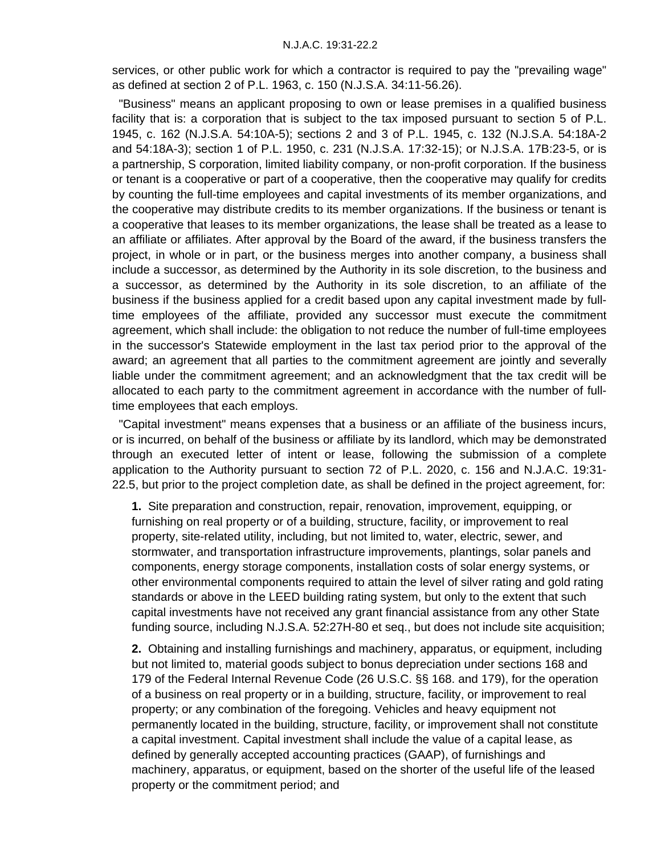services, or other public work for which a contractor is required to pay the "prevailing wage" as defined at section 2 of P.L. 1963, c. 150 (N.J.S.A. 34:11-56.26).

 "Business" means an applicant proposing to own or lease premises in a qualified business facility that is: a corporation that is subject to the tax imposed pursuant to section 5 of P.L. 1945, c. 162 (N.J.S.A. 54:10A-5); sections 2 and 3 of P.L. 1945, c. 132 (N.J.S.A. 54:18A-2 and 54:18A-3); section 1 of P.L. 1950, c. 231 (N.J.S.A. 17:32-15); or N.J.S.A. 17B:23-5, or is a partnership, S corporation, limited liability company, or non-profit corporation. If the business or tenant is a cooperative or part of a cooperative, then the cooperative may qualify for credits by counting the full-time employees and capital investments of its member organizations, and the cooperative may distribute credits to its member organizations. If the business or tenant is a cooperative that leases to its member organizations, the lease shall be treated as a lease to an affiliate or affiliates. After approval by the Board of the award, if the business transfers the project, in whole or in part, or the business merges into another company, a business shall include a successor, as determined by the Authority in its sole discretion, to the business and a successor, as determined by the Authority in its sole discretion, to an affiliate of the business if the business applied for a credit based upon any capital investment made by fulltime employees of the affiliate, provided any successor must execute the commitment agreement, which shall include: the obligation to not reduce the number of full-time employees in the successor's Statewide employment in the last tax period prior to the approval of the award; an agreement that all parties to the commitment agreement are jointly and severally liable under the commitment agreement; and an acknowledgment that the tax credit will be allocated to each party to the commitment agreement in accordance with the number of fulltime employees that each employs.

 "Capital investment" means expenses that a business or an affiliate of the business incurs, or is incurred, on behalf of the business or affiliate by its landlord, which may be demonstrated through an executed letter of intent or lease, following the submission of a complete application to the Authority pursuant to section 72 of P.L. 2020, c. 156 and N.J.A.C. 19:31- 22.5, but prior to the project completion date, as shall be defined in the project agreement, for:

**1.** Site preparation and construction, repair, renovation, improvement, equipping, or furnishing on real property or of a building, structure, facility, or improvement to real property, site-related utility, including, but not limited to, water, electric, sewer, and stormwater, and transportation infrastructure improvements, plantings, solar panels and components, energy storage components, installation costs of solar energy systems, or other environmental components required to attain the level of silver rating and gold rating standards or above in the LEED building rating system, but only to the extent that such capital investments have not received any grant financial assistance from any other State funding source, including N.J.S.A. 52:27H-80 et seq., but does not include site acquisition;

**2.** Obtaining and installing furnishings and machinery, apparatus, or equipment, including but not limited to, material goods subject to bonus depreciation under sections 168 and 179 of the Federal Internal Revenue Code (26 U.S.C. §§ 168. and 179), for the operation of a business on real property or in a building, structure, facility, or improvement to real property; or any combination of the foregoing. Vehicles and heavy equipment not permanently located in the building, structure, facility, or improvement shall not constitute a capital investment. Capital investment shall include the value of a capital lease, as defined by generally accepted accounting practices (GAAP), of furnishings and machinery, apparatus, or equipment, based on the shorter of the useful life of the leased property or the commitment period; and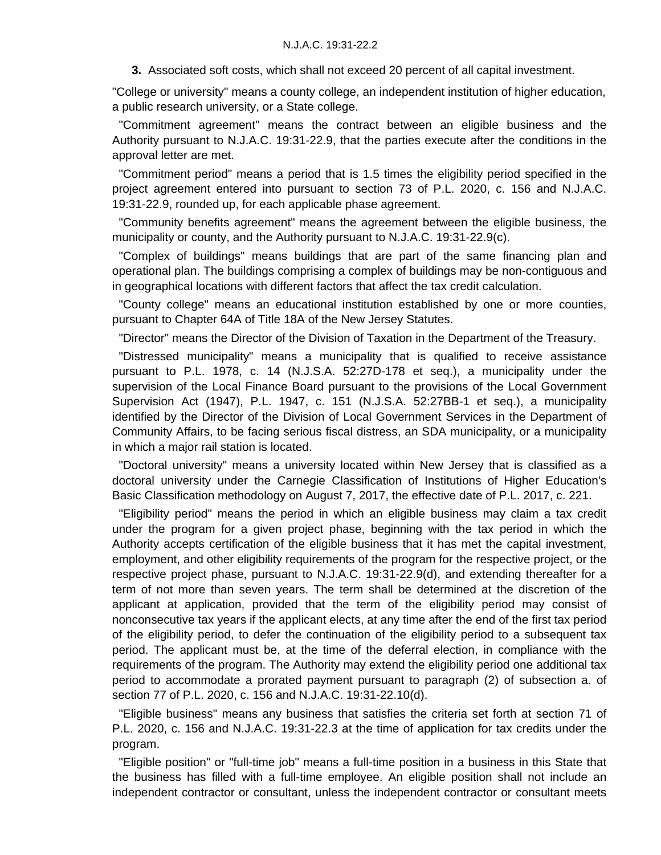**3.** Associated soft costs, which shall not exceed 20 percent of all capital investment.

"College or university" means a county college, an independent institution of higher education, a public research university, or a State college.

 "Commitment agreement" means the contract between an eligible business and the Authority pursuant to N.J.A.C. 19:31-22.9, that the parties execute after the conditions in the approval letter are met.

 "Commitment period" means a period that is 1.5 times the eligibility period specified in the project agreement entered into pursuant to section 73 of P.L. 2020, c. 156 and N.J.A.C. 19:31-22.9, rounded up, for each applicable phase agreement.

 "Community benefits agreement" means the agreement between the eligible business, the municipality or county, and the Authority pursuant to N.J.A.C. 19:31-22.9(c).

 "Complex of buildings" means buildings that are part of the same financing plan and operational plan. The buildings comprising a complex of buildings may be non-contiguous and in geographical locations with different factors that affect the tax credit calculation.

 "County college" means an educational institution established by one or more counties, pursuant to Chapter 64A of Title 18A of the New Jersey Statutes.

"Director" means the Director of the Division of Taxation in the Department of the Treasury.

 "Distressed municipality" means a municipality that is qualified to receive assistance pursuant to P.L. 1978, c. 14 (N.J.S.A. 52:27D-178 et seq.), a municipality under the supervision of the Local Finance Board pursuant to the provisions of the Local Government Supervision Act (1947), P.L. 1947, c. 151 (N.J.S.A. 52:27BB-1 et seq.), a municipality identified by the Director of the Division of Local Government Services in the Department of Community Affairs, to be facing serious fiscal distress, an SDA municipality, or a municipality in which a major rail station is located.

 "Doctoral university" means a university located within New Jersey that is classified as a doctoral university under the Carnegie Classification of Institutions of Higher Education's Basic Classification methodology on August 7, 2017, the effective date of P.L. 2017, c. 221.

 "Eligibility period" means the period in which an eligible business may claim a tax credit under the program for a given project phase, beginning with the tax period in which the Authority accepts certification of the eligible business that it has met the capital investment, employment, and other eligibility requirements of the program for the respective project, or the respective project phase, pursuant to N.J.A.C. 19:31-22.9(d), and extending thereafter for a term of not more than seven years. The term shall be determined at the discretion of the applicant at application, provided that the term of the eligibility period may consist of nonconsecutive tax years if the applicant elects, at any time after the end of the first tax period of the eligibility period, to defer the continuation of the eligibility period to a subsequent tax period. The applicant must be, at the time of the deferral election, in compliance with the requirements of the program. The Authority may extend the eligibility period one additional tax period to accommodate a prorated payment pursuant to paragraph (2) of subsection a. of section 77 of P.L. 2020, c. 156 and N.J.A.C. 19:31-22.10(d).

 "Eligible business" means any business that satisfies the criteria set forth at section 71 of P.L. 2020, c. 156 and N.J.A.C. 19:31-22.3 at the time of application for tax credits under the program.

 "Eligible position" or "full-time job" means a full-time position in a business in this State that the business has filled with a full-time employee. An eligible position shall not include an independent contractor or consultant, unless the independent contractor or consultant meets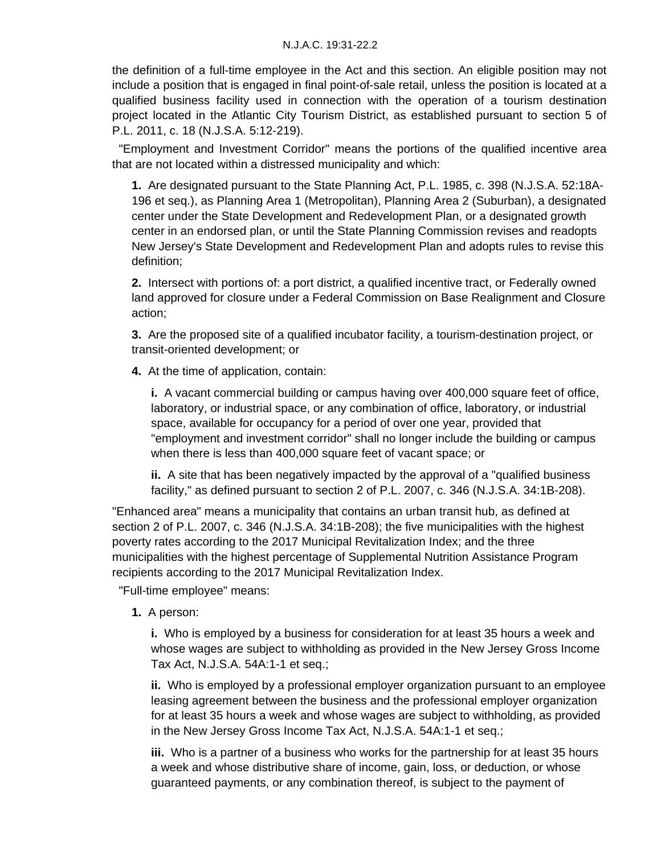the definition of a full-time employee in the Act and this section. An eligible position may not include a position that is engaged in final point-of-sale retail, unless the position is located at a qualified business facility used in connection with the operation of a tourism destination project located in the Atlantic City Tourism District, as established pursuant to section 5 of P.L. 2011, c. 18 (N.J.S.A. 5:12-219).

 "Employment and Investment Corridor" means the portions of the qualified incentive area that are not located within a distressed municipality and which:

**1.** Are designated pursuant to the State Planning Act, P.L. 1985, c. 398 (N.J.S.A. 52:18A-196 et seq.), as Planning Area 1 (Metropolitan), Planning Area 2 (Suburban), a designated center under the State Development and Redevelopment Plan, or a designated growth center in an endorsed plan, or until the State Planning Commission revises and readopts New Jersey's State Development and Redevelopment Plan and adopts rules to revise this definition;

**2.** Intersect with portions of: a port district, a qualified incentive tract, or Federally owned land approved for closure under a Federal Commission on Base Realignment and Closure action;

**3.** Are the proposed site of a qualified incubator facility, a tourism-destination project, or transit-oriented development; or

**4.** At the time of application, contain:

**i.** A vacant commercial building or campus having over 400,000 square feet of office, laboratory, or industrial space, or any combination of office, laboratory, or industrial space, available for occupancy for a period of over one year, provided that "employment and investment corridor" shall no longer include the building or campus when there is less than 400,000 square feet of vacant space; or

**ii.** A site that has been negatively impacted by the approval of a "qualified business facility," as defined pursuant to section 2 of P.L. 2007, c. 346 (N.J.S.A. 34:1B-208).

"Enhanced area" means a municipality that contains an urban transit hub, as defined at section 2 of P.L. 2007, c. 346 (N.J.S.A. 34:1B-208); the five municipalities with the highest poverty rates according to the 2017 Municipal Revitalization Index; and the three municipalities with the highest percentage of Supplemental Nutrition Assistance Program recipients according to the 2017 Municipal Revitalization Index.

"Full-time employee" means:

**1.** A person:

**i.** Who is employed by a business for consideration for at least 35 hours a week and whose wages are subject to withholding as provided in the New Jersey Gross Income Tax Act, N.J.S.A. 54A:1-1 et seq.;

**ii.** Who is employed by a professional employer organization pursuant to an employee leasing agreement between the business and the professional employer organization for at least 35 hours a week and whose wages are subject to withholding, as provided in the New Jersey Gross Income Tax Act, N.J.S.A. 54A:1-1 et seq.;

**iii.** Who is a partner of a business who works for the partnership for at least 35 hours a week and whose distributive share of income, gain, loss, or deduction, or whose guaranteed payments, or any combination thereof, is subject to the payment of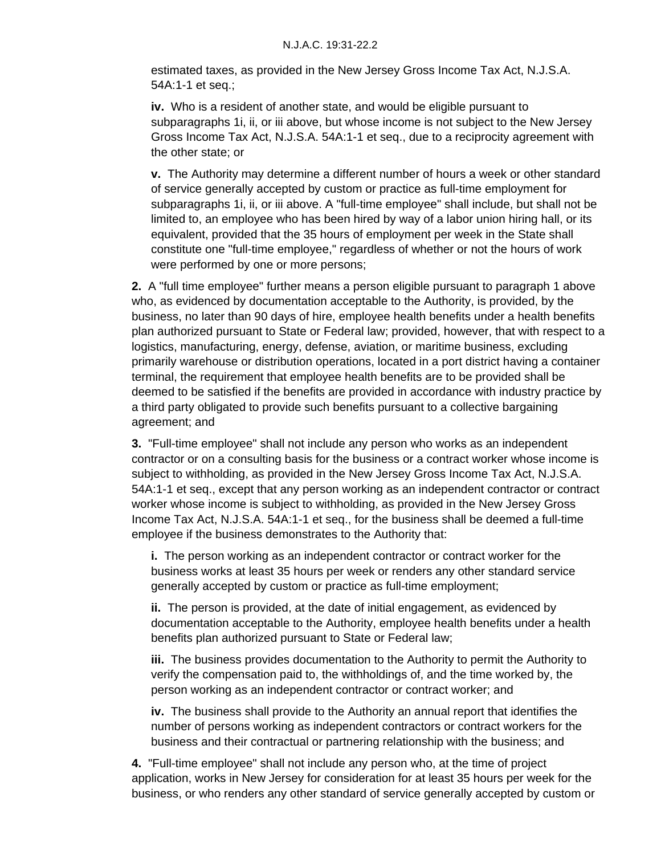estimated taxes, as provided in the New Jersey Gross Income Tax Act, N.J.S.A. 54A:1-1 et seq.;

**iv.** Who is a resident of another state, and would be eligible pursuant to subparagraphs 1i, ii, or iii above, but whose income is not subject to the New Jersey Gross Income Tax Act, N.J.S.A. 54A:1-1 et seq., due to a reciprocity agreement with the other state; or

**v.** The Authority may determine a different number of hours a week or other standard of service generally accepted by custom or practice as full-time employment for subparagraphs 1i, ii, or iii above. A "full-time employee" shall include, but shall not be limited to, an employee who has been hired by way of a labor union hiring hall, or its equivalent, provided that the 35 hours of employment per week in the State shall constitute one "full-time employee," regardless of whether or not the hours of work were performed by one or more persons;

**2.** A "full time employee" further means a person eligible pursuant to paragraph 1 above who, as evidenced by documentation acceptable to the Authority, is provided, by the business, no later than 90 days of hire, employee health benefits under a health benefits plan authorized pursuant to State or Federal law; provided, however, that with respect to a logistics, manufacturing, energy, defense, aviation, or maritime business, excluding primarily warehouse or distribution operations, located in a port district having a container terminal, the requirement that employee health benefits are to be provided shall be deemed to be satisfied if the benefits are provided in accordance with industry practice by a third party obligated to provide such benefits pursuant to a collective bargaining agreement; and

**3.** "Full-time employee" shall not include any person who works as an independent contractor or on a consulting basis for the business or a contract worker whose income is subject to withholding, as provided in the New Jersey Gross Income Tax Act, N.J.S.A. 54A:1-1 et seq., except that any person working as an independent contractor or contract worker whose income is subject to withholding, as provided in the New Jersey Gross Income Tax Act, N.J.S.A. 54A:1-1 et seq., for the business shall be deemed a full-time employee if the business demonstrates to the Authority that:

**i.** The person working as an independent contractor or contract worker for the business works at least 35 hours per week or renders any other standard service generally accepted by custom or practice as full-time employment;

**ii.** The person is provided, at the date of initial engagement, as evidenced by documentation acceptable to the Authority, employee health benefits under a health benefits plan authorized pursuant to State or Federal law;

**iii.** The business provides documentation to the Authority to permit the Authority to verify the compensation paid to, the withholdings of, and the time worked by, the person working as an independent contractor or contract worker; and

**iv.** The business shall provide to the Authority an annual report that identifies the number of persons working as independent contractors or contract workers for the business and their contractual or partnering relationship with the business; and

**4.** "Full-time employee" shall not include any person who, at the time of project application, works in New Jersey for consideration for at least 35 hours per week for the business, or who renders any other standard of service generally accepted by custom or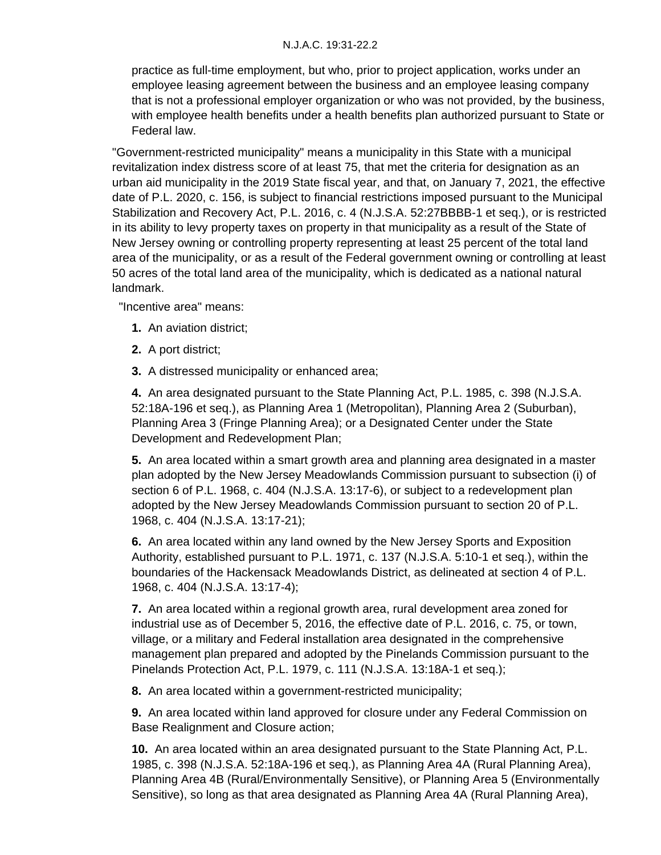practice as full-time employment, but who, prior to project application, works under an employee leasing agreement between the business and an employee leasing company that is not a professional employer organization or who was not provided, by the business, with employee health benefits under a health benefits plan authorized pursuant to State or Federal law.

"Government-restricted municipality" means a municipality in this State with a municipal revitalization index distress score of at least 75, that met the criteria for designation as an urban aid municipality in the 2019 State fiscal year, and that, on January 7, 2021, the effective date of P.L. 2020, c. 156, is subject to financial restrictions imposed pursuant to the Municipal Stabilization and Recovery Act, P.L. 2016, c. 4 (N.J.S.A. 52:27BBBB-1 et seq.), or is restricted in its ability to levy property taxes on property in that municipality as a result of the State of New Jersey owning or controlling property representing at least 25 percent of the total land area of the municipality, or as a result of the Federal government owning or controlling at least 50 acres of the total land area of the municipality, which is dedicated as a national natural landmark.

"Incentive area" means:

- **1.** An aviation district;
- **2.** A port district;
- **3.** A distressed municipality or enhanced area;

**4.** An area designated pursuant to the State Planning Act, P.L. 1985, c. 398 (N.J.S.A. 52:18A-196 et seq.), as Planning Area 1 (Metropolitan), Planning Area 2 (Suburban), Planning Area 3 (Fringe Planning Area); or a Designated Center under the State Development and Redevelopment Plan;

**5.** An area located within a smart growth area and planning area designated in a master plan adopted by the New Jersey Meadowlands Commission pursuant to subsection (i) of section 6 of P.L. 1968, c. 404 (N.J.S.A. 13:17-6), or subject to a redevelopment plan adopted by the New Jersey Meadowlands Commission pursuant to section 20 of P.L. 1968, c. 404 (N.J.S.A. 13:17-21);

**6.** An area located within any land owned by the New Jersey Sports and Exposition Authority, established pursuant to P.L. 1971, c. 137 (N.J.S.A. 5:10-1 et seq.), within the boundaries of the Hackensack Meadowlands District, as delineated at section 4 of P.L. 1968, c. 404 (N.J.S.A. 13:17-4);

**7.** An area located within a regional growth area, rural development area zoned for industrial use as of December 5, 2016, the effective date of P.L. 2016, c. 75, or town, village, or a military and Federal installation area designated in the comprehensive management plan prepared and adopted by the Pinelands Commission pursuant to the Pinelands Protection Act, P.L. 1979, c. 111 (N.J.S.A. 13:18A-1 et seq.);

**8.** An area located within a government-restricted municipality;

**9.** An area located within land approved for closure under any Federal Commission on Base Realignment and Closure action;

**10.** An area located within an area designated pursuant to the State Planning Act, P.L. 1985, c. 398 (N.J.S.A. 52:18A-196 et seq.), as Planning Area 4A (Rural Planning Area), Planning Area 4B (Rural/Environmentally Sensitive), or Planning Area 5 (Environmentally Sensitive), so long as that area designated as Planning Area 4A (Rural Planning Area),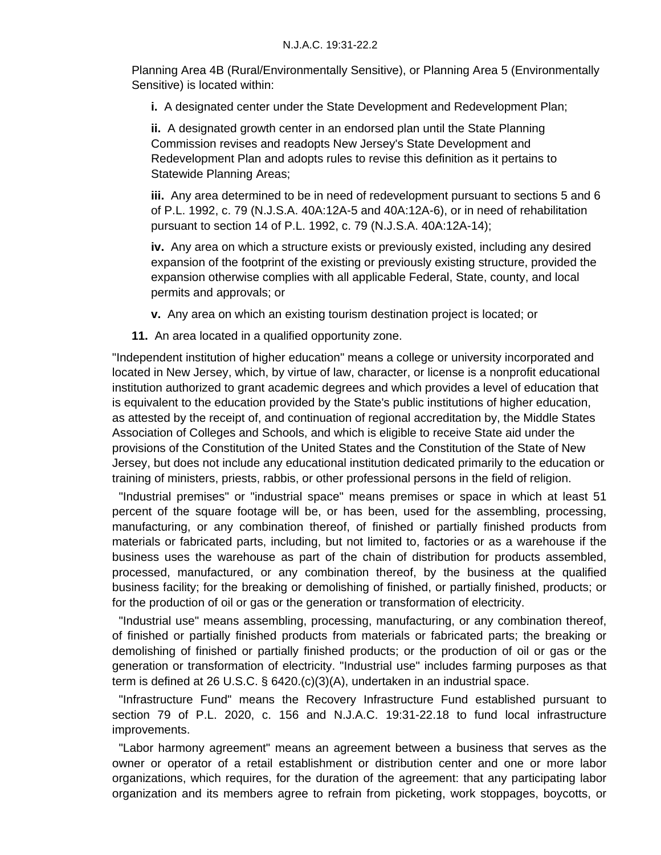Planning Area 4B (Rural/Environmentally Sensitive), or Planning Area 5 (Environmentally Sensitive) is located within:

**i.** A designated center under the State Development and Redevelopment Plan;

**ii.** A designated growth center in an endorsed plan until the State Planning Commission revises and readopts New Jersey's State Development and Redevelopment Plan and adopts rules to revise this definition as it pertains to Statewide Planning Areas;

**iii.** Any area determined to be in need of redevelopment pursuant to sections 5 and 6 of P.L. 1992, c. 79 (N.J.S.A. 40A:12A-5 and 40A:12A-6), or in need of rehabilitation pursuant to section 14 of P.L. 1992, c. 79 (N.J.S.A. 40A:12A-14);

**iv.** Any area on which a structure exists or previously existed, including any desired expansion of the footprint of the existing or previously existing structure, provided the expansion otherwise complies with all applicable Federal, State, county, and local permits and approvals; or

**v.** Any area on which an existing tourism destination project is located; or

**11.** An area located in a qualified opportunity zone.

"Independent institution of higher education" means a college or university incorporated and located in New Jersey, which, by virtue of law, character, or license is a nonprofit educational institution authorized to grant academic degrees and which provides a level of education that is equivalent to the education provided by the State's public institutions of higher education, as attested by the receipt of, and continuation of regional accreditation by, the Middle States Association of Colleges and Schools, and which is eligible to receive State aid under the provisions of the Constitution of the United States and the Constitution of the State of New Jersey, but does not include any educational institution dedicated primarily to the education or training of ministers, priests, rabbis, or other professional persons in the field of religion.

 "Industrial premises" or "industrial space" means premises or space in which at least 51 percent of the square footage will be, or has been, used for the assembling, processing, manufacturing, or any combination thereof, of finished or partially finished products from materials or fabricated parts, including, but not limited to, factories or as a warehouse if the business uses the warehouse as part of the chain of distribution for products assembled, processed, manufactured, or any combination thereof, by the business at the qualified business facility; for the breaking or demolishing of finished, or partially finished, products; or for the production of oil or gas or the generation or transformation of electricity.

 "Industrial use" means assembling, processing, manufacturing, or any combination thereof, of finished or partially finished products from materials or fabricated parts; the breaking or demolishing of finished or partially finished products; or the production of oil or gas or the generation or transformation of electricity. "Industrial use" includes farming purposes as that term is defined at 26 U.S.C. § 6420.(c)(3)(A), undertaken in an industrial space.

 "Infrastructure Fund" means the Recovery Infrastructure Fund established pursuant to section 79 of P.L. 2020, c. 156 and N.J.A.C. 19:31-22.18 to fund local infrastructure improvements.

 "Labor harmony agreement" means an agreement between a business that serves as the owner or operator of a retail establishment or distribution center and one or more labor organizations, which requires, for the duration of the agreement: that any participating labor organization and its members agree to refrain from picketing, work stoppages, boycotts, or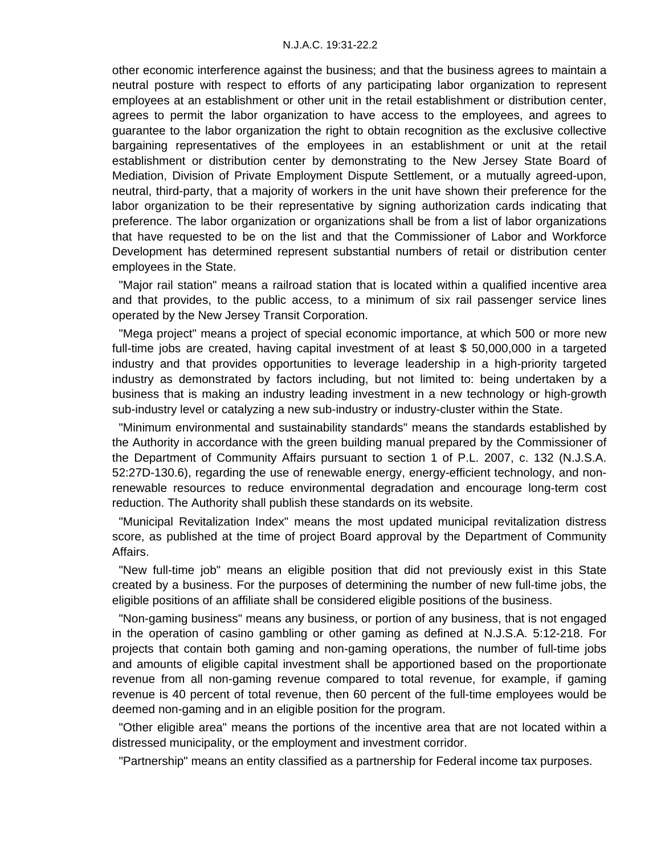other economic interference against the business; and that the business agrees to maintain a neutral posture with respect to efforts of any participating labor organization to represent employees at an establishment or other unit in the retail establishment or distribution center, agrees to permit the labor organization to have access to the employees, and agrees to guarantee to the labor organization the right to obtain recognition as the exclusive collective bargaining representatives of the employees in an establishment or unit at the retail establishment or distribution center by demonstrating to the New Jersey State Board of Mediation, Division of Private Employment Dispute Settlement, or a mutually agreed-upon, neutral, third-party, that a majority of workers in the unit have shown their preference for the labor organization to be their representative by signing authorization cards indicating that preference. The labor organization or organizations shall be from a list of labor organizations that have requested to be on the list and that the Commissioner of Labor and Workforce Development has determined represent substantial numbers of retail or distribution center employees in the State.

 "Major rail station" means a railroad station that is located within a qualified incentive area and that provides, to the public access, to a minimum of six rail passenger service lines operated by the New Jersey Transit Corporation.

 "Mega project" means a project of special economic importance, at which 500 or more new full-time jobs are created, having capital investment of at least \$ 50,000,000 in a targeted industry and that provides opportunities to leverage leadership in a high-priority targeted industry as demonstrated by factors including, but not limited to: being undertaken by a business that is making an industry leading investment in a new technology or high-growth sub-industry level or catalyzing a new sub-industry or industry-cluster within the State.

 "Minimum environmental and sustainability standards" means the standards established by the Authority in accordance with the green building manual prepared by the Commissioner of the Department of Community Affairs pursuant to section 1 of P.L. 2007, c. 132 (N.J.S.A. 52:27D-130.6), regarding the use of renewable energy, energy-efficient technology, and nonrenewable resources to reduce environmental degradation and encourage long-term cost reduction. The Authority shall publish these standards on its website.

 "Municipal Revitalization Index" means the most updated municipal revitalization distress score, as published at the time of project Board approval by the Department of Community Affairs.

 "New full-time job" means an eligible position that did not previously exist in this State created by a business. For the purposes of determining the number of new full-time jobs, the eligible positions of an affiliate shall be considered eligible positions of the business.

 "Non-gaming business" means any business, or portion of any business, that is not engaged in the operation of casino gambling or other gaming as defined at N.J.S.A. 5:12-218. For projects that contain both gaming and non-gaming operations, the number of full-time jobs and amounts of eligible capital investment shall be apportioned based on the proportionate revenue from all non-gaming revenue compared to total revenue, for example, if gaming revenue is 40 percent of total revenue, then 60 percent of the full-time employees would be deemed non-gaming and in an eligible position for the program.

 "Other eligible area" means the portions of the incentive area that are not located within a distressed municipality, or the employment and investment corridor.

"Partnership" means an entity classified as a partnership for Federal income tax purposes.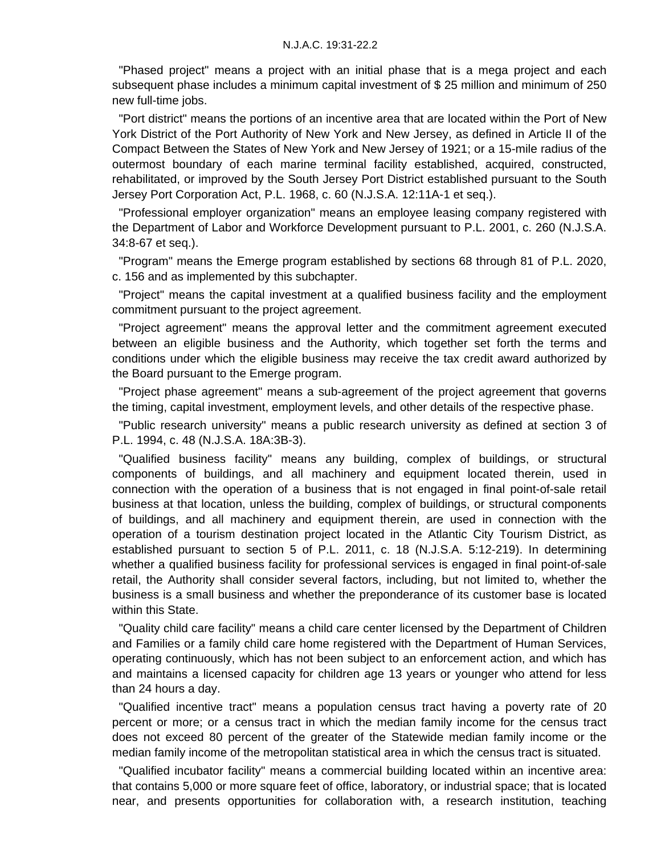"Phased project" means a project with an initial phase that is a mega project and each subsequent phase includes a minimum capital investment of \$ 25 million and minimum of 250 new full-time jobs.

 "Port district" means the portions of an incentive area that are located within the Port of New York District of the Port Authority of New York and New Jersey, as defined in Article II of the Compact Between the States of New York and New Jersey of 1921; or a 15-mile radius of the outermost boundary of each marine terminal facility established, acquired, constructed, rehabilitated, or improved by the South Jersey Port District established pursuant to the South Jersey Port Corporation Act, P.L. 1968, c. 60 (N.J.S.A. 12:11A-1 et seq.).

 "Professional employer organization" means an employee leasing company registered with the Department of Labor and Workforce Development pursuant to P.L. 2001, c. 260 (N.J.S.A. 34:8-67 et seq.).

 "Program" means the Emerge program established by sections 68 through 81 of P.L. 2020, c. 156 and as implemented by this subchapter.

 "Project" means the capital investment at a qualified business facility and the employment commitment pursuant to the project agreement.

 "Project agreement" means the approval letter and the commitment agreement executed between an eligible business and the Authority, which together set forth the terms and conditions under which the eligible business may receive the tax credit award authorized by the Board pursuant to the Emerge program.

 "Project phase agreement" means a sub-agreement of the project agreement that governs the timing, capital investment, employment levels, and other details of the respective phase.

 "Public research university" means a public research university as defined at section 3 of P.L. 1994, c. 48 (N.J.S.A. 18A:3B-3).

 "Qualified business facility" means any building, complex of buildings, or structural components of buildings, and all machinery and equipment located therein, used in connection with the operation of a business that is not engaged in final point-of-sale retail business at that location, unless the building, complex of buildings, or structural components of buildings, and all machinery and equipment therein, are used in connection with the operation of a tourism destination project located in the Atlantic City Tourism District, as established pursuant to section 5 of P.L. 2011, c. 18 (N.J.S.A. 5:12-219). In determining whether a qualified business facility for professional services is engaged in final point-of-sale retail, the Authority shall consider several factors, including, but not limited to, whether the business is a small business and whether the preponderance of its customer base is located within this State.

 "Quality child care facility" means a child care center licensed by the Department of Children and Families or a family child care home registered with the Department of Human Services, operating continuously, which has not been subject to an enforcement action, and which has and maintains a licensed capacity for children age 13 years or younger who attend for less than 24 hours a day.

 "Qualified incentive tract" means a population census tract having a poverty rate of 20 percent or more; or a census tract in which the median family income for the census tract does not exceed 80 percent of the greater of the Statewide median family income or the median family income of the metropolitan statistical area in which the census tract is situated.

 "Qualified incubator facility" means a commercial building located within an incentive area: that contains 5,000 or more square feet of office, laboratory, or industrial space; that is located near, and presents opportunities for collaboration with, a research institution, teaching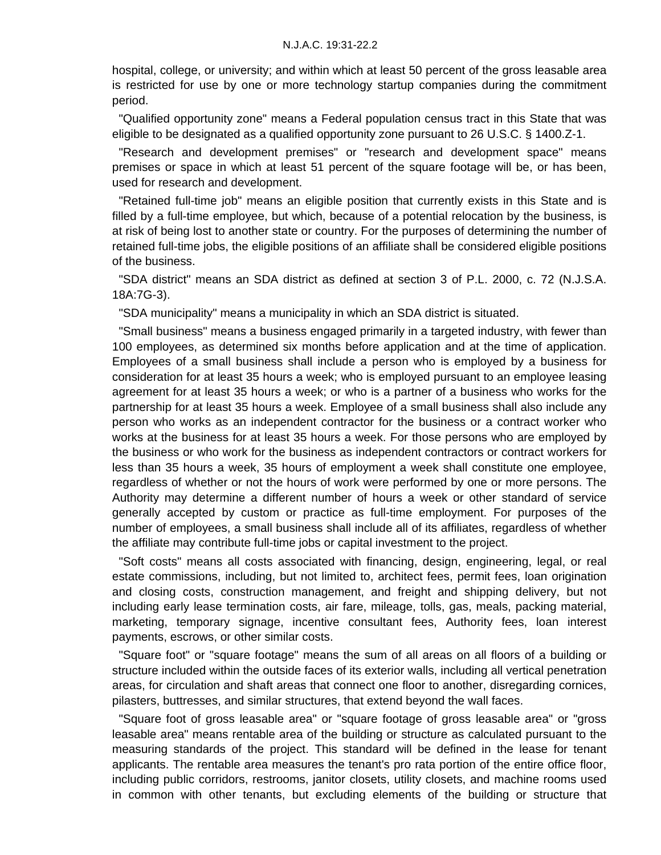hospital, college, or university; and within which at least 50 percent of the gross leasable area is restricted for use by one or more technology startup companies during the commitment period.

 "Qualified opportunity zone" means a Federal population census tract in this State that was eligible to be designated as a qualified opportunity zone pursuant to 26 U.S.C. § 1400.Z-1.

 "Research and development premises" or "research and development space" means premises or space in which at least 51 percent of the square footage will be, or has been, used for research and development.

 "Retained full-time job" means an eligible position that currently exists in this State and is filled by a full-time employee, but which, because of a potential relocation by the business, is at risk of being lost to another state or country. For the purposes of determining the number of retained full-time jobs, the eligible positions of an affiliate shall be considered eligible positions of the business.

 "SDA district" means an SDA district as defined at section 3 of P.L. 2000, c. 72 (N.J.S.A. 18A:7G-3).

"SDA municipality" means a municipality in which an SDA district is situated.

 "Small business" means a business engaged primarily in a targeted industry, with fewer than 100 employees, as determined six months before application and at the time of application. Employees of a small business shall include a person who is employed by a business for consideration for at least 35 hours a week; who is employed pursuant to an employee leasing agreement for at least 35 hours a week; or who is a partner of a business who works for the partnership for at least 35 hours a week. Employee of a small business shall also include any person who works as an independent contractor for the business or a contract worker who works at the business for at least 35 hours a week. For those persons who are employed by the business or who work for the business as independent contractors or contract workers for less than 35 hours a week, 35 hours of employment a week shall constitute one employee, regardless of whether or not the hours of work were performed by one or more persons. The Authority may determine a different number of hours a week or other standard of service generally accepted by custom or practice as full-time employment. For purposes of the number of employees, a small business shall include all of its affiliates, regardless of whether the affiliate may contribute full-time jobs or capital investment to the project.

 "Soft costs" means all costs associated with financing, design, engineering, legal, or real estate commissions, including, but not limited to, architect fees, permit fees, loan origination and closing costs, construction management, and freight and shipping delivery, but not including early lease termination costs, air fare, mileage, tolls, gas, meals, packing material, marketing, temporary signage, incentive consultant fees, Authority fees, loan interest payments, escrows, or other similar costs.

 "Square foot" or "square footage" means the sum of all areas on all floors of a building or structure included within the outside faces of its exterior walls, including all vertical penetration areas, for circulation and shaft areas that connect one floor to another, disregarding cornices, pilasters, buttresses, and similar structures, that extend beyond the wall faces.

 "Square foot of gross leasable area" or "square footage of gross leasable area" or "gross leasable area" means rentable area of the building or structure as calculated pursuant to the measuring standards of the project. This standard will be defined in the lease for tenant applicants. The rentable area measures the tenant's pro rata portion of the entire office floor, including public corridors, restrooms, janitor closets, utility closets, and machine rooms used in common with other tenants, but excluding elements of the building or structure that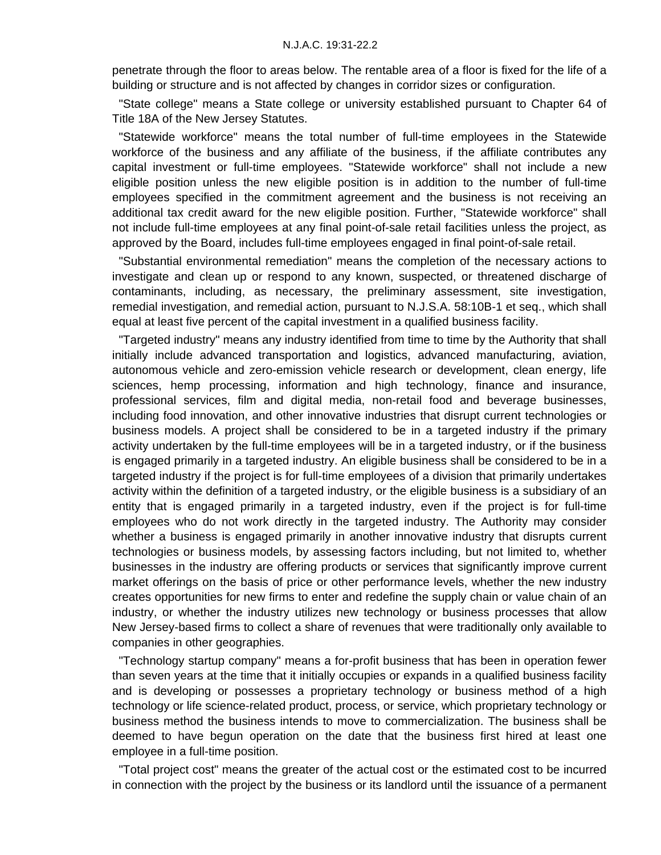penetrate through the floor to areas below. The rentable area of a floor is fixed for the life of a building or structure and is not affected by changes in corridor sizes or configuration.

 "State college" means a State college or university established pursuant to Chapter 64 of Title 18A of the New Jersey Statutes.

 "Statewide workforce" means the total number of full-time employees in the Statewide workforce of the business and any affiliate of the business, if the affiliate contributes any capital investment or full-time employees. "Statewide workforce" shall not include a new eligible position unless the new eligible position is in addition to the number of full-time employees specified in the commitment agreement and the business is not receiving an additional tax credit award for the new eligible position. Further, "Statewide workforce" shall not include full-time employees at any final point-of-sale retail facilities unless the project, as approved by the Board, includes full-time employees engaged in final point-of-sale retail.

 "Substantial environmental remediation" means the completion of the necessary actions to investigate and clean up or respond to any known, suspected, or threatened discharge of contaminants, including, as necessary, the preliminary assessment, site investigation, remedial investigation, and remedial action, pursuant to N.J.S.A. 58:10B-1 et seq., which shall equal at least five percent of the capital investment in a qualified business facility.

 "Targeted industry" means any industry identified from time to time by the Authority that shall initially include advanced transportation and logistics, advanced manufacturing, aviation, autonomous vehicle and zero-emission vehicle research or development, clean energy, life sciences, hemp processing, information and high technology, finance and insurance, professional services, film and digital media, non-retail food and beverage businesses, including food innovation, and other innovative industries that disrupt current technologies or business models. A project shall be considered to be in a targeted industry if the primary activity undertaken by the full-time employees will be in a targeted industry, or if the business is engaged primarily in a targeted industry. An eligible business shall be considered to be in a targeted industry if the project is for full-time employees of a division that primarily undertakes activity within the definition of a targeted industry, or the eligible business is a subsidiary of an entity that is engaged primarily in a targeted industry, even if the project is for full-time employees who do not work directly in the targeted industry. The Authority may consider whether a business is engaged primarily in another innovative industry that disrupts current technologies or business models, by assessing factors including, but not limited to, whether businesses in the industry are offering products or services that significantly improve current market offerings on the basis of price or other performance levels, whether the new industry creates opportunities for new firms to enter and redefine the supply chain or value chain of an industry, or whether the industry utilizes new technology or business processes that allow New Jersey-based firms to collect a share of revenues that were traditionally only available to companies in other geographies.

 "Technology startup company" means a for-profit business that has been in operation fewer than seven years at the time that it initially occupies or expands in a qualified business facility and is developing or possesses a proprietary technology or business method of a high technology or life science-related product, process, or service, which proprietary technology or business method the business intends to move to commercialization. The business shall be deemed to have begun operation on the date that the business first hired at least one employee in a full-time position.

 "Total project cost" means the greater of the actual cost or the estimated cost to be incurred in connection with the project by the business or its landlord until the issuance of a permanent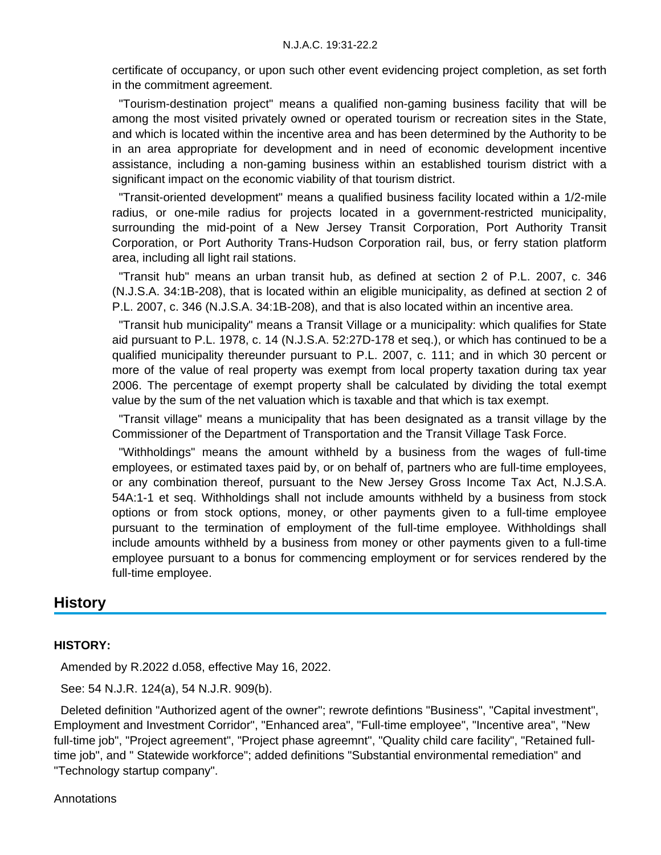certificate of occupancy, or upon such other event evidencing project completion, as set forth in the commitment agreement.

 "Tourism-destination project" means a qualified non-gaming business facility that will be among the most visited privately owned or operated tourism or recreation sites in the State, and which is located within the incentive area and has been determined by the Authority to be in an area appropriate for development and in need of economic development incentive assistance, including a non-gaming business within an established tourism district with a significant impact on the economic viability of that tourism district.

 "Transit-oriented development" means a qualified business facility located within a 1/2-mile radius, or one-mile radius for projects located in a government-restricted municipality, surrounding the mid-point of a New Jersey Transit Corporation, Port Authority Transit Corporation, or Port Authority Trans-Hudson Corporation rail, bus, or ferry station platform area, including all light rail stations.

 "Transit hub" means an urban transit hub, as defined at section 2 of P.L. 2007, c. 346 (N.J.S.A. 34:1B-208), that is located within an eligible municipality, as defined at section 2 of P.L. 2007, c. 346 (N.J.S.A. 34:1B-208), and that is also located within an incentive area.

 "Transit hub municipality" means a Transit Village or a municipality: which qualifies for State aid pursuant to P.L. 1978, c. 14 (N.J.S.A. 52:27D-178 et seq.), or which has continued to be a qualified municipality thereunder pursuant to P.L. 2007, c. 111; and in which 30 percent or more of the value of real property was exempt from local property taxation during tax year 2006. The percentage of exempt property shall be calculated by dividing the total exempt value by the sum of the net valuation which is taxable and that which is tax exempt.

 "Transit village" means a municipality that has been designated as a transit village by the Commissioner of the Department of Transportation and the Transit Village Task Force.

 "Withholdings" means the amount withheld by a business from the wages of full-time employees, or estimated taxes paid by, or on behalf of, partners who are full-time employees, or any combination thereof, pursuant to the New Jersey Gross Income Tax Act, N.J.S.A. 54A:1-1 et seq. Withholdings shall not include amounts withheld by a business from stock options or from stock options, money, or other payments given to a full-time employee pursuant to the termination of employment of the full-time employee. Withholdings shall include amounts withheld by a business from money or other payments given to a full-time employee pursuant to a bonus for commencing employment or for services rendered by the full-time employee.

## **History**

#### **HISTORY:**

Amended by R.2022 d.058, effective May 16, 2022.

See: 54 N.J.R. 124(a), 54 N.J.R. 909(b).

 Deleted definition "Authorized agent of the owner"; rewrote defintions "Business", "Capital investment", Employment and Investment Corridor", "Enhanced area", "Full-time employee", "Incentive area", "New full-time job", "Project agreement", "Project phase agreemnt", "Quality child care facility", "Retained fulltime job", and " Statewide workforce"; added definitions "Substantial environmental remediation" and "Technology startup company".

Annotations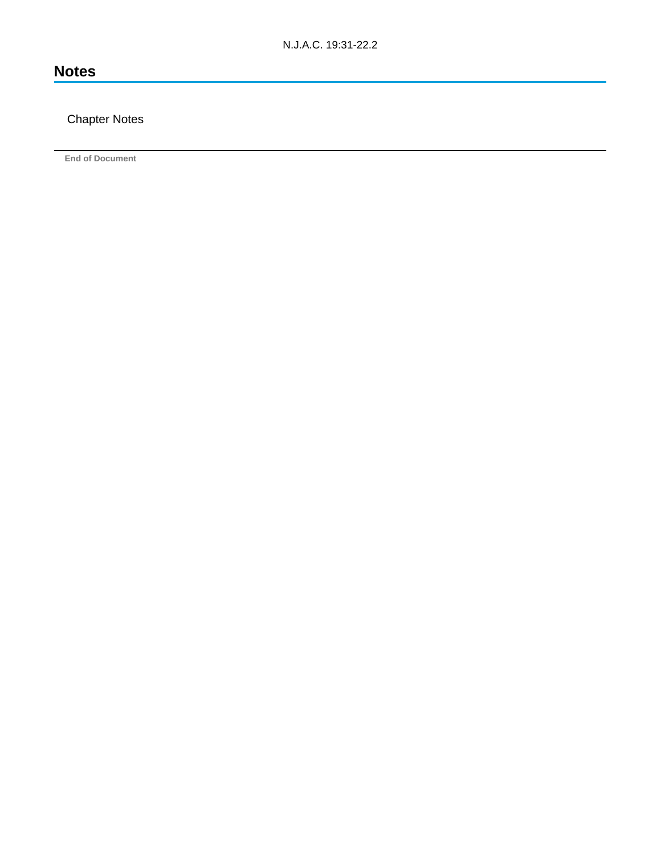# **Notes**

## Chapter Notes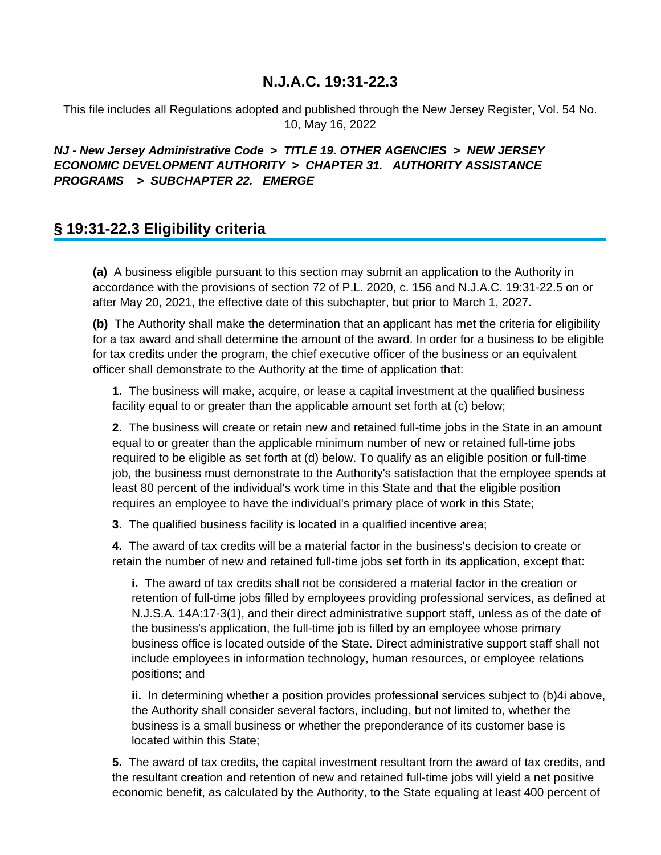This file includes all Regulations adopted and published through the New Jersey Register, Vol. 54 No. 10, May 16, 2022

## **NJ - New Jersey Administrative Code > TITLE 19. OTHER AGENCIES > NEW JERSEY ECONOMIC DEVELOPMENT AUTHORITY > CHAPTER 31. AUTHORITY ASSISTANCE PROGRAMS > SUBCHAPTER 22. EMERGE**

# **§ 19:31-22.3 Eligibility criteria**

**(a)** A business eligible pursuant to this section may submit an application to the Authority in accordance with the provisions of section 72 of P.L. 2020, c. 156 and N.J.A.C. 19:31-22.5 on or after May 20, 2021, the effective date of this subchapter, but prior to March 1, 2027.

**(b)** The Authority shall make the determination that an applicant has met the criteria for eligibility for a tax award and shall determine the amount of the award. In order for a business to be eligible for tax credits under the program, the chief executive officer of the business or an equivalent officer shall demonstrate to the Authority at the time of application that:

**1.** The business will make, acquire, or lease a capital investment at the qualified business facility equal to or greater than the applicable amount set forth at (c) below;

**2.** The business will create or retain new and retained full-time jobs in the State in an amount equal to or greater than the applicable minimum number of new or retained full-time jobs required to be eligible as set forth at (d) below. To qualify as an eligible position or full-time job, the business must demonstrate to the Authority's satisfaction that the employee spends at least 80 percent of the individual's work time in this State and that the eligible position requires an employee to have the individual's primary place of work in this State;

**3.** The qualified business facility is located in a qualified incentive area;

**4.** The award of tax credits will be a material factor in the business's decision to create or retain the number of new and retained full-time jobs set forth in its application, except that:

**i.** The award of tax credits shall not be considered a material factor in the creation or retention of full-time jobs filled by employees providing professional services, as defined at N.J.S.A. 14A:17-3(1), and their direct administrative support staff, unless as of the date of the business's application, the full-time job is filled by an employee whose primary business office is located outside of the State. Direct administrative support staff shall not include employees in information technology, human resources, or employee relations positions; and

**ii.** In determining whether a position provides professional services subject to (b)4i above, the Authority shall consider several factors, including, but not limited to, whether the business is a small business or whether the preponderance of its customer base is located within this State;

**5.** The award of tax credits, the capital investment resultant from the award of tax credits, and the resultant creation and retention of new and retained full-time jobs will yield a net positive economic benefit, as calculated by the Authority, to the State equaling at least 400 percent of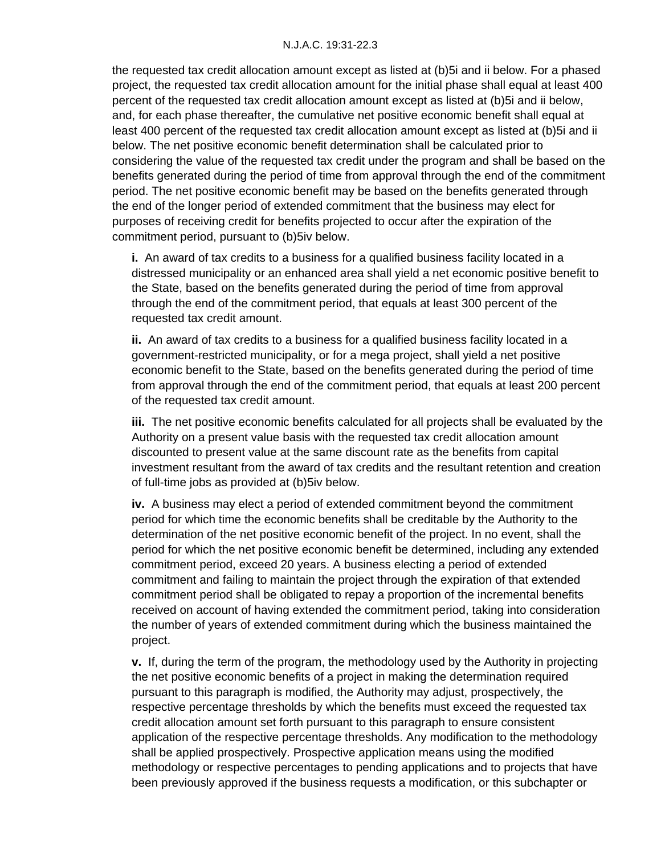the requested tax credit allocation amount except as listed at (b)5i and ii below. For a phased project, the requested tax credit allocation amount for the initial phase shall equal at least 400 percent of the requested tax credit allocation amount except as listed at (b)5i and ii below, and, for each phase thereafter, the cumulative net positive economic benefit shall equal at least 400 percent of the requested tax credit allocation amount except as listed at (b)5i and ii below. The net positive economic benefit determination shall be calculated prior to considering the value of the requested tax credit under the program and shall be based on the benefits generated during the period of time from approval through the end of the commitment period. The net positive economic benefit may be based on the benefits generated through the end of the longer period of extended commitment that the business may elect for purposes of receiving credit for benefits projected to occur after the expiration of the commitment period, pursuant to (b)5iv below.

**i.** An award of tax credits to a business for a qualified business facility located in a distressed municipality or an enhanced area shall yield a net economic positive benefit to the State, based on the benefits generated during the period of time from approval through the end of the commitment period, that equals at least 300 percent of the requested tax credit amount.

**ii.** An award of tax credits to a business for a qualified business facility located in a government-restricted municipality, or for a mega project, shall yield a net positive economic benefit to the State, based on the benefits generated during the period of time from approval through the end of the commitment period, that equals at least 200 percent of the requested tax credit amount.

**iii.** The net positive economic benefits calculated for all projects shall be evaluated by the Authority on a present value basis with the requested tax credit allocation amount discounted to present value at the same discount rate as the benefits from capital investment resultant from the award of tax credits and the resultant retention and creation of full-time jobs as provided at (b)5iv below.

**iv.** A business may elect a period of extended commitment beyond the commitment period for which time the economic benefits shall be creditable by the Authority to the determination of the net positive economic benefit of the project. In no event, shall the period for which the net positive economic benefit be determined, including any extended commitment period, exceed 20 years. A business electing a period of extended commitment and failing to maintain the project through the expiration of that extended commitment period shall be obligated to repay a proportion of the incremental benefits received on account of having extended the commitment period, taking into consideration the number of years of extended commitment during which the business maintained the project.

**v.** If, during the term of the program, the methodology used by the Authority in projecting the net positive economic benefits of a project in making the determination required pursuant to this paragraph is modified, the Authority may adjust, prospectively, the respective percentage thresholds by which the benefits must exceed the requested tax credit allocation amount set forth pursuant to this paragraph to ensure consistent application of the respective percentage thresholds. Any modification to the methodology shall be applied prospectively. Prospective application means using the modified methodology or respective percentages to pending applications and to projects that have been previously approved if the business requests a modification, or this subchapter or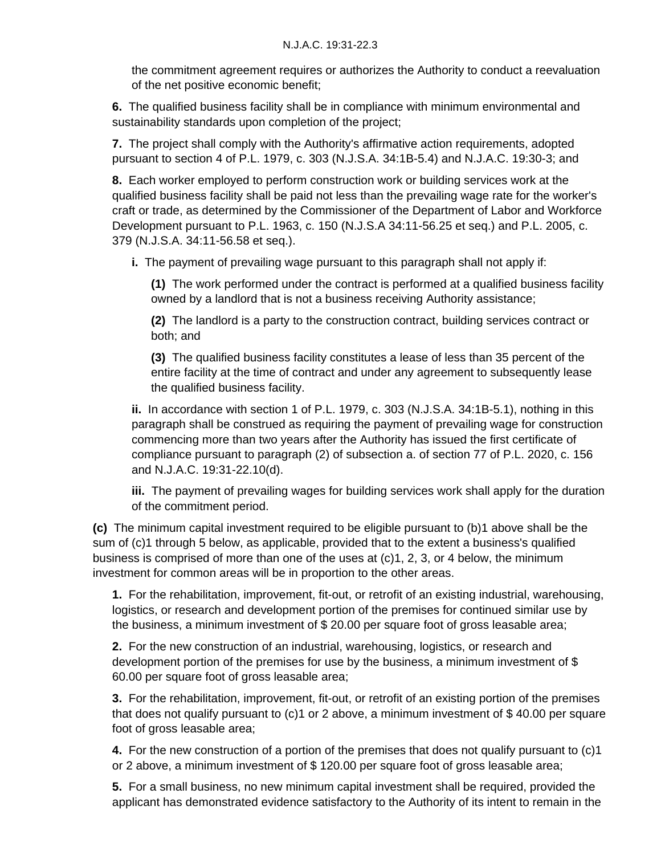the commitment agreement requires or authorizes the Authority to conduct a reevaluation of the net positive economic benefit;

**6.** The qualified business facility shall be in compliance with minimum environmental and sustainability standards upon completion of the project;

**7.** The project shall comply with the Authority's affirmative action requirements, adopted pursuant to section 4 of P.L. 1979, c. 303 (N.J.S.A. 34:1B-5.4) and N.J.A.C. 19:30-3; and

**8.** Each worker employed to perform construction work or building services work at the qualified business facility shall be paid not less than the prevailing wage rate for the worker's craft or trade, as determined by the Commissioner of the Department of Labor and Workforce Development pursuant to P.L. 1963, c. 150 (N.J.S.A 34:11-56.25 et seq.) and P.L. 2005, c. 379 (N.J.S.A. 34:11-56.58 et seq.).

**i.** The payment of prevailing wage pursuant to this paragraph shall not apply if:

**(1)** The work performed under the contract is performed at a qualified business facility owned by a landlord that is not a business receiving Authority assistance;

**(2)** The landlord is a party to the construction contract, building services contract or both; and

**(3)** The qualified business facility constitutes a lease of less than 35 percent of the entire facility at the time of contract and under any agreement to subsequently lease the qualified business facility.

**ii.** In accordance with section 1 of P.L. 1979, c. 303 (N.J.S.A. 34:1B-5.1), nothing in this paragraph shall be construed as requiring the payment of prevailing wage for construction commencing more than two years after the Authority has issued the first certificate of compliance pursuant to paragraph (2) of subsection a. of section 77 of P.L. 2020, c. 156 and N.J.A.C. 19:31-22.10(d).

**iii.** The payment of prevailing wages for building services work shall apply for the duration of the commitment period.

**(c)** The minimum capital investment required to be eligible pursuant to (b)1 above shall be the sum of (c)1 through 5 below, as applicable, provided that to the extent a business's qualified business is comprised of more than one of the uses at (c)1, 2, 3, or 4 below, the minimum investment for common areas will be in proportion to the other areas.

**1.** For the rehabilitation, improvement, fit-out, or retrofit of an existing industrial, warehousing, logistics, or research and development portion of the premises for continued similar use by the business, a minimum investment of \$ 20.00 per square foot of gross leasable area;

**2.** For the new construction of an industrial, warehousing, logistics, or research and development portion of the premises for use by the business, a minimum investment of \$ 60.00 per square foot of gross leasable area;

**3.** For the rehabilitation, improvement, fit-out, or retrofit of an existing portion of the premises that does not qualify pursuant to (c)1 or 2 above, a minimum investment of \$ 40.00 per square foot of gross leasable area;

**4.** For the new construction of a portion of the premises that does not qualify pursuant to (c)1 or 2 above, a minimum investment of \$ 120.00 per square foot of gross leasable area;

**5.** For a small business, no new minimum capital investment shall be required, provided the applicant has demonstrated evidence satisfactory to the Authority of its intent to remain in the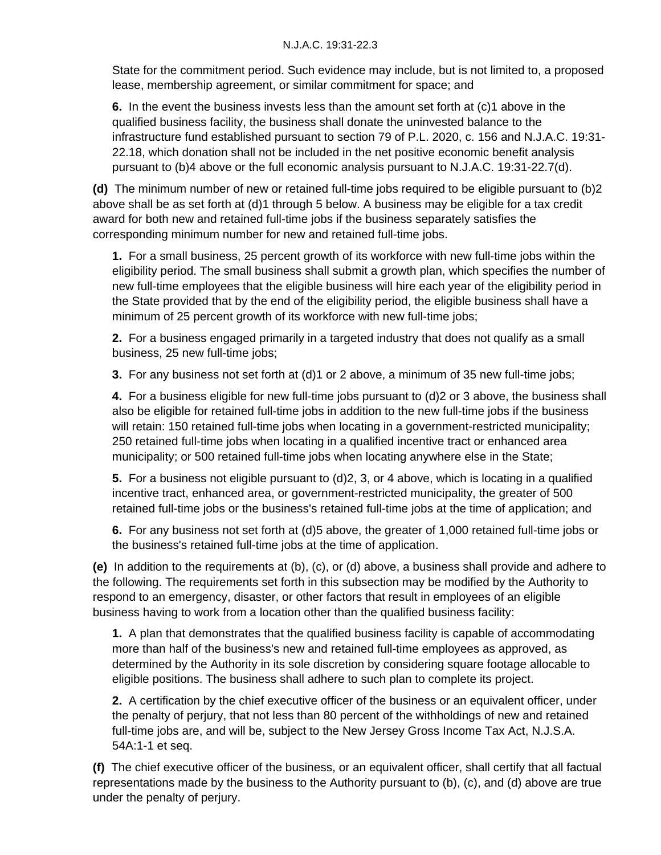State for the commitment period. Such evidence may include, but is not limited to, a proposed lease, membership agreement, or similar commitment for space; and

**6.** In the event the business invests less than the amount set forth at (c)1 above in the qualified business facility, the business shall donate the uninvested balance to the infrastructure fund established pursuant to section 79 of P.L. 2020, c. 156 and N.J.A.C. 19:31- 22.18, which donation shall not be included in the net positive economic benefit analysis pursuant to (b)4 above or the full economic analysis pursuant to N.J.A.C. 19:31-22.7(d).

**(d)** The minimum number of new or retained full-time jobs required to be eligible pursuant to (b)2 above shall be as set forth at (d)1 through 5 below. A business may be eligible for a tax credit award for both new and retained full-time jobs if the business separately satisfies the corresponding minimum number for new and retained full-time jobs.

**1.** For a small business, 25 percent growth of its workforce with new full-time jobs within the eligibility period. The small business shall submit a growth plan, which specifies the number of new full-time employees that the eligible business will hire each year of the eligibility period in the State provided that by the end of the eligibility period, the eligible business shall have a minimum of 25 percent growth of its workforce with new full-time jobs;

**2.** For a business engaged primarily in a targeted industry that does not qualify as a small business, 25 new full-time jobs;

**3.** For any business not set forth at (d)1 or 2 above, a minimum of 35 new full-time jobs;

**4.** For a business eligible for new full-time jobs pursuant to (d)2 or 3 above, the business shall also be eligible for retained full-time jobs in addition to the new full-time jobs if the business will retain: 150 retained full-time jobs when locating in a government-restricted municipality; 250 retained full-time jobs when locating in a qualified incentive tract or enhanced area municipality; or 500 retained full-time jobs when locating anywhere else in the State;

**5.** For a business not eligible pursuant to (d)2, 3, or 4 above, which is locating in a qualified incentive tract, enhanced area, or government-restricted municipality, the greater of 500 retained full-time jobs or the business's retained full-time jobs at the time of application; and

**6.** For any business not set forth at (d)5 above, the greater of 1,000 retained full-time jobs or the business's retained full-time jobs at the time of application.

**(e)** In addition to the requirements at (b), (c), or (d) above, a business shall provide and adhere to the following. The requirements set forth in this subsection may be modified by the Authority to respond to an emergency, disaster, or other factors that result in employees of an eligible business having to work from a location other than the qualified business facility:

**1.** A plan that demonstrates that the qualified business facility is capable of accommodating more than half of the business's new and retained full-time employees as approved, as determined by the Authority in its sole discretion by considering square footage allocable to eligible positions. The business shall adhere to such plan to complete its project.

**2.** A certification by the chief executive officer of the business or an equivalent officer, under the penalty of perjury, that not less than 80 percent of the withholdings of new and retained full-time jobs are, and will be, subject to the New Jersey Gross Income Tax Act, N.J.S.A. 54A:1-1 et seq.

**(f)** The chief executive officer of the business, or an equivalent officer, shall certify that all factual representations made by the business to the Authority pursuant to (b), (c), and (d) above are true under the penalty of perjury.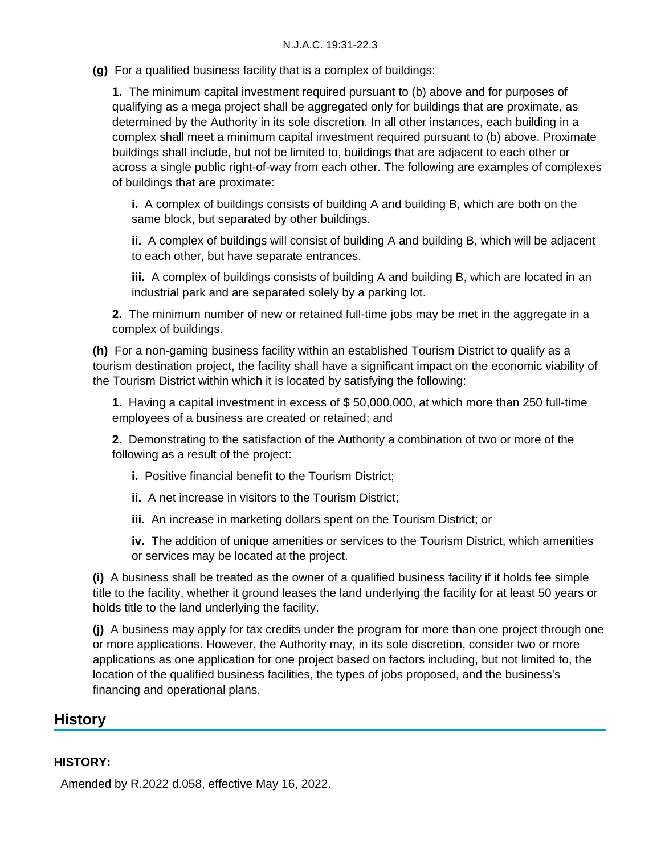**(g)** For a qualified business facility that is a complex of buildings:

**1.** The minimum capital investment required pursuant to (b) above and for purposes of qualifying as a mega project shall be aggregated only for buildings that are proximate, as determined by the Authority in its sole discretion. In all other instances, each building in a complex shall meet a minimum capital investment required pursuant to (b) above. Proximate buildings shall include, but not be limited to, buildings that are adjacent to each other or across a single public right-of-way from each other. The following are examples of complexes of buildings that are proximate:

**i.** A complex of buildings consists of building A and building B, which are both on the same block, but separated by other buildings.

**ii.** A complex of buildings will consist of building A and building B, which will be adjacent to each other, but have separate entrances.

**iii.** A complex of buildings consists of building A and building B, which are located in an industrial park and are separated solely by a parking lot.

**2.** The minimum number of new or retained full-time jobs may be met in the aggregate in a complex of buildings.

**(h)** For a non-gaming business facility within an established Tourism District to qualify as a tourism destination project, the facility shall have a significant impact on the economic viability of the Tourism District within which it is located by satisfying the following:

**1.** Having a capital investment in excess of \$ 50,000,000, at which more than 250 full-time employees of a business are created or retained; and

**2.** Demonstrating to the satisfaction of the Authority a combination of two or more of the following as a result of the project:

- **i.** Positive financial benefit to the Tourism District;
- **ii.** A net increase in visitors to the Tourism District;
- **iii.** An increase in marketing dollars spent on the Tourism District; or

**iv.** The addition of unique amenities or services to the Tourism District, which amenities or services may be located at the project.

**(i)** A business shall be treated as the owner of a qualified business facility if it holds fee simple title to the facility, whether it ground leases the land underlying the facility for at least 50 years or holds title to the land underlying the facility.

**(j)** A business may apply for tax credits under the program for more than one project through one or more applications. However, the Authority may, in its sole discretion, consider two or more applications as one application for one project based on factors including, but not limited to, the location of the qualified business facilities, the types of jobs proposed, and the business's financing and operational plans.

## **History**

#### **HISTORY:**

Amended by R.2022 d.058, effective May 16, 2022.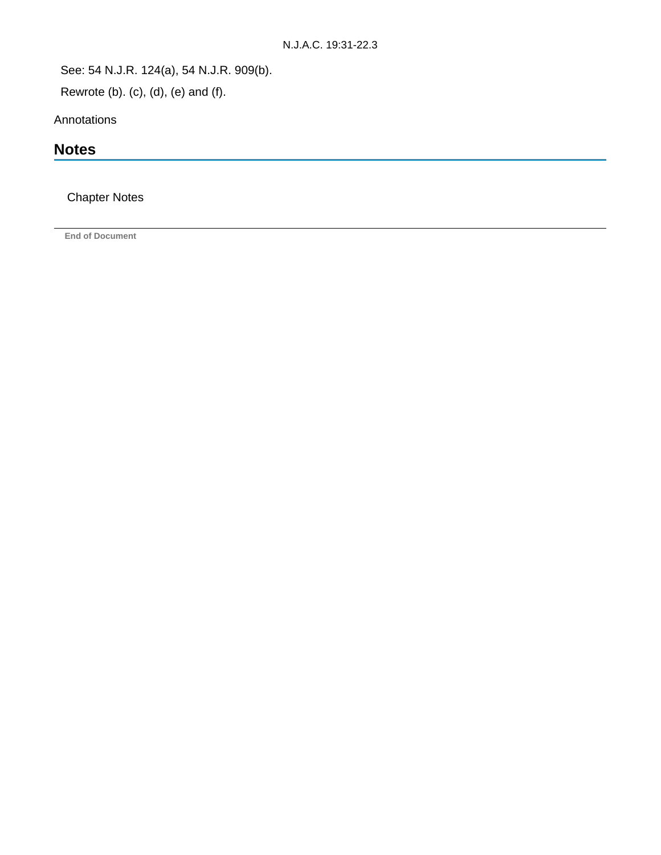See: 54 N.J.R. 124(a), 54 N.J.R. 909(b).

Rewrote (b). (c), (d), (e) and (f).

Annotations

# **Notes**

## Chapter Notes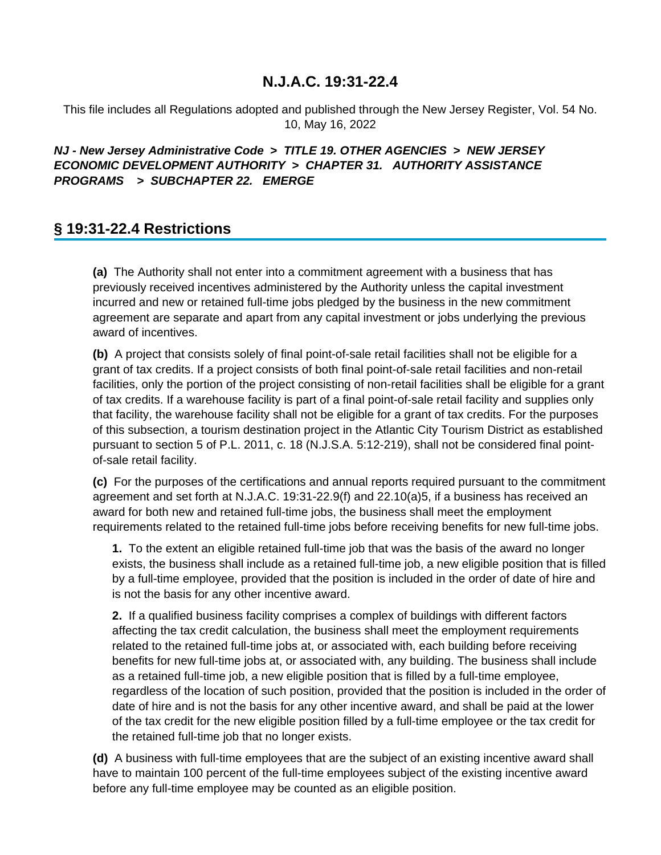This file includes all Regulations adopted and published through the New Jersey Register, Vol. 54 No. 10, May 16, 2022

## **NJ - New Jersey Administrative Code > TITLE 19. OTHER AGENCIES > NEW JERSEY ECONOMIC DEVELOPMENT AUTHORITY > CHAPTER 31. AUTHORITY ASSISTANCE PROGRAMS > SUBCHAPTER 22. EMERGE**

# **§ 19:31-22.4 Restrictions**

**(a)** The Authority shall not enter into a commitment agreement with a business that has previously received incentives administered by the Authority unless the capital investment incurred and new or retained full-time jobs pledged by the business in the new commitment agreement are separate and apart from any capital investment or jobs underlying the previous award of incentives.

**(b)** A project that consists solely of final point-of-sale retail facilities shall not be eligible for a grant of tax credits. If a project consists of both final point-of-sale retail facilities and non-retail facilities, only the portion of the project consisting of non-retail facilities shall be eligible for a grant of tax credits. If a warehouse facility is part of a final point-of-sale retail facility and supplies only that facility, the warehouse facility shall not be eligible for a grant of tax credits. For the purposes of this subsection, a tourism destination project in the Atlantic City Tourism District as established pursuant to section 5 of P.L. 2011, c. 18 (N.J.S.A. 5:12-219), shall not be considered final pointof-sale retail facility.

**(c)** For the purposes of the certifications and annual reports required pursuant to the commitment agreement and set forth at N.J.A.C. 19:31-22.9(f) and 22.10(a)5, if a business has received an award for both new and retained full-time jobs, the business shall meet the employment requirements related to the retained full-time jobs before receiving benefits for new full-time jobs.

**1.** To the extent an eligible retained full-time job that was the basis of the award no longer exists, the business shall include as a retained full-time job, a new eligible position that is filled by a full-time employee, provided that the position is included in the order of date of hire and is not the basis for any other incentive award.

**2.** If a qualified business facility comprises a complex of buildings with different factors affecting the tax credit calculation, the business shall meet the employment requirements related to the retained full-time jobs at, or associated with, each building before receiving benefits for new full-time jobs at, or associated with, any building. The business shall include as a retained full-time job, a new eligible position that is filled by a full-time employee, regardless of the location of such position, provided that the position is included in the order of date of hire and is not the basis for any other incentive award, and shall be paid at the lower of the tax credit for the new eligible position filled by a full-time employee or the tax credit for the retained full-time job that no longer exists.

**(d)** A business with full-time employees that are the subject of an existing incentive award shall have to maintain 100 percent of the full-time employees subject of the existing incentive award before any full-time employee may be counted as an eligible position.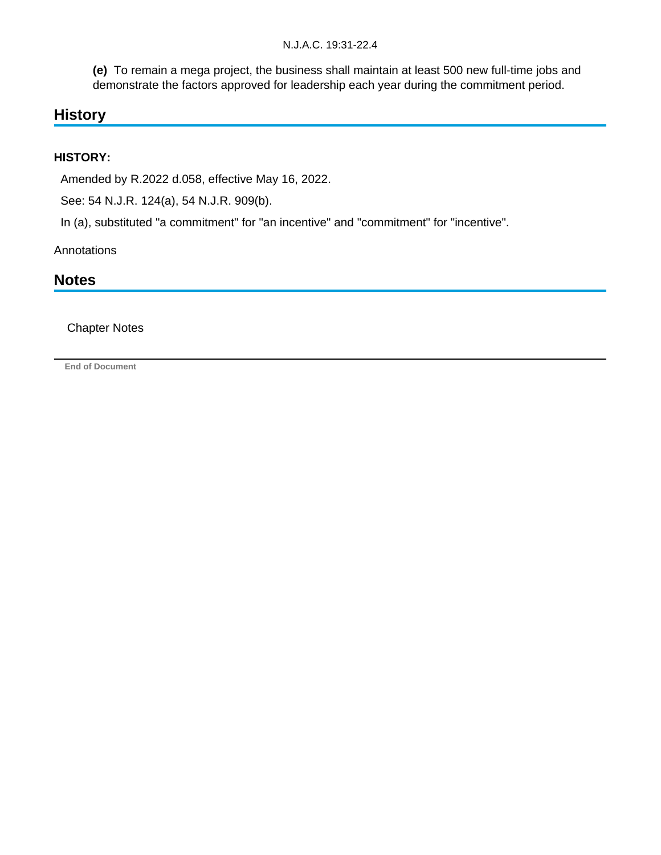**(e)** To remain a mega project, the business shall maintain at least 500 new full-time jobs and demonstrate the factors approved for leadership each year during the commitment period.

# **History**

## **HISTORY:**

Amended by R.2022 d.058, effective May 16, 2022.

See: 54 N.J.R. 124(a), 54 N.J.R. 909(b).

In (a), substituted "a commitment" for "an incentive" and "commitment" for "incentive".

Annotations

# **Notes**

Chapter Notes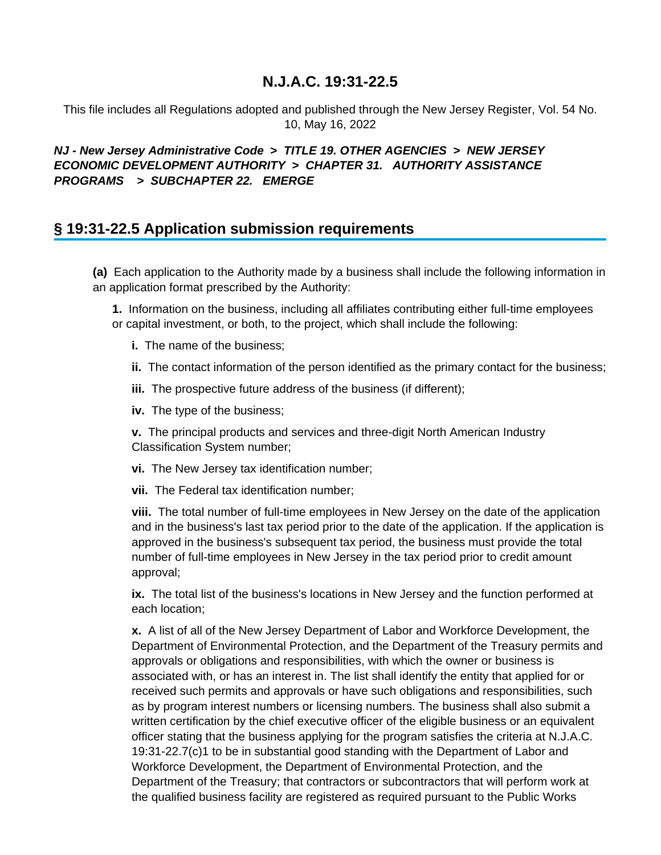This file includes all Regulations adopted and published through the New Jersey Register, Vol. 54 No. 10, May 16, 2022

## **NJ - New Jersey Administrative Code > TITLE 19. OTHER AGENCIES > NEW JERSEY ECONOMIC DEVELOPMENT AUTHORITY > CHAPTER 31. AUTHORITY ASSISTANCE PROGRAMS > SUBCHAPTER 22. EMERGE**

# **§ 19:31-22.5 Application submission requirements**

**(a)** Each application to the Authority made by a business shall include the following information in an application format prescribed by the Authority:

**1.** Information on the business, including all affiliates contributing either full-time employees or capital investment, or both, to the project, which shall include the following:

- **i.** The name of the business;
- **ii.** The contact information of the person identified as the primary contact for the business;
- **iii.** The prospective future address of the business (if different);
- **iv.** The type of the business;

**v.** The principal products and services and three-digit North American Industry Classification System number;

- **vi.** The New Jersey tax identification number;
- **vii.** The Federal tax identification number;

**viii.** The total number of full-time employees in New Jersey on the date of the application and in the business's last tax period prior to the date of the application. If the application is approved in the business's subsequent tax period, the business must provide the total number of full-time employees in New Jersey in the tax period prior to credit amount approval;

**ix.** The total list of the business's locations in New Jersey and the function performed at each location;

**x.** A list of all of the New Jersey Department of Labor and Workforce Development, the Department of Environmental Protection, and the Department of the Treasury permits and approvals or obligations and responsibilities, with which the owner or business is associated with, or has an interest in. The list shall identify the entity that applied for or received such permits and approvals or have such obligations and responsibilities, such as by program interest numbers or licensing numbers. The business shall also submit a written certification by the chief executive officer of the eligible business or an equivalent officer stating that the business applying for the program satisfies the criteria at N.J.A.C. 19:31-22.7(c)1 to be in substantial good standing with the Department of Labor and Workforce Development, the Department of Environmental Protection, and the Department of the Treasury; that contractors or subcontractors that will perform work at the qualified business facility are registered as required pursuant to the Public Works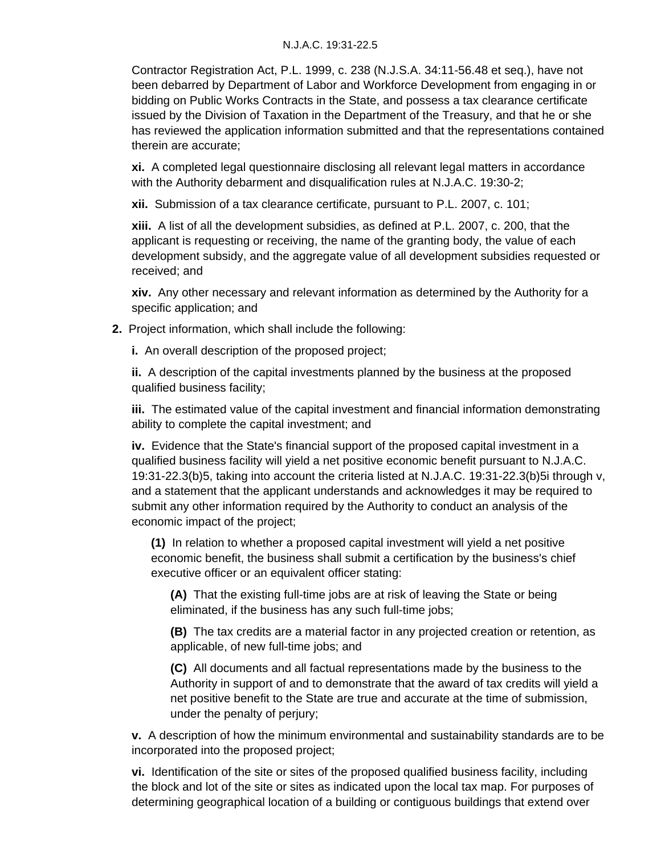Contractor Registration Act, P.L. 1999, c. 238 (N.J.S.A. 34:11-56.48 et seq.), have not been debarred by Department of Labor and Workforce Development from engaging in or bidding on Public Works Contracts in the State, and possess a tax clearance certificate issued by the Division of Taxation in the Department of the Treasury, and that he or she has reviewed the application information submitted and that the representations contained therein are accurate;

**xi.** A completed legal questionnaire disclosing all relevant legal matters in accordance with the Authority debarment and disqualification rules at N.J.A.C. 19:30-2;

**xii.** Submission of a tax clearance certificate, pursuant to P.L. 2007, c. 101;

**xiii.** A list of all the development subsidies, as defined at P.L. 2007, c. 200, that the applicant is requesting or receiving, the name of the granting body, the value of each development subsidy, and the aggregate value of all development subsidies requested or received; and

**xiv.** Any other necessary and relevant information as determined by the Authority for a specific application; and

**2.** Project information, which shall include the following:

**i.** An overall description of the proposed project;

**ii.** A description of the capital investments planned by the business at the proposed qualified business facility;

**iii.** The estimated value of the capital investment and financial information demonstrating ability to complete the capital investment; and

**iv.** Evidence that the State's financial support of the proposed capital investment in a qualified business facility will yield a net positive economic benefit pursuant to N.J.A.C. 19:31-22.3(b)5, taking into account the criteria listed at N.J.A.C. 19:31-22.3(b)5i through v, and a statement that the applicant understands and acknowledges it may be required to submit any other information required by the Authority to conduct an analysis of the economic impact of the project;

**(1)** In relation to whether a proposed capital investment will yield a net positive economic benefit, the business shall submit a certification by the business's chief executive officer or an equivalent officer stating:

**(A)** That the existing full-time jobs are at risk of leaving the State or being eliminated, if the business has any such full-time jobs;

**(B)** The tax credits are a material factor in any projected creation or retention, as applicable, of new full-time jobs; and

**(C)** All documents and all factual representations made by the business to the Authority in support of and to demonstrate that the award of tax credits will yield a net positive benefit to the State are true and accurate at the time of submission, under the penalty of perjury;

**v.** A description of how the minimum environmental and sustainability standards are to be incorporated into the proposed project;

**vi.** Identification of the site or sites of the proposed qualified business facility, including the block and lot of the site or sites as indicated upon the local tax map. For purposes of determining geographical location of a building or contiguous buildings that extend over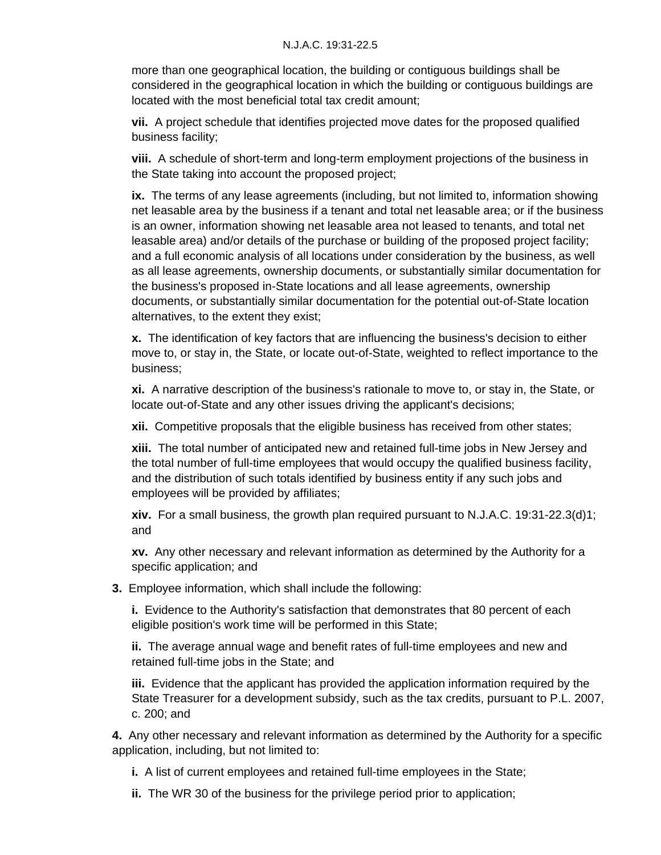more than one geographical location, the building or contiguous buildings shall be considered in the geographical location in which the building or contiguous buildings are located with the most beneficial total tax credit amount;

**vii.** A project schedule that identifies projected move dates for the proposed qualified business facility;

**viii.** A schedule of short-term and long-term employment projections of the business in the State taking into account the proposed project;

**ix.** The terms of any lease agreements (including, but not limited to, information showing net leasable area by the business if a tenant and total net leasable area; or if the business is an owner, information showing net leasable area not leased to tenants, and total net leasable area) and/or details of the purchase or building of the proposed project facility; and a full economic analysis of all locations under consideration by the business, as well as all lease agreements, ownership documents, or substantially similar documentation for the business's proposed in-State locations and all lease agreements, ownership documents, or substantially similar documentation for the potential out-of-State location alternatives, to the extent they exist;

**x.** The identification of key factors that are influencing the business's decision to either move to, or stay in, the State, or locate out-of-State, weighted to reflect importance to the business;

**xi.** A narrative description of the business's rationale to move to, or stay in, the State, or locate out-of-State and any other issues driving the applicant's decisions;

**xii.** Competitive proposals that the eligible business has received from other states;

**xiii.** The total number of anticipated new and retained full-time jobs in New Jersey and the total number of full-time employees that would occupy the qualified business facility, and the distribution of such totals identified by business entity if any such jobs and employees will be provided by affiliates;

**xiv.** For a small business, the growth plan required pursuant to N.J.A.C. 19:31-22.3(d)1; and

**xv.** Any other necessary and relevant information as determined by the Authority for a specific application; and

**3.** Employee information, which shall include the following:

**i.** Evidence to the Authority's satisfaction that demonstrates that 80 percent of each eligible position's work time will be performed in this State;

**ii.** The average annual wage and benefit rates of full-time employees and new and retained full-time jobs in the State; and

**iii.** Evidence that the applicant has provided the application information required by the State Treasurer for a development subsidy, such as the tax credits, pursuant to P.L. 2007, c. 200; and

**4.** Any other necessary and relevant information as determined by the Authority for a specific application, including, but not limited to:

**i.** A list of current employees and retained full-time employees in the State;

**ii.** The WR 30 of the business for the privilege period prior to application;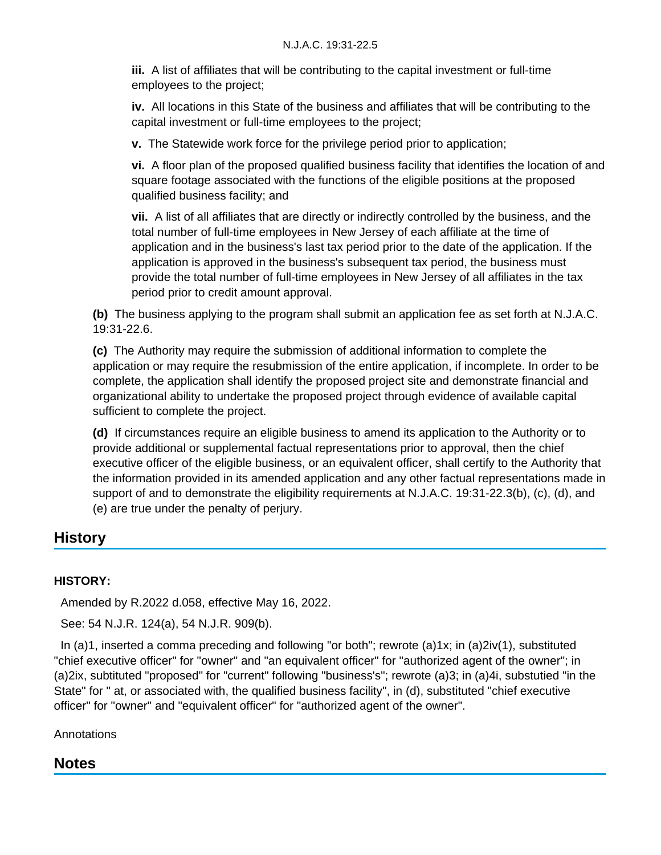**iii.** A list of affiliates that will be contributing to the capital investment or full-time employees to the project;

**iv.** All locations in this State of the business and affiliates that will be contributing to the capital investment or full-time employees to the project;

**v.** The Statewide work force for the privilege period prior to application;

**vi.** A floor plan of the proposed qualified business facility that identifies the location of and square footage associated with the functions of the eligible positions at the proposed qualified business facility; and

**vii.** A list of all affiliates that are directly or indirectly controlled by the business, and the total number of full-time employees in New Jersey of each affiliate at the time of application and in the business's last tax period prior to the date of the application. If the application is approved in the business's subsequent tax period, the business must provide the total number of full-time employees in New Jersey of all affiliates in the tax period prior to credit amount approval.

**(b)** The business applying to the program shall submit an application fee as set forth at N.J.A.C. 19:31-22.6.

**(c)** The Authority may require the submission of additional information to complete the application or may require the resubmission of the entire application, if incomplete. In order to be complete, the application shall identify the proposed project site and demonstrate financial and organizational ability to undertake the proposed project through evidence of available capital sufficient to complete the project.

**(d)** If circumstances require an eligible business to amend its application to the Authority or to provide additional or supplemental factual representations prior to approval, then the chief executive officer of the eligible business, or an equivalent officer, shall certify to the Authority that the information provided in its amended application and any other factual representations made in support of and to demonstrate the eligibility requirements at N.J.A.C. 19:31-22.3(b), (c), (d), and (e) are true under the penalty of perjury.

# **History**

## **HISTORY:**

Amended by R.2022 d.058, effective May 16, 2022.

See: 54 N.J.R. 124(a), 54 N.J.R. 909(b).

 In (a)1, inserted a comma preceding and following "or both"; rewrote (a)1x; in (a)2iv(1), substituted "chief executive officer" for "owner" and "an equivalent officer" for "authorized agent of the owner"; in (a)2ix, subtituted "proposed" for "current" following "business's"; rewrote (a)3; in (a)4i, substutied "in the State" for " at, or associated with, the qualified business facility", in (d), substituted "chief executive officer" for "owner" and "equivalent officer" for "authorized agent of the owner".

**Annotations** 

# **Notes**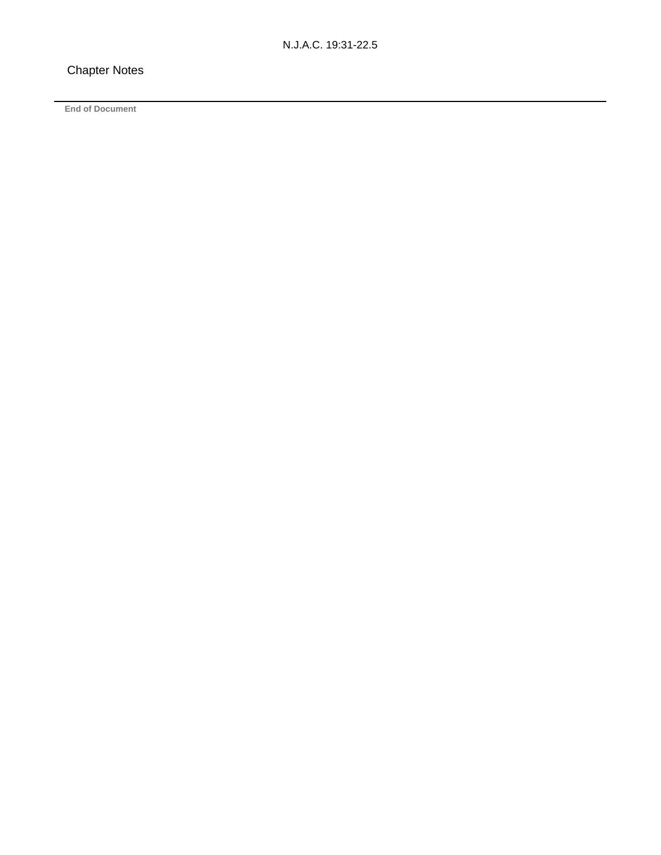### Chapter Notes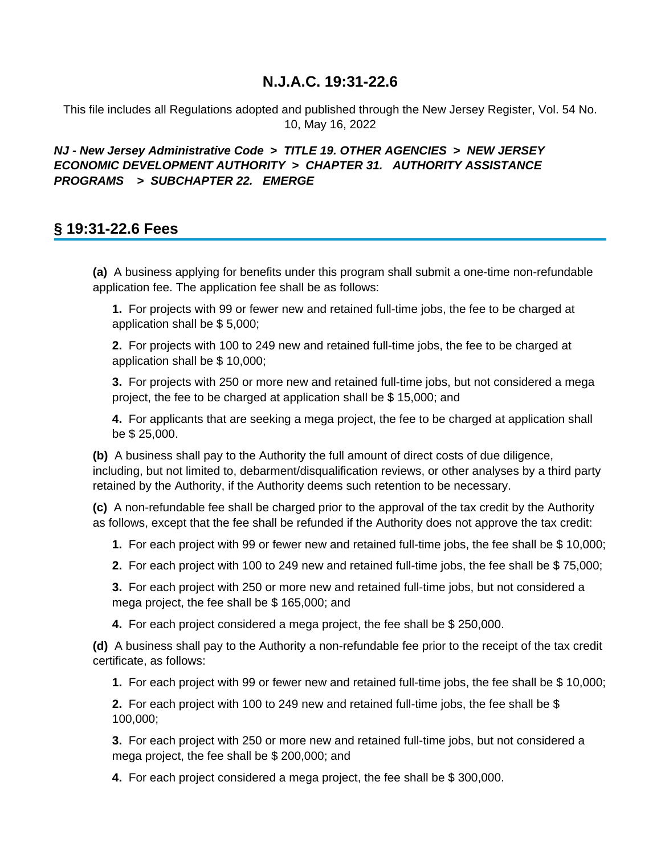This file includes all Regulations adopted and published through the New Jersey Register, Vol. 54 No. 10, May 16, 2022

### **NJ - New Jersey Administrative Code > TITLE 19. OTHER AGENCIES > NEW JERSEY ECONOMIC DEVELOPMENT AUTHORITY > CHAPTER 31. AUTHORITY ASSISTANCE PROGRAMS > SUBCHAPTER 22. EMERGE**

## **§ 19:31-22.6 Fees**

**(a)** A business applying for benefits under this program shall submit a one-time non-refundable application fee. The application fee shall be as follows:

**1.** For projects with 99 or fewer new and retained full-time jobs, the fee to be charged at application shall be \$ 5,000;

**2.** For projects with 100 to 249 new and retained full-time jobs, the fee to be charged at application shall be \$ 10,000;

**3.** For projects with 250 or more new and retained full-time jobs, but not considered a mega project, the fee to be charged at application shall be \$ 15,000; and

**4.** For applicants that are seeking a mega project, the fee to be charged at application shall be \$ 25,000.

**(b)** A business shall pay to the Authority the full amount of direct costs of due diligence, including, but not limited to, debarment/disqualification reviews, or other analyses by a third party retained by the Authority, if the Authority deems such retention to be necessary.

**(c)** A non-refundable fee shall be charged prior to the approval of the tax credit by the Authority as follows, except that the fee shall be refunded if the Authority does not approve the tax credit:

**1.** For each project with 99 or fewer new and retained full-time jobs, the fee shall be \$ 10,000;

**2.** For each project with 100 to 249 new and retained full-time jobs, the fee shall be \$ 75,000;

**3.** For each project with 250 or more new and retained full-time jobs, but not considered a mega project, the fee shall be \$ 165,000; and

**4.** For each project considered a mega project, the fee shall be \$ 250,000.

**(d)** A business shall pay to the Authority a non-refundable fee prior to the receipt of the tax credit certificate, as follows:

**1.** For each project with 99 or fewer new and retained full-time jobs, the fee shall be \$ 10,000;

**2.** For each project with 100 to 249 new and retained full-time jobs, the fee shall be \$ 100,000;

**3.** For each project with 250 or more new and retained full-time jobs, but not considered a mega project, the fee shall be \$ 200,000; and

**4.** For each project considered a mega project, the fee shall be \$ 300,000.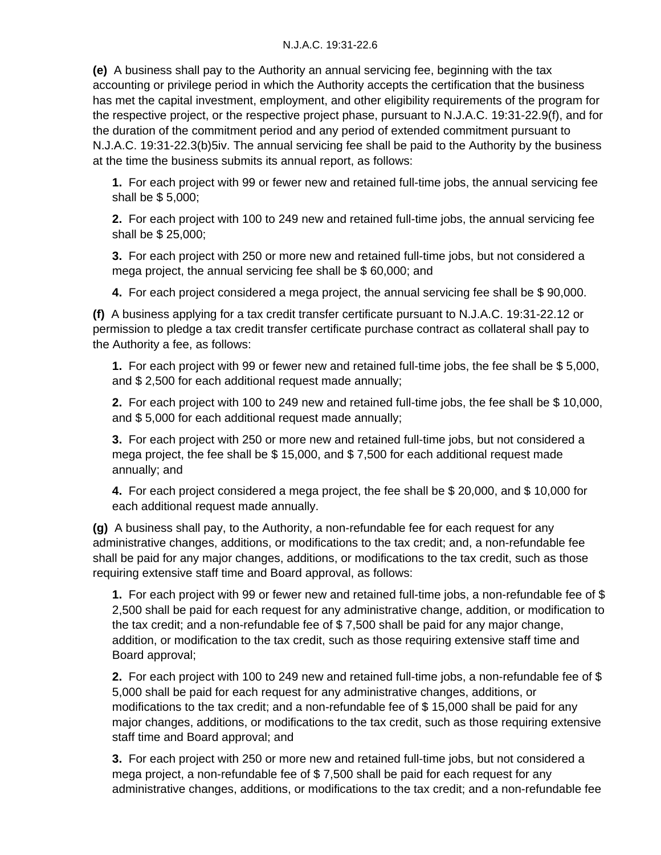**(e)** A business shall pay to the Authority an annual servicing fee, beginning with the tax accounting or privilege period in which the Authority accepts the certification that the business has met the capital investment, employment, and other eligibility requirements of the program for the respective project, or the respective project phase, pursuant to N.J.A.C. 19:31-22.9(f), and for the duration of the commitment period and any period of extended commitment pursuant to N.J.A.C. 19:31-22.3(b)5iv. The annual servicing fee shall be paid to the Authority by the business at the time the business submits its annual report, as follows:

**1.** For each project with 99 or fewer new and retained full-time jobs, the annual servicing fee shall be \$ 5,000;

**2.** For each project with 100 to 249 new and retained full-time jobs, the annual servicing fee shall be \$ 25,000;

**3.** For each project with 250 or more new and retained full-time jobs, but not considered a mega project, the annual servicing fee shall be \$ 60,000; and

**4.** For each project considered a mega project, the annual servicing fee shall be \$ 90,000.

**(f)** A business applying for a tax credit transfer certificate pursuant to N.J.A.C. 19:31-22.12 or permission to pledge a tax credit transfer certificate purchase contract as collateral shall pay to the Authority a fee, as follows:

**1.** For each project with 99 or fewer new and retained full-time jobs, the fee shall be \$ 5,000, and \$ 2,500 for each additional request made annually;

**2.** For each project with 100 to 249 new and retained full-time jobs, the fee shall be \$ 10,000, and \$ 5,000 for each additional request made annually;

**3.** For each project with 250 or more new and retained full-time jobs, but not considered a mega project, the fee shall be \$ 15,000, and \$ 7,500 for each additional request made annually; and

**4.** For each project considered a mega project, the fee shall be \$ 20,000, and \$ 10,000 for each additional request made annually.

**(g)** A business shall pay, to the Authority, a non-refundable fee for each request for any administrative changes, additions, or modifications to the tax credit; and, a non-refundable fee shall be paid for any major changes, additions, or modifications to the tax credit, such as those requiring extensive staff time and Board approval, as follows:

**1.** For each project with 99 or fewer new and retained full-time jobs, a non-refundable fee of \$ 2,500 shall be paid for each request for any administrative change, addition, or modification to the tax credit; and a non-refundable fee of \$ 7,500 shall be paid for any major change, addition, or modification to the tax credit, such as those requiring extensive staff time and Board approval;

**2.** For each project with 100 to 249 new and retained full-time jobs, a non-refundable fee of \$ 5,000 shall be paid for each request for any administrative changes, additions, or modifications to the tax credit; and a non-refundable fee of \$ 15,000 shall be paid for any major changes, additions, or modifications to the tax credit, such as those requiring extensive staff time and Board approval; and

**3.** For each project with 250 or more new and retained full-time jobs, but not considered a mega project, a non-refundable fee of \$ 7,500 shall be paid for each request for any administrative changes, additions, or modifications to the tax credit; and a non-refundable fee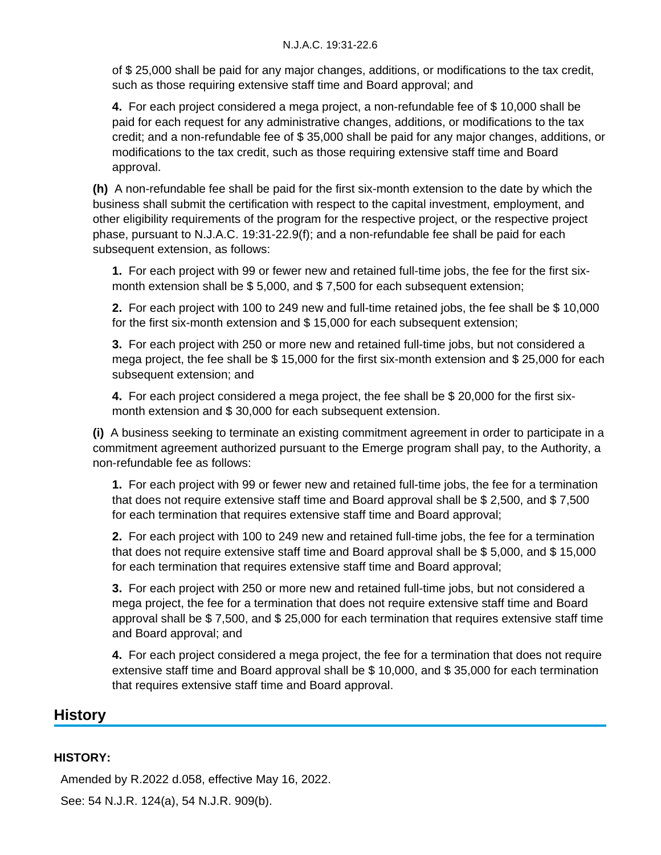of \$ 25,000 shall be paid for any major changes, additions, or modifications to the tax credit, such as those requiring extensive staff time and Board approval; and

**4.** For each project considered a mega project, a non-refundable fee of \$ 10,000 shall be paid for each request for any administrative changes, additions, or modifications to the tax credit; and a non-refundable fee of \$ 35,000 shall be paid for any major changes, additions, or modifications to the tax credit, such as those requiring extensive staff time and Board approval.

**(h)** A non-refundable fee shall be paid for the first six-month extension to the date by which the business shall submit the certification with respect to the capital investment, employment, and other eligibility requirements of the program for the respective project, or the respective project phase, pursuant to N.J.A.C. 19:31-22.9(f); and a non-refundable fee shall be paid for each subsequent extension, as follows:

**1.** For each project with 99 or fewer new and retained full-time jobs, the fee for the first sixmonth extension shall be \$ 5,000, and \$ 7,500 for each subsequent extension;

**2.** For each project with 100 to 249 new and full-time retained jobs, the fee shall be \$ 10,000 for the first six-month extension and \$ 15,000 for each subsequent extension;

**3.** For each project with 250 or more new and retained full-time jobs, but not considered a mega project, the fee shall be \$ 15,000 for the first six-month extension and \$ 25,000 for each subsequent extension; and

**4.** For each project considered a mega project, the fee shall be \$ 20,000 for the first sixmonth extension and \$ 30,000 for each subsequent extension.

**(i)** A business seeking to terminate an existing commitment agreement in order to participate in a commitment agreement authorized pursuant to the Emerge program shall pay, to the Authority, a non-refundable fee as follows:

**1.** For each project with 99 or fewer new and retained full-time jobs, the fee for a termination that does not require extensive staff time and Board approval shall be \$ 2,500, and \$ 7,500 for each termination that requires extensive staff time and Board approval;

**2.** For each project with 100 to 249 new and retained full-time jobs, the fee for a termination that does not require extensive staff time and Board approval shall be \$ 5,000, and \$ 15,000 for each termination that requires extensive staff time and Board approval;

**3.** For each project with 250 or more new and retained full-time jobs, but not considered a mega project, the fee for a termination that does not require extensive staff time and Board approval shall be \$ 7,500, and \$ 25,000 for each termination that requires extensive staff time and Board approval; and

**4.** For each project considered a mega project, the fee for a termination that does not require extensive staff time and Board approval shall be \$ 10,000, and \$ 35,000 for each termination that requires extensive staff time and Board approval.

## **History**

#### **HISTORY:**

 Amended by R.2022 d.058, effective May 16, 2022. See: 54 N.J.R. 124(a), 54 N.J.R. 909(b).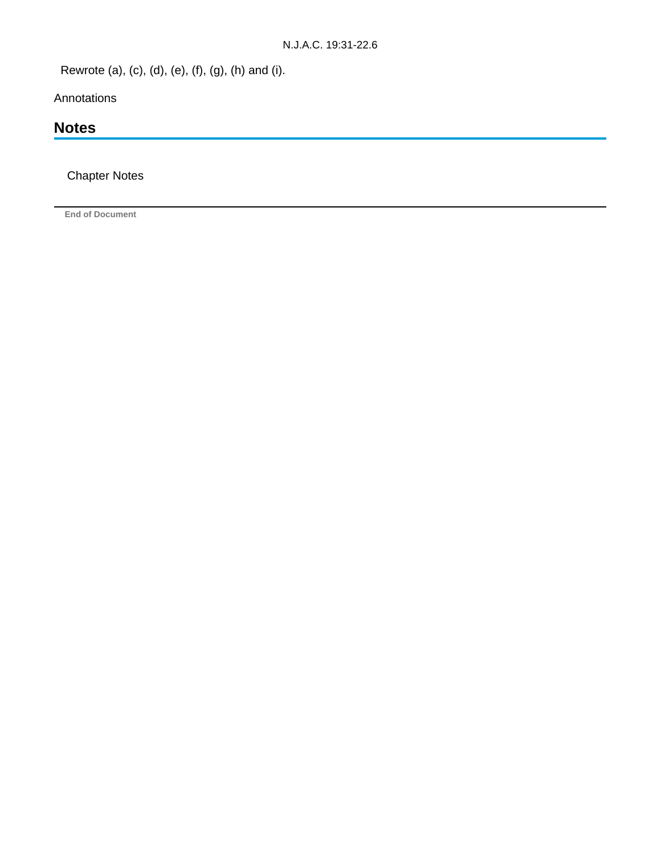Rewrote (a), (c), (d), (e), (f), (g), (h) and (i).

Annotations

# **Notes**

Chapter Notes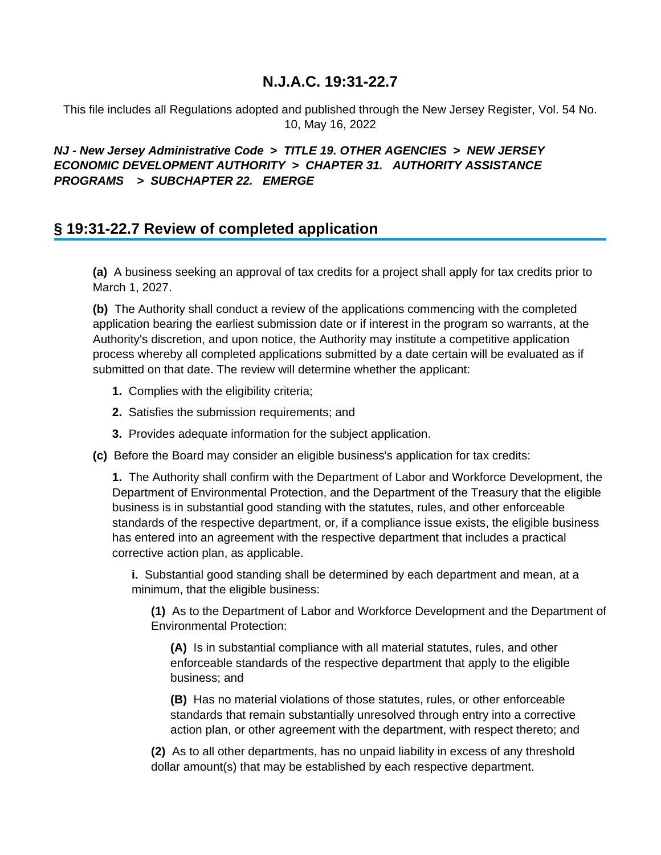This file includes all Regulations adopted and published through the New Jersey Register, Vol. 54 No. 10, May 16, 2022

## **NJ - New Jersey Administrative Code > TITLE 19. OTHER AGENCIES > NEW JERSEY ECONOMIC DEVELOPMENT AUTHORITY > CHAPTER 31. AUTHORITY ASSISTANCE PROGRAMS > SUBCHAPTER 22. EMERGE**

# **§ 19:31-22.7 Review of completed application**

**(a)** A business seeking an approval of tax credits for a project shall apply for tax credits prior to March 1, 2027.

**(b)** The Authority shall conduct a review of the applications commencing with the completed application bearing the earliest submission date or if interest in the program so warrants, at the Authority's discretion, and upon notice, the Authority may institute a competitive application process whereby all completed applications submitted by a date certain will be evaluated as if submitted on that date. The review will determine whether the applicant:

- **1.** Complies with the eligibility criteria;
- **2.** Satisfies the submission requirements; and
- **3.** Provides adequate information for the subject application.
- **(c)** Before the Board may consider an eligible business's application for tax credits:

**1.** The Authority shall confirm with the Department of Labor and Workforce Development, the Department of Environmental Protection, and the Department of the Treasury that the eligible business is in substantial good standing with the statutes, rules, and other enforceable standards of the respective department, or, if a compliance issue exists, the eligible business has entered into an agreement with the respective department that includes a practical corrective action plan, as applicable.

**i.** Substantial good standing shall be determined by each department and mean, at a minimum, that the eligible business:

**(1)** As to the Department of Labor and Workforce Development and the Department of Environmental Protection:

**(A)** Is in substantial compliance with all material statutes, rules, and other enforceable standards of the respective department that apply to the eligible business; and

**(B)** Has no material violations of those statutes, rules, or other enforceable standards that remain substantially unresolved through entry into a corrective action plan, or other agreement with the department, with respect thereto; and

**(2)** As to all other departments, has no unpaid liability in excess of any threshold dollar amount(s) that may be established by each respective department.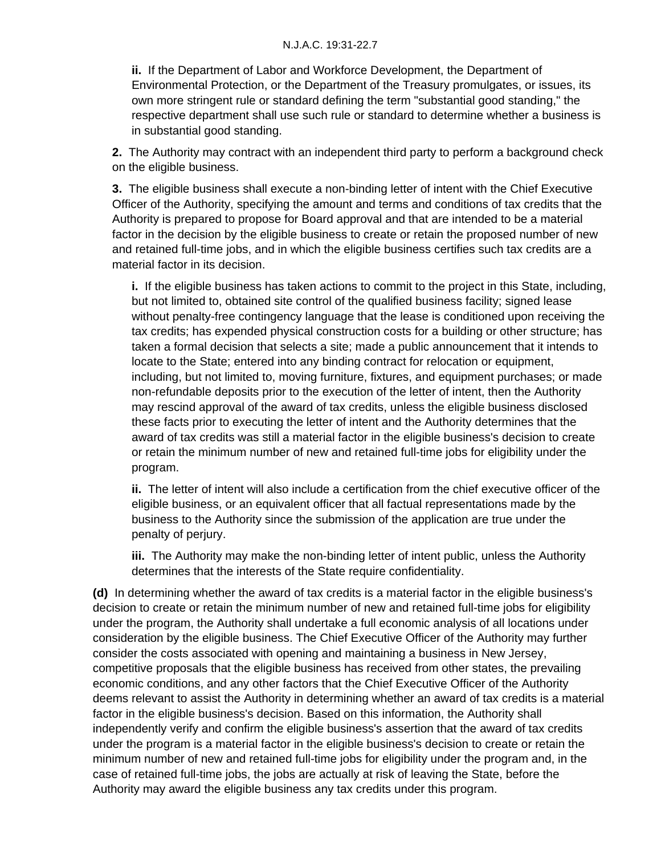**ii.** If the Department of Labor and Workforce Development, the Department of Environmental Protection, or the Department of the Treasury promulgates, or issues, its own more stringent rule or standard defining the term "substantial good standing," the respective department shall use such rule or standard to determine whether a business is in substantial good standing.

**2.** The Authority may contract with an independent third party to perform a background check on the eligible business.

**3.** The eligible business shall execute a non-binding letter of intent with the Chief Executive Officer of the Authority, specifying the amount and terms and conditions of tax credits that the Authority is prepared to propose for Board approval and that are intended to be a material factor in the decision by the eligible business to create or retain the proposed number of new and retained full-time jobs, and in which the eligible business certifies such tax credits are a material factor in its decision.

**i.** If the eligible business has taken actions to commit to the project in this State, including, but not limited to, obtained site control of the qualified business facility; signed lease without penalty-free contingency language that the lease is conditioned upon receiving the tax credits; has expended physical construction costs for a building or other structure; has taken a formal decision that selects a site; made a public announcement that it intends to locate to the State; entered into any binding contract for relocation or equipment, including, but not limited to, moving furniture, fixtures, and equipment purchases; or made non-refundable deposits prior to the execution of the letter of intent, then the Authority may rescind approval of the award of tax credits, unless the eligible business disclosed these facts prior to executing the letter of intent and the Authority determines that the award of tax credits was still a material factor in the eligible business's decision to create or retain the minimum number of new and retained full-time jobs for eligibility under the program.

**ii.** The letter of intent will also include a certification from the chief executive officer of the eligible business, or an equivalent officer that all factual representations made by the business to the Authority since the submission of the application are true under the penalty of perjury.

**iii.** The Authority may make the non-binding letter of intent public, unless the Authority determines that the interests of the State require confidentiality.

**(d)** In determining whether the award of tax credits is a material factor in the eligible business's decision to create or retain the minimum number of new and retained full-time jobs for eligibility under the program, the Authority shall undertake a full economic analysis of all locations under consideration by the eligible business. The Chief Executive Officer of the Authority may further consider the costs associated with opening and maintaining a business in New Jersey, competitive proposals that the eligible business has received from other states, the prevailing economic conditions, and any other factors that the Chief Executive Officer of the Authority deems relevant to assist the Authority in determining whether an award of tax credits is a material factor in the eligible business's decision. Based on this information, the Authority shall independently verify and confirm the eligible business's assertion that the award of tax credits under the program is a material factor in the eligible business's decision to create or retain the minimum number of new and retained full-time jobs for eligibility under the program and, in the case of retained full-time jobs, the jobs are actually at risk of leaving the State, before the Authority may award the eligible business any tax credits under this program.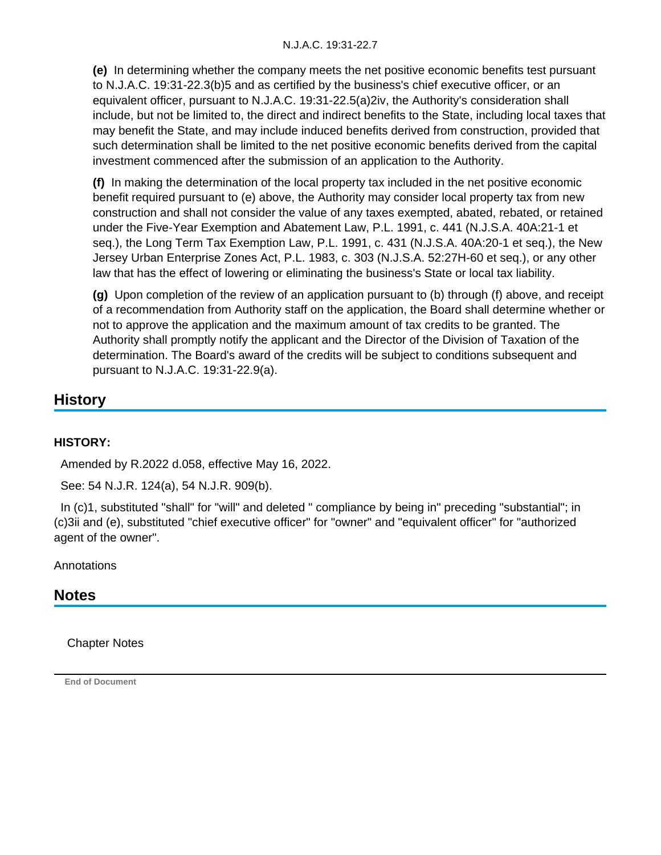**(e)** In determining whether the company meets the net positive economic benefits test pursuant to N.J.A.C. 19:31-22.3(b)5 and as certified by the business's chief executive officer, or an equivalent officer, pursuant to N.J.A.C. 19:31-22.5(a)2iv, the Authority's consideration shall include, but not be limited to, the direct and indirect benefits to the State, including local taxes that may benefit the State, and may include induced benefits derived from construction, provided that such determination shall be limited to the net positive economic benefits derived from the capital investment commenced after the submission of an application to the Authority.

**(f)** In making the determination of the local property tax included in the net positive economic benefit required pursuant to (e) above, the Authority may consider local property tax from new construction and shall not consider the value of any taxes exempted, abated, rebated, or retained under the Five-Year Exemption and Abatement Law, P.L. 1991, c. 441 (N.J.S.A. 40A:21-1 et seq.), the Long Term Tax Exemption Law, P.L. 1991, c. 431 (N.J.S.A. 40A:20-1 et seq.), the New Jersey Urban Enterprise Zones Act, P.L. 1983, c. 303 (N.J.S.A. 52:27H-60 et seq.), or any other law that has the effect of lowering or eliminating the business's State or local tax liability.

**(g)** Upon completion of the review of an application pursuant to (b) through (f) above, and receipt of a recommendation from Authority staff on the application, the Board shall determine whether or not to approve the application and the maximum amount of tax credits to be granted. The Authority shall promptly notify the applicant and the Director of the Division of Taxation of the determination. The Board's award of the credits will be subject to conditions subsequent and pursuant to N.J.A.C. 19:31-22.9(a).

# **History**

## **HISTORY:**

Amended by R.2022 d.058, effective May 16, 2022.

See: 54 N.J.R. 124(a), 54 N.J.R. 909(b).

In (c)1, substituted "shall" for "will" and deleted " compliance by being in" preceding "substantial"; in (c)3ii and (e), substituted "chief executive officer" for "owner" and "equivalent officer" for "authorized agent of the owner".

Annotations

# **Notes**

Chapter Notes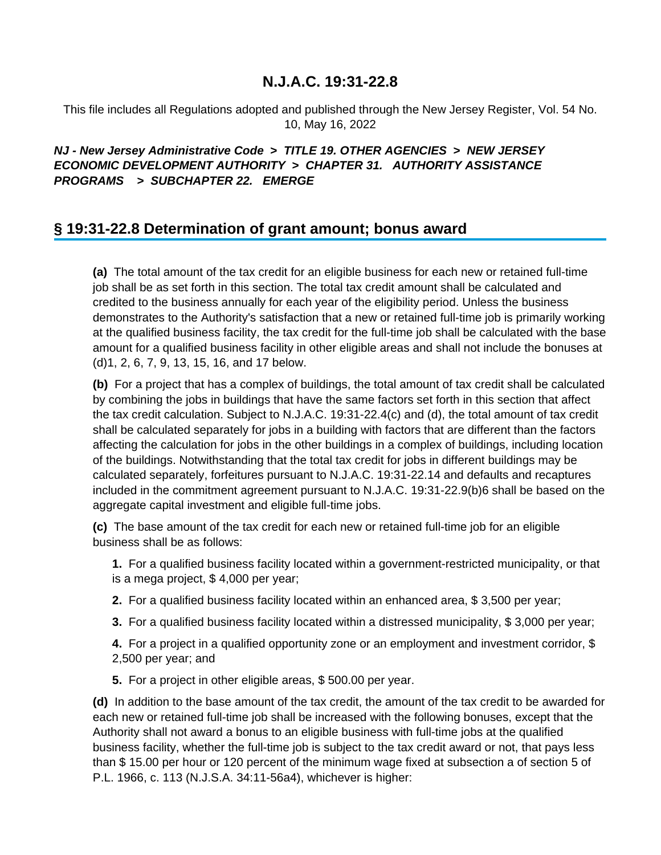This file includes all Regulations adopted and published through the New Jersey Register, Vol. 54 No. 10, May 16, 2022

## **NJ - New Jersey Administrative Code > TITLE 19. OTHER AGENCIES > NEW JERSEY ECONOMIC DEVELOPMENT AUTHORITY > CHAPTER 31. AUTHORITY ASSISTANCE PROGRAMS > SUBCHAPTER 22. EMERGE**

## **§ 19:31-22.8 Determination of grant amount; bonus award**

**(a)** The total amount of the tax credit for an eligible business for each new or retained full-time job shall be as set forth in this section. The total tax credit amount shall be calculated and credited to the business annually for each year of the eligibility period. Unless the business demonstrates to the Authority's satisfaction that a new or retained full-time job is primarily working at the qualified business facility, the tax credit for the full-time job shall be calculated with the base amount for a qualified business facility in other eligible areas and shall not include the bonuses at (d)1, 2, 6, 7, 9, 13, 15, 16, and 17 below.

**(b)** For a project that has a complex of buildings, the total amount of tax credit shall be calculated by combining the jobs in buildings that have the same factors set forth in this section that affect the tax credit calculation. Subject to N.J.A.C. 19:31-22.4(c) and (d), the total amount of tax credit shall be calculated separately for jobs in a building with factors that are different than the factors affecting the calculation for jobs in the other buildings in a complex of buildings, including location of the buildings. Notwithstanding that the total tax credit for jobs in different buildings may be calculated separately, forfeitures pursuant to N.J.A.C. 19:31-22.14 and defaults and recaptures included in the commitment agreement pursuant to N.J.A.C. 19:31-22.9(b)6 shall be based on the aggregate capital investment and eligible full-time jobs.

**(c)** The base amount of the tax credit for each new or retained full-time job for an eligible business shall be as follows:

**1.** For a qualified business facility located within a government-restricted municipality, or that is a mega project, \$ 4,000 per year;

- **2.** For a qualified business facility located within an enhanced area, \$ 3,500 per year;
- **3.** For a qualified business facility located within a distressed municipality, \$ 3,000 per year;

**4.** For a project in a qualified opportunity zone or an employment and investment corridor, \$ 2,500 per year; and

**5.** For a project in other eligible areas, \$ 500.00 per year.

**(d)** In addition to the base amount of the tax credit, the amount of the tax credit to be awarded for each new or retained full-time job shall be increased with the following bonuses, except that the Authority shall not award a bonus to an eligible business with full-time jobs at the qualified business facility, whether the full-time job is subject to the tax credit award or not, that pays less than \$ 15.00 per hour or 120 percent of the minimum wage fixed at subsection a of section 5 of P.L. 1966, c. 113 (N.J.S.A. 34:11-56a4), whichever is higher: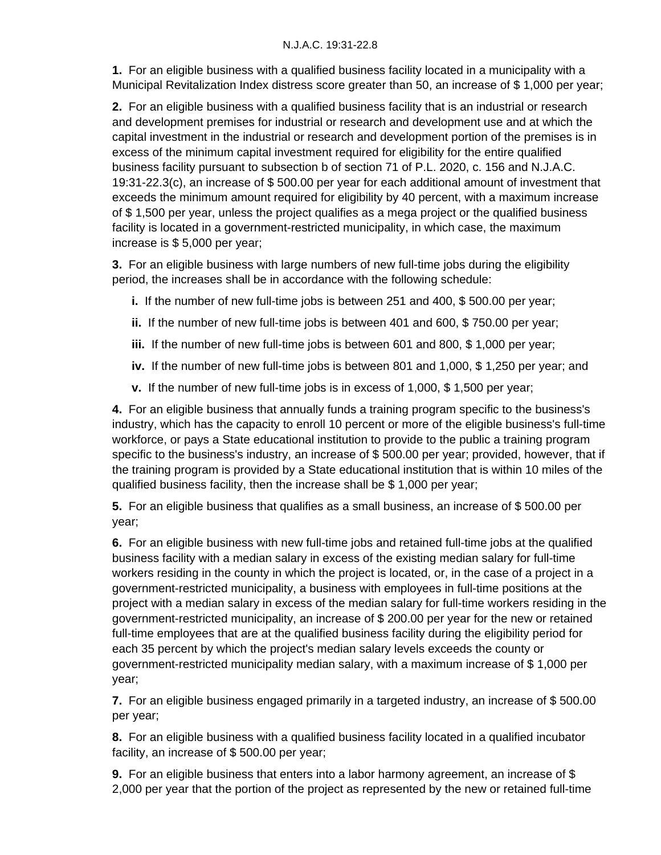**1.** For an eligible business with a qualified business facility located in a municipality with a Municipal Revitalization Index distress score greater than 50, an increase of \$ 1,000 per year;

**2.** For an eligible business with a qualified business facility that is an industrial or research and development premises for industrial or research and development use and at which the capital investment in the industrial or research and development portion of the premises is in excess of the minimum capital investment required for eligibility for the entire qualified business facility pursuant to subsection b of section 71 of P.L. 2020, c. 156 and N.J.A.C. 19:31-22.3(c), an increase of \$ 500.00 per year for each additional amount of investment that exceeds the minimum amount required for eligibility by 40 percent, with a maximum increase of \$ 1,500 per year, unless the project qualifies as a mega project or the qualified business facility is located in a government-restricted municipality, in which case, the maximum increase is \$ 5,000 per year;

**3.** For an eligible business with large numbers of new full-time jobs during the eligibility period, the increases shall be in accordance with the following schedule:

- **i.** If the number of new full-time jobs is between 251 and 400, \$ 500.00 per year;
- **ii.** If the number of new full-time jobs is between 401 and 600, \$ 750.00 per year;
- **iii.** If the number of new full-time jobs is between 601 and 800, \$ 1,000 per year;
- **iv.** If the number of new full-time jobs is between 801 and 1,000, \$ 1,250 per year; and
- **v.** If the number of new full-time jobs is in excess of 1,000, \$ 1,500 per year;

**4.** For an eligible business that annually funds a training program specific to the business's industry, which has the capacity to enroll 10 percent or more of the eligible business's full-time workforce, or pays a State educational institution to provide to the public a training program specific to the business's industry, an increase of \$ 500.00 per year; provided, however, that if the training program is provided by a State educational institution that is within 10 miles of the qualified business facility, then the increase shall be \$ 1,000 per year;

**5.** For an eligible business that qualifies as a small business, an increase of \$ 500.00 per year;

**6.** For an eligible business with new full-time jobs and retained full-time jobs at the qualified business facility with a median salary in excess of the existing median salary for full-time workers residing in the county in which the project is located, or, in the case of a project in a government-restricted municipality, a business with employees in full-time positions at the project with a median salary in excess of the median salary for full-time workers residing in the government-restricted municipality, an increase of \$ 200.00 per year for the new or retained full-time employees that are at the qualified business facility during the eligibility period for each 35 percent by which the project's median salary levels exceeds the county or government-restricted municipality median salary, with a maximum increase of \$ 1,000 per year;

**7.** For an eligible business engaged primarily in a targeted industry, an increase of \$ 500.00 per year;

**8.** For an eligible business with a qualified business facility located in a qualified incubator facility, an increase of \$ 500.00 per year;

**9.** For an eligible business that enters into a labor harmony agreement, an increase of \$ 2,000 per year that the portion of the project as represented by the new or retained full-time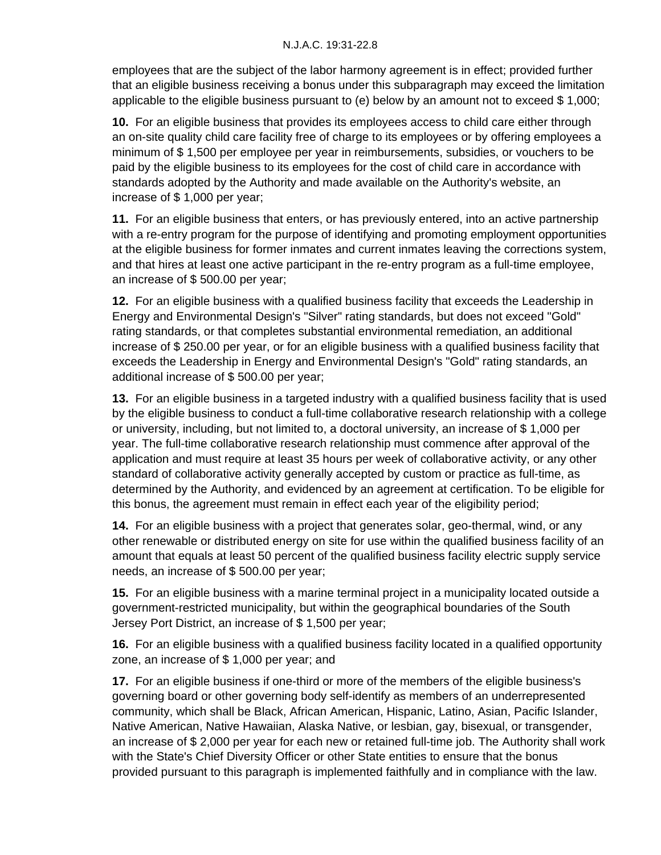employees that are the subject of the labor harmony agreement is in effect; provided further that an eligible business receiving a bonus under this subparagraph may exceed the limitation applicable to the eligible business pursuant to (e) below by an amount not to exceed \$ 1,000;

**10.** For an eligible business that provides its employees access to child care either through an on-site quality child care facility free of charge to its employees or by offering employees a minimum of \$ 1,500 per employee per year in reimbursements, subsidies, or vouchers to be paid by the eligible business to its employees for the cost of child care in accordance with standards adopted by the Authority and made available on the Authority's website, an increase of \$ 1,000 per year;

**11.** For an eligible business that enters, or has previously entered, into an active partnership with a re-entry program for the purpose of identifying and promoting employment opportunities at the eligible business for former inmates and current inmates leaving the corrections system, and that hires at least one active participant in the re-entry program as a full-time employee, an increase of \$ 500.00 per year;

**12.** For an eligible business with a qualified business facility that exceeds the Leadership in Energy and Environmental Design's "Silver" rating standards, but does not exceed "Gold" rating standards, or that completes substantial environmental remediation, an additional increase of \$ 250.00 per year, or for an eligible business with a qualified business facility that exceeds the Leadership in Energy and Environmental Design's "Gold" rating standards, an additional increase of \$ 500.00 per year;

**13.** For an eligible business in a targeted industry with a qualified business facility that is used by the eligible business to conduct a full-time collaborative research relationship with a college or university, including, but not limited to, a doctoral university, an increase of \$ 1,000 per year. The full-time collaborative research relationship must commence after approval of the application and must require at least 35 hours per week of collaborative activity, or any other standard of collaborative activity generally accepted by custom or practice as full-time, as determined by the Authority, and evidenced by an agreement at certification. To be eligible for this bonus, the agreement must remain in effect each year of the eligibility period;

**14.** For an eligible business with a project that generates solar, geo-thermal, wind, or any other renewable or distributed energy on site for use within the qualified business facility of an amount that equals at least 50 percent of the qualified business facility electric supply service needs, an increase of \$ 500.00 per year;

**15.** For an eligible business with a marine terminal project in a municipality located outside a government-restricted municipality, but within the geographical boundaries of the South Jersey Port District, an increase of \$ 1,500 per year;

**16.** For an eligible business with a qualified business facility located in a qualified opportunity zone, an increase of \$ 1,000 per year; and

**17.** For an eligible business if one-third or more of the members of the eligible business's governing board or other governing body self-identify as members of an underrepresented community, which shall be Black, African American, Hispanic, Latino, Asian, Pacific Islander, Native American, Native Hawaiian, Alaska Native, or lesbian, gay, bisexual, or transgender, an increase of \$ 2,000 per year for each new or retained full-time job. The Authority shall work with the State's Chief Diversity Officer or other State entities to ensure that the bonus provided pursuant to this paragraph is implemented faithfully and in compliance with the law.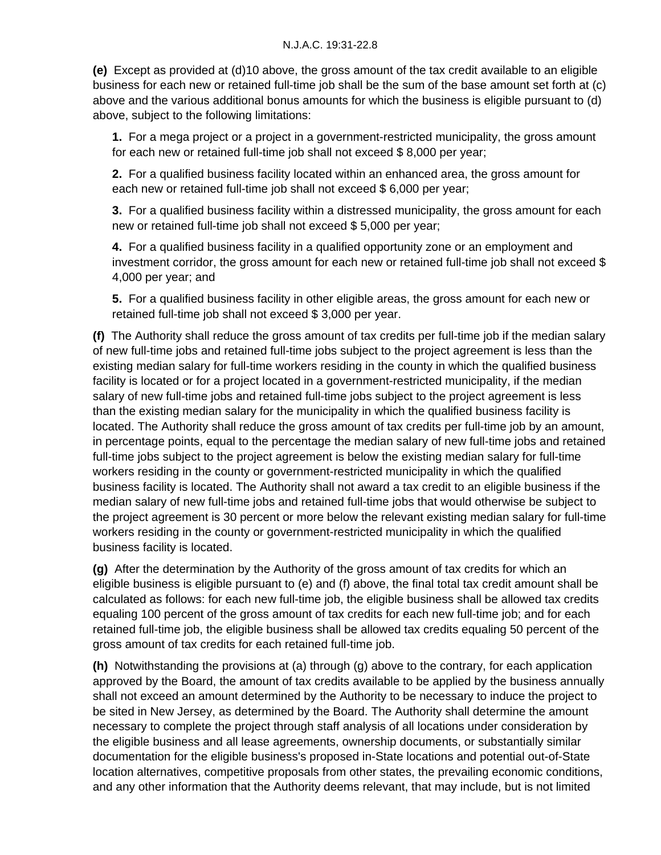**(e)** Except as provided at (d)10 above, the gross amount of the tax credit available to an eligible business for each new or retained full-time job shall be the sum of the base amount set forth at (c) above and the various additional bonus amounts for which the business is eligible pursuant to (d) above, subject to the following limitations:

**1.** For a mega project or a project in a government-restricted municipality, the gross amount for each new or retained full-time job shall not exceed \$ 8,000 per year;

**2.** For a qualified business facility located within an enhanced area, the gross amount for each new or retained full-time job shall not exceed \$ 6,000 per year;

**3.** For a qualified business facility within a distressed municipality, the gross amount for each new or retained full-time job shall not exceed \$ 5,000 per year;

**4.** For a qualified business facility in a qualified opportunity zone or an employment and investment corridor, the gross amount for each new or retained full-time job shall not exceed \$ 4,000 per year; and

**5.** For a qualified business facility in other eligible areas, the gross amount for each new or retained full-time job shall not exceed \$ 3,000 per year.

**(f)** The Authority shall reduce the gross amount of tax credits per full-time job if the median salary of new full-time jobs and retained full-time jobs subject to the project agreement is less than the existing median salary for full-time workers residing in the county in which the qualified business facility is located or for a project located in a government-restricted municipality, if the median salary of new full-time jobs and retained full-time jobs subject to the project agreement is less than the existing median salary for the municipality in which the qualified business facility is located. The Authority shall reduce the gross amount of tax credits per full-time job by an amount, in percentage points, equal to the percentage the median salary of new full-time jobs and retained full-time jobs subject to the project agreement is below the existing median salary for full-time workers residing in the county or government-restricted municipality in which the qualified business facility is located. The Authority shall not award a tax credit to an eligible business if the median salary of new full-time jobs and retained full-time jobs that would otherwise be subject to the project agreement is 30 percent or more below the relevant existing median salary for full-time workers residing in the county or government-restricted municipality in which the qualified business facility is located.

**(g)** After the determination by the Authority of the gross amount of tax credits for which an eligible business is eligible pursuant to (e) and (f) above, the final total tax credit amount shall be calculated as follows: for each new full-time job, the eligible business shall be allowed tax credits equaling 100 percent of the gross amount of tax credits for each new full-time job; and for each retained full-time job, the eligible business shall be allowed tax credits equaling 50 percent of the gross amount of tax credits for each retained full-time job.

**(h)** Notwithstanding the provisions at (a) through (g) above to the contrary, for each application approved by the Board, the amount of tax credits available to be applied by the business annually shall not exceed an amount determined by the Authority to be necessary to induce the project to be sited in New Jersey, as determined by the Board. The Authority shall determine the amount necessary to complete the project through staff analysis of all locations under consideration by the eligible business and all lease agreements, ownership documents, or substantially similar documentation for the eligible business's proposed in-State locations and potential out-of-State location alternatives, competitive proposals from other states, the prevailing economic conditions, and any other information that the Authority deems relevant, that may include, but is not limited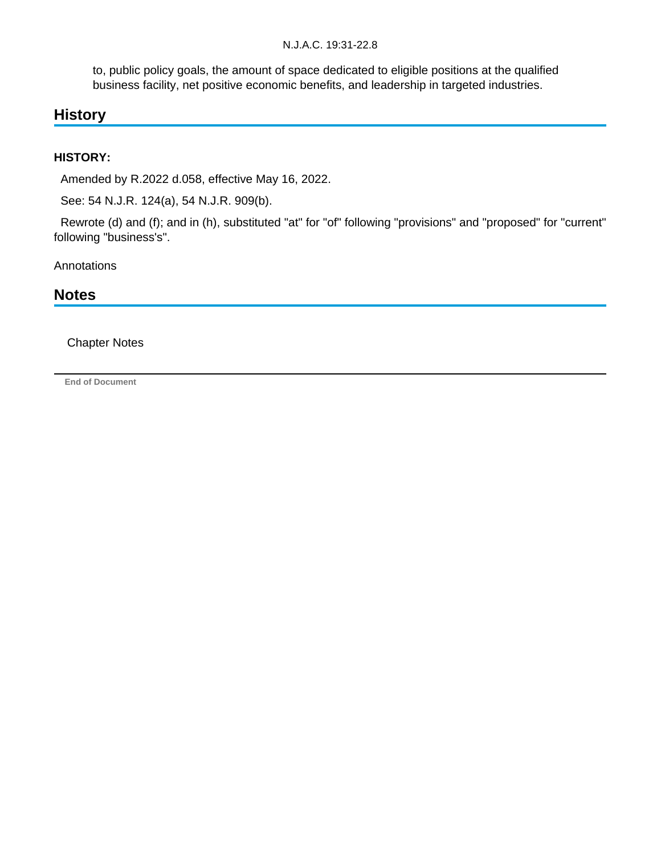to, public policy goals, the amount of space dedicated to eligible positions at the qualified business facility, net positive economic benefits, and leadership in targeted industries.

# **History**

## **HISTORY:**

Amended by R.2022 d.058, effective May 16, 2022.

See: 54 N.J.R. 124(a), 54 N.J.R. 909(b).

 Rewrote (d) and (f); and in (h), substituted "at" for "of" following "provisions" and "proposed" for "current" following "business's".

**Annotations** 

# **Notes**

## Chapter Notes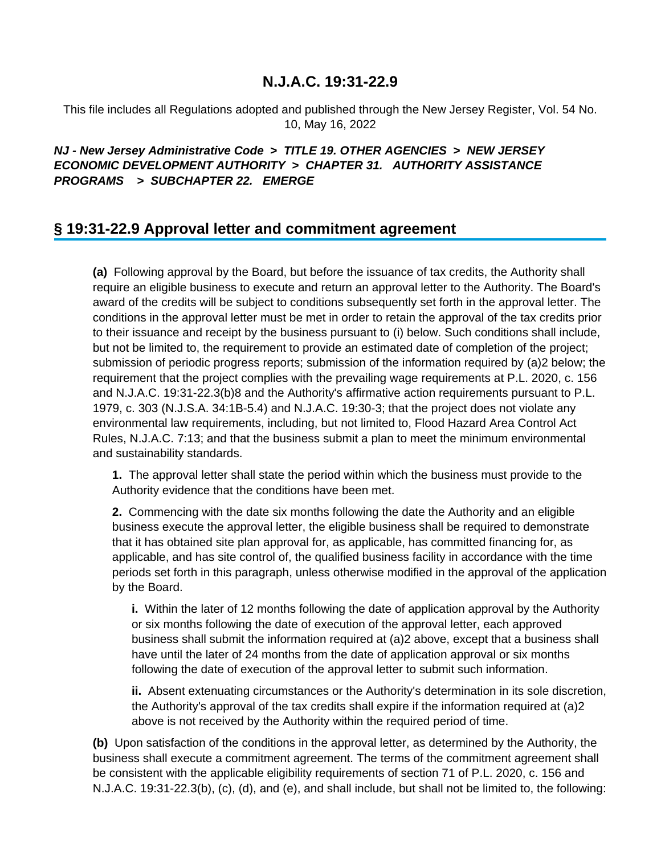This file includes all Regulations adopted and published through the New Jersey Register, Vol. 54 No. 10, May 16, 2022

## **NJ - New Jersey Administrative Code > TITLE 19. OTHER AGENCIES > NEW JERSEY ECONOMIC DEVELOPMENT AUTHORITY > CHAPTER 31. AUTHORITY ASSISTANCE PROGRAMS > SUBCHAPTER 22. EMERGE**

## **§ 19:31-22.9 Approval letter and commitment agreement**

**(a)** Following approval by the Board, but before the issuance of tax credits, the Authority shall require an eligible business to execute and return an approval letter to the Authority. The Board's award of the credits will be subject to conditions subsequently set forth in the approval letter. The conditions in the approval letter must be met in order to retain the approval of the tax credits prior to their issuance and receipt by the business pursuant to (i) below. Such conditions shall include, but not be limited to, the requirement to provide an estimated date of completion of the project; submission of periodic progress reports; submission of the information required by (a)2 below; the requirement that the project complies with the prevailing wage requirements at P.L. 2020, c. 156 and N.J.A.C. 19:31-22.3(b)8 and the Authority's affirmative action requirements pursuant to P.L. 1979, c. 303 (N.J.S.A. 34:1B-5.4) and N.J.A.C. 19:30-3; that the project does not violate any environmental law requirements, including, but not limited to, Flood Hazard Area Control Act Rules, N.J.A.C. 7:13; and that the business submit a plan to meet the minimum environmental and sustainability standards.

**1.** The approval letter shall state the period within which the business must provide to the Authority evidence that the conditions have been met.

**2.** Commencing with the date six months following the date the Authority and an eligible business execute the approval letter, the eligible business shall be required to demonstrate that it has obtained site plan approval for, as applicable, has committed financing for, as applicable, and has site control of, the qualified business facility in accordance with the time periods set forth in this paragraph, unless otherwise modified in the approval of the application by the Board.

**i.** Within the later of 12 months following the date of application approval by the Authority or six months following the date of execution of the approval letter, each approved business shall submit the information required at (a)2 above, except that a business shall have until the later of 24 months from the date of application approval or six months following the date of execution of the approval letter to submit such information.

**ii.** Absent extenuating circumstances or the Authority's determination in its sole discretion, the Authority's approval of the tax credits shall expire if the information required at (a)2 above is not received by the Authority within the required period of time.

**(b)** Upon satisfaction of the conditions in the approval letter, as determined by the Authority, the business shall execute a commitment agreement. The terms of the commitment agreement shall be consistent with the applicable eligibility requirements of section 71 of P.L. 2020, c. 156 and N.J.A.C. 19:31-22.3(b), (c), (d), and (e), and shall include, but shall not be limited to, the following: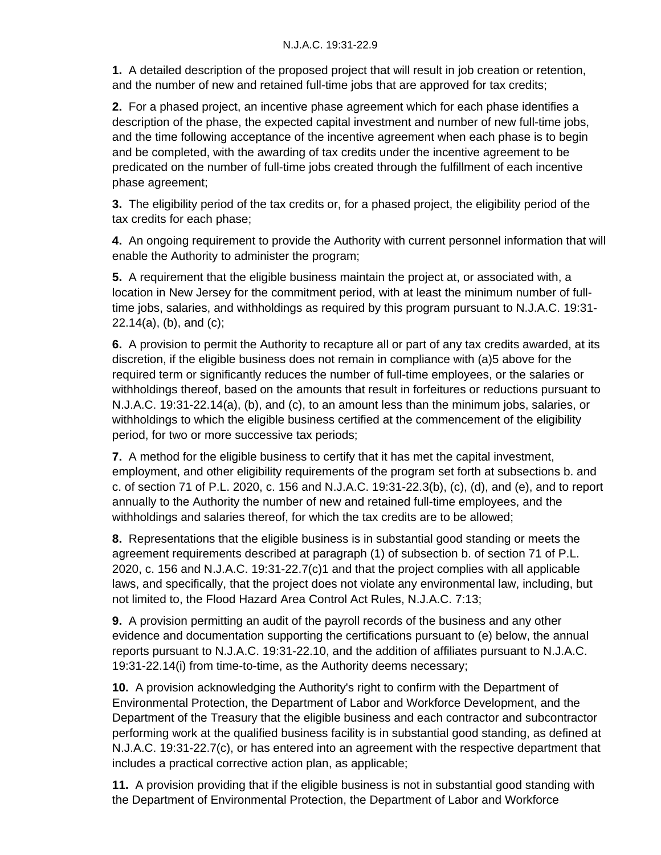**1.** A detailed description of the proposed project that will result in job creation or retention, and the number of new and retained full-time jobs that are approved for tax credits;

**2.** For a phased project, an incentive phase agreement which for each phase identifies a description of the phase, the expected capital investment and number of new full-time jobs, and the time following acceptance of the incentive agreement when each phase is to begin and be completed, with the awarding of tax credits under the incentive agreement to be predicated on the number of full-time jobs created through the fulfillment of each incentive phase agreement;

**3.** The eligibility period of the tax credits or, for a phased project, the eligibility period of the tax credits for each phase;

**4.** An ongoing requirement to provide the Authority with current personnel information that will enable the Authority to administer the program;

**5.** A requirement that the eligible business maintain the project at, or associated with, a location in New Jersey for the commitment period, with at least the minimum number of fulltime jobs, salaries, and withholdings as required by this program pursuant to N.J.A.C. 19:31- 22.14(a), (b), and (c);

**6.** A provision to permit the Authority to recapture all or part of any tax credits awarded, at its discretion, if the eligible business does not remain in compliance with (a)5 above for the required term or significantly reduces the number of full-time employees, or the salaries or withholdings thereof, based on the amounts that result in forfeitures or reductions pursuant to N.J.A.C. 19:31-22.14(a), (b), and (c), to an amount less than the minimum jobs, salaries, or withholdings to which the eligible business certified at the commencement of the eligibility period, for two or more successive tax periods;

**7.** A method for the eligible business to certify that it has met the capital investment, employment, and other eligibility requirements of the program set forth at subsections b. and c. of section 71 of P.L. 2020, c. 156 and N.J.A.C. 19:31-22.3(b), (c), (d), and (e), and to report annually to the Authority the number of new and retained full-time employees, and the withholdings and salaries thereof, for which the tax credits are to be allowed;

**8.** Representations that the eligible business is in substantial good standing or meets the agreement requirements described at paragraph (1) of subsection b. of section 71 of P.L. 2020, c. 156 and N.J.A.C. 19:31-22.7(c)1 and that the project complies with all applicable laws, and specifically, that the project does not violate any environmental law, including, but not limited to, the Flood Hazard Area Control Act Rules, N.J.A.C. 7:13;

**9.** A provision permitting an audit of the payroll records of the business and any other evidence and documentation supporting the certifications pursuant to (e) below, the annual reports pursuant to N.J.A.C. 19:31-22.10, and the addition of affiliates pursuant to N.J.A.C. 19:31-22.14(i) from time-to-time, as the Authority deems necessary;

**10.** A provision acknowledging the Authority's right to confirm with the Department of Environmental Protection, the Department of Labor and Workforce Development, and the Department of the Treasury that the eligible business and each contractor and subcontractor performing work at the qualified business facility is in substantial good standing, as defined at N.J.A.C. 19:31-22.7(c), or has entered into an agreement with the respective department that includes a practical corrective action plan, as applicable;

**11.** A provision providing that if the eligible business is not in substantial good standing with the Department of Environmental Protection, the Department of Labor and Workforce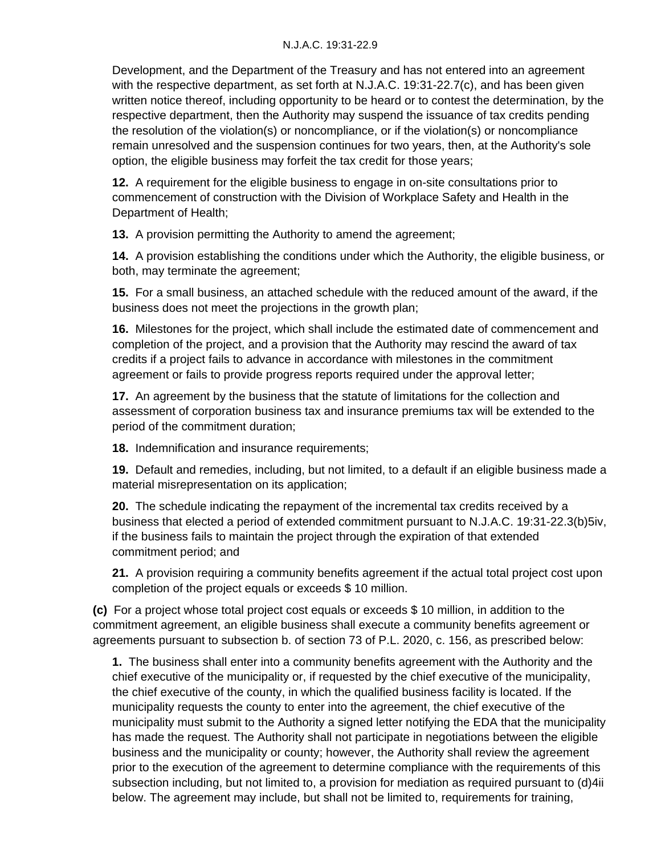Development, and the Department of the Treasury and has not entered into an agreement with the respective department, as set forth at N.J.A.C. 19:31-22.7(c), and has been given written notice thereof, including opportunity to be heard or to contest the determination, by the respective department, then the Authority may suspend the issuance of tax credits pending the resolution of the violation(s) or noncompliance, or if the violation(s) or noncompliance remain unresolved and the suspension continues for two years, then, at the Authority's sole option, the eligible business may forfeit the tax credit for those years;

**12.** A requirement for the eligible business to engage in on-site consultations prior to commencement of construction with the Division of Workplace Safety and Health in the Department of Health;

**13.** A provision permitting the Authority to amend the agreement;

**14.** A provision establishing the conditions under which the Authority, the eligible business, or both, may terminate the agreement;

**15.** For a small business, an attached schedule with the reduced amount of the award, if the business does not meet the projections in the growth plan;

**16.** Milestones for the project, which shall include the estimated date of commencement and completion of the project, and a provision that the Authority may rescind the award of tax credits if a project fails to advance in accordance with milestones in the commitment agreement or fails to provide progress reports required under the approval letter;

**17.** An agreement by the business that the statute of limitations for the collection and assessment of corporation business tax and insurance premiums tax will be extended to the period of the commitment duration;

**18.** Indemnification and insurance requirements;

**19.** Default and remedies, including, but not limited, to a default if an eligible business made a material misrepresentation on its application;

**20.** The schedule indicating the repayment of the incremental tax credits received by a business that elected a period of extended commitment pursuant to N.J.A.C. 19:31-22.3(b)5iv, if the business fails to maintain the project through the expiration of that extended commitment period; and

**21.** A provision requiring a community benefits agreement if the actual total project cost upon completion of the project equals or exceeds \$ 10 million.

**(c)** For a project whose total project cost equals or exceeds \$ 10 million, in addition to the commitment agreement, an eligible business shall execute a community benefits agreement or agreements pursuant to subsection b. of section 73 of P.L. 2020, c. 156, as prescribed below:

**1.** The business shall enter into a community benefits agreement with the Authority and the chief executive of the municipality or, if requested by the chief executive of the municipality, the chief executive of the county, in which the qualified business facility is located. If the municipality requests the county to enter into the agreement, the chief executive of the municipality must submit to the Authority a signed letter notifying the EDA that the municipality has made the request. The Authority shall not participate in negotiations between the eligible business and the municipality or county; however, the Authority shall review the agreement prior to the execution of the agreement to determine compliance with the requirements of this subsection including, but not limited to, a provision for mediation as required pursuant to (d)4ii below. The agreement may include, but shall not be limited to, requirements for training,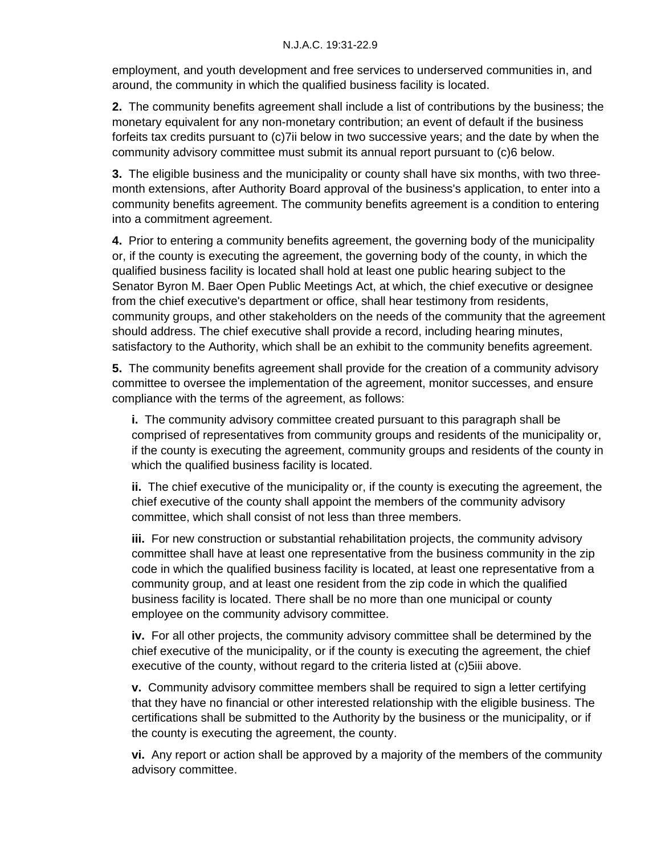employment, and youth development and free services to underserved communities in, and around, the community in which the qualified business facility is located.

**2.** The community benefits agreement shall include a list of contributions by the business; the monetary equivalent for any non-monetary contribution; an event of default if the business forfeits tax credits pursuant to (c)7ii below in two successive years; and the date by when the community advisory committee must submit its annual report pursuant to (c)6 below.

**3.** The eligible business and the municipality or county shall have six months, with two threemonth extensions, after Authority Board approval of the business's application, to enter into a community benefits agreement. The community benefits agreement is a condition to entering into a commitment agreement.

**4.** Prior to entering a community benefits agreement, the governing body of the municipality or, if the county is executing the agreement, the governing body of the county, in which the qualified business facility is located shall hold at least one public hearing subject to the Senator Byron M. Baer Open Public Meetings Act, at which, the chief executive or designee from the chief executive's department or office, shall hear testimony from residents, community groups, and other stakeholders on the needs of the community that the agreement should address. The chief executive shall provide a record, including hearing minutes, satisfactory to the Authority, which shall be an exhibit to the community benefits agreement.

**5.** The community benefits agreement shall provide for the creation of a community advisory committee to oversee the implementation of the agreement, monitor successes, and ensure compliance with the terms of the agreement, as follows:

**i.** The community advisory committee created pursuant to this paragraph shall be comprised of representatives from community groups and residents of the municipality or, if the county is executing the agreement, community groups and residents of the county in which the qualified business facility is located.

**ii.** The chief executive of the municipality or, if the county is executing the agreement, the chief executive of the county shall appoint the members of the community advisory committee, which shall consist of not less than three members.

**iii.** For new construction or substantial rehabilitation projects, the community advisory committee shall have at least one representative from the business community in the zip code in which the qualified business facility is located, at least one representative from a community group, and at least one resident from the zip code in which the qualified business facility is located. There shall be no more than one municipal or county employee on the community advisory committee.

**iv.** For all other projects, the community advisory committee shall be determined by the chief executive of the municipality, or if the county is executing the agreement, the chief executive of the county, without regard to the criteria listed at (c)5iii above.

**v.** Community advisory committee members shall be required to sign a letter certifying that they have no financial or other interested relationship with the eligible business. The certifications shall be submitted to the Authority by the business or the municipality, or if the county is executing the agreement, the county.

**vi.** Any report or action shall be approved by a majority of the members of the community advisory committee.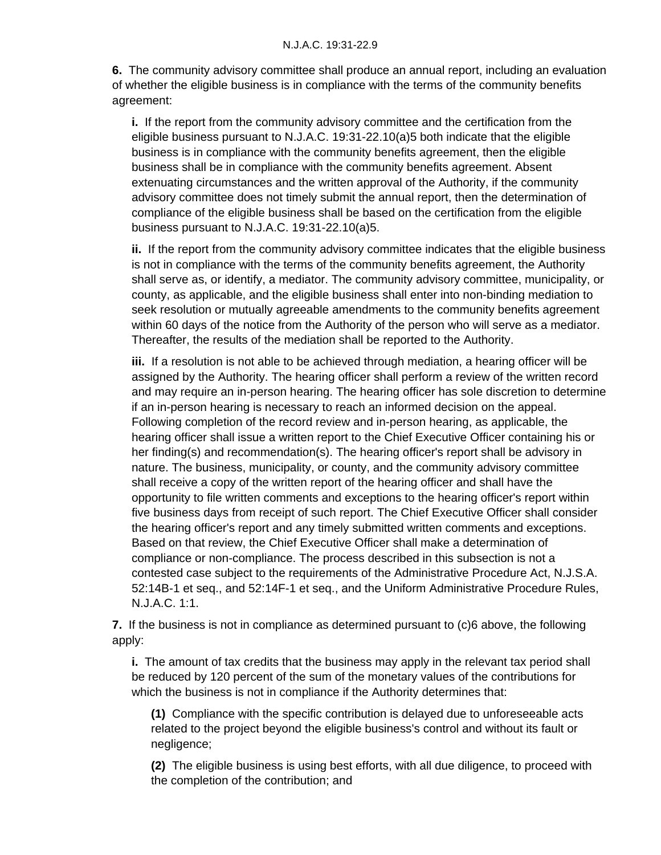**6.** The community advisory committee shall produce an annual report, including an evaluation of whether the eligible business is in compliance with the terms of the community benefits agreement:

**i.** If the report from the community advisory committee and the certification from the eligible business pursuant to N.J.A.C. 19:31-22.10(a)5 both indicate that the eligible business is in compliance with the community benefits agreement, then the eligible business shall be in compliance with the community benefits agreement. Absent extenuating circumstances and the written approval of the Authority, if the community advisory committee does not timely submit the annual report, then the determination of compliance of the eligible business shall be based on the certification from the eligible business pursuant to N.J.A.C. 19:31-22.10(a)5.

**ii.** If the report from the community advisory committee indicates that the eligible business is not in compliance with the terms of the community benefits agreement, the Authority shall serve as, or identify, a mediator. The community advisory committee, municipality, or county, as applicable, and the eligible business shall enter into non-binding mediation to seek resolution or mutually agreeable amendments to the community benefits agreement within 60 days of the notice from the Authority of the person who will serve as a mediator. Thereafter, the results of the mediation shall be reported to the Authority.

**iii.** If a resolution is not able to be achieved through mediation, a hearing officer will be assigned by the Authority. The hearing officer shall perform a review of the written record and may require an in-person hearing. The hearing officer has sole discretion to determine if an in-person hearing is necessary to reach an informed decision on the appeal. Following completion of the record review and in-person hearing, as applicable, the hearing officer shall issue a written report to the Chief Executive Officer containing his or her finding(s) and recommendation(s). The hearing officer's report shall be advisory in nature. The business, municipality, or county, and the community advisory committee shall receive a copy of the written report of the hearing officer and shall have the opportunity to file written comments and exceptions to the hearing officer's report within five business days from receipt of such report. The Chief Executive Officer shall consider the hearing officer's report and any timely submitted written comments and exceptions. Based on that review, the Chief Executive Officer shall make a determination of compliance or non-compliance. The process described in this subsection is not a contested case subject to the requirements of the Administrative Procedure Act, N.J.S.A. 52:14B-1 et seq., and 52:14F-1 et seq., and the Uniform Administrative Procedure Rules, N.J.A.C. 1:1.

**7.** If the business is not in compliance as determined pursuant to (c)6 above, the following apply:

**i.** The amount of tax credits that the business may apply in the relevant tax period shall be reduced by 120 percent of the sum of the monetary values of the contributions for which the business is not in compliance if the Authority determines that:

**(1)** Compliance with the specific contribution is delayed due to unforeseeable acts related to the project beyond the eligible business's control and without its fault or negligence;

**(2)** The eligible business is using best efforts, with all due diligence, to proceed with the completion of the contribution; and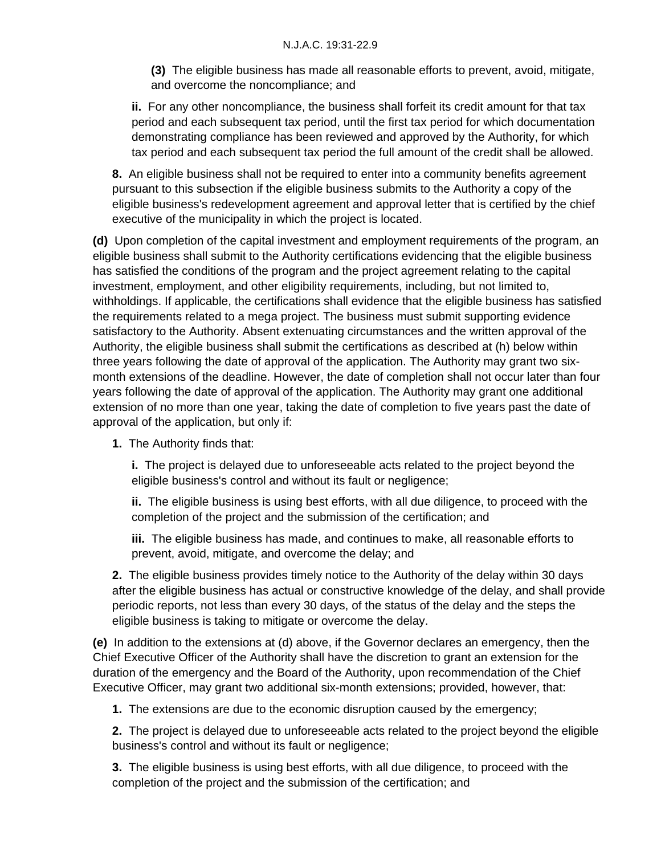**(3)** The eligible business has made all reasonable efforts to prevent, avoid, mitigate, and overcome the noncompliance; and

**ii.** For any other noncompliance, the business shall forfeit its credit amount for that tax period and each subsequent tax period, until the first tax period for which documentation demonstrating compliance has been reviewed and approved by the Authority, for which tax period and each subsequent tax period the full amount of the credit shall be allowed.

**8.** An eligible business shall not be required to enter into a community benefits agreement pursuant to this subsection if the eligible business submits to the Authority a copy of the eligible business's redevelopment agreement and approval letter that is certified by the chief executive of the municipality in which the project is located.

**(d)** Upon completion of the capital investment and employment requirements of the program, an eligible business shall submit to the Authority certifications evidencing that the eligible business has satisfied the conditions of the program and the project agreement relating to the capital investment, employment, and other eligibility requirements, including, but not limited to, withholdings. If applicable, the certifications shall evidence that the eligible business has satisfied the requirements related to a mega project. The business must submit supporting evidence satisfactory to the Authority. Absent extenuating circumstances and the written approval of the Authority, the eligible business shall submit the certifications as described at (h) below within three years following the date of approval of the application. The Authority may grant two sixmonth extensions of the deadline. However, the date of completion shall not occur later than four years following the date of approval of the application. The Authority may grant one additional extension of no more than one year, taking the date of completion to five years past the date of approval of the application, but only if:

**1.** The Authority finds that:

**i.** The project is delayed due to unforeseeable acts related to the project beyond the eligible business's control and without its fault or negligence;

**ii.** The eligible business is using best efforts, with all due diligence, to proceed with the completion of the project and the submission of the certification; and

**iii.** The eligible business has made, and continues to make, all reasonable efforts to prevent, avoid, mitigate, and overcome the delay; and

**2.** The eligible business provides timely notice to the Authority of the delay within 30 days after the eligible business has actual or constructive knowledge of the delay, and shall provide periodic reports, not less than every 30 days, of the status of the delay and the steps the eligible business is taking to mitigate or overcome the delay.

**(e)** In addition to the extensions at (d) above, if the Governor declares an emergency, then the Chief Executive Officer of the Authority shall have the discretion to grant an extension for the duration of the emergency and the Board of the Authority, upon recommendation of the Chief Executive Officer, may grant two additional six-month extensions; provided, however, that:

**1.** The extensions are due to the economic disruption caused by the emergency;

**2.** The project is delayed due to unforeseeable acts related to the project beyond the eligible business's control and without its fault or negligence;

**3.** The eligible business is using best efforts, with all due diligence, to proceed with the completion of the project and the submission of the certification; and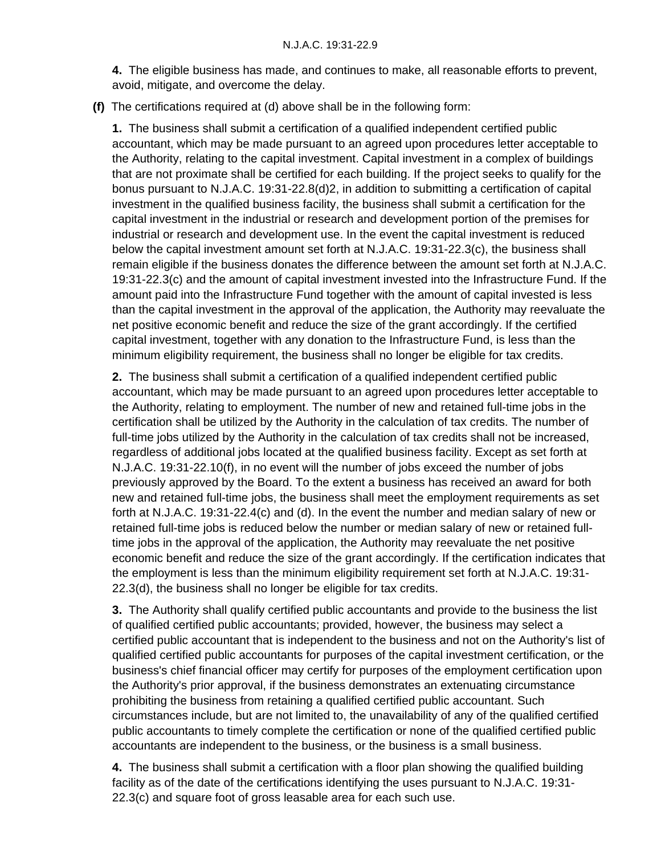**4.** The eligible business has made, and continues to make, all reasonable efforts to prevent, avoid, mitigate, and overcome the delay.

**(f)** The certifications required at (d) above shall be in the following form:

**1.** The business shall submit a certification of a qualified independent certified public accountant, which may be made pursuant to an agreed upon procedures letter acceptable to the Authority, relating to the capital investment. Capital investment in a complex of buildings that are not proximate shall be certified for each building. If the project seeks to qualify for the bonus pursuant to N.J.A.C. 19:31-22.8(d)2, in addition to submitting a certification of capital investment in the qualified business facility, the business shall submit a certification for the capital investment in the industrial or research and development portion of the premises for industrial or research and development use. In the event the capital investment is reduced below the capital investment amount set forth at N.J.A.C. 19:31-22.3(c), the business shall remain eligible if the business donates the difference between the amount set forth at N.J.A.C. 19:31-22.3(c) and the amount of capital investment invested into the Infrastructure Fund. If the amount paid into the Infrastructure Fund together with the amount of capital invested is less than the capital investment in the approval of the application, the Authority may reevaluate the net positive economic benefit and reduce the size of the grant accordingly. If the certified capital investment, together with any donation to the Infrastructure Fund, is less than the minimum eligibility requirement, the business shall no longer be eligible for tax credits.

**2.** The business shall submit a certification of a qualified independent certified public accountant, which may be made pursuant to an agreed upon procedures letter acceptable to the Authority, relating to employment. The number of new and retained full-time jobs in the certification shall be utilized by the Authority in the calculation of tax credits. The number of full-time jobs utilized by the Authority in the calculation of tax credits shall not be increased, regardless of additional jobs located at the qualified business facility. Except as set forth at N.J.A.C. 19:31-22.10(f), in no event will the number of jobs exceed the number of jobs previously approved by the Board. To the extent a business has received an award for both new and retained full-time jobs, the business shall meet the employment requirements as set forth at N.J.A.C. 19:31-22.4(c) and (d). In the event the number and median salary of new or retained full-time jobs is reduced below the number or median salary of new or retained fulltime jobs in the approval of the application, the Authority may reevaluate the net positive economic benefit and reduce the size of the grant accordingly. If the certification indicates that the employment is less than the minimum eligibility requirement set forth at N.J.A.C. 19:31- 22.3(d), the business shall no longer be eligible for tax credits.

**3.** The Authority shall qualify certified public accountants and provide to the business the list of qualified certified public accountants; provided, however, the business may select a certified public accountant that is independent to the business and not on the Authority's list of qualified certified public accountants for purposes of the capital investment certification, or the business's chief financial officer may certify for purposes of the employment certification upon the Authority's prior approval, if the business demonstrates an extenuating circumstance prohibiting the business from retaining a qualified certified public accountant. Such circumstances include, but are not limited to, the unavailability of any of the qualified certified public accountants to timely complete the certification or none of the qualified certified public accountants are independent to the business, or the business is a small business.

**4.** The business shall submit a certification with a floor plan showing the qualified building facility as of the date of the certifications identifying the uses pursuant to N.J.A.C. 19:31- 22.3(c) and square foot of gross leasable area for each such use.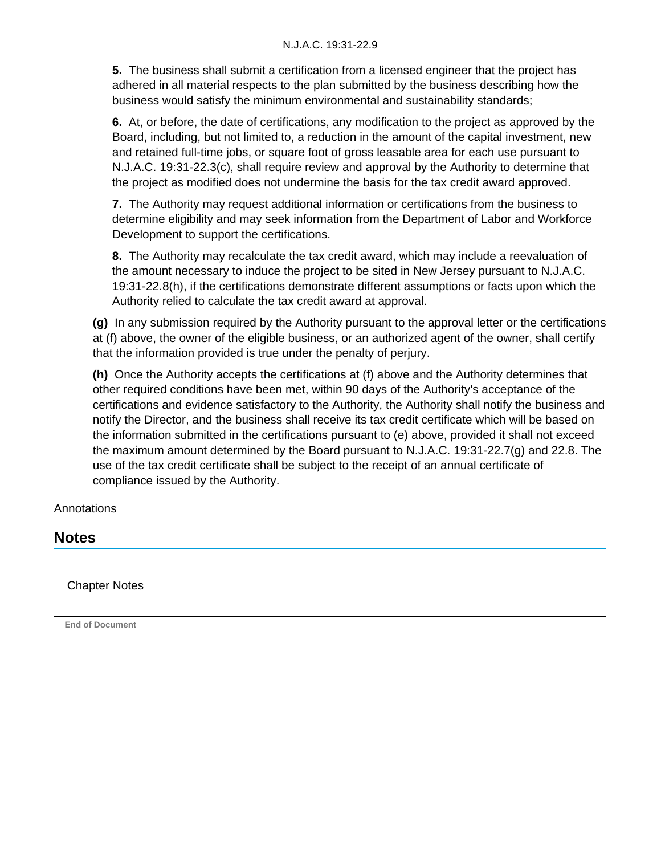**5.** The business shall submit a certification from a licensed engineer that the project has adhered in all material respects to the plan submitted by the business describing how the business would satisfy the minimum environmental and sustainability standards;

**6.** At, or before, the date of certifications, any modification to the project as approved by the Board, including, but not limited to, a reduction in the amount of the capital investment, new and retained full-time jobs, or square foot of gross leasable area for each use pursuant to N.J.A.C. 19:31-22.3(c), shall require review and approval by the Authority to determine that the project as modified does not undermine the basis for the tax credit award approved.

**7.** The Authority may request additional information or certifications from the business to determine eligibility and may seek information from the Department of Labor and Workforce Development to support the certifications.

**8.** The Authority may recalculate the tax credit award, which may include a reevaluation of the amount necessary to induce the project to be sited in New Jersey pursuant to N.J.A.C. 19:31-22.8(h), if the certifications demonstrate different assumptions or facts upon which the Authority relied to calculate the tax credit award at approval.

**(g)** In any submission required by the Authority pursuant to the approval letter or the certifications at (f) above, the owner of the eligible business, or an authorized agent of the owner, shall certify that the information provided is true under the penalty of perjury.

**(h)** Once the Authority accepts the certifications at (f) above and the Authority determines that other required conditions have been met, within 90 days of the Authority's acceptance of the certifications and evidence satisfactory to the Authority, the Authority shall notify the business and notify the Director, and the business shall receive its tax credit certificate which will be based on the information submitted in the certifications pursuant to (e) above, provided it shall not exceed the maximum amount determined by the Board pursuant to N.J.A.C. 19:31-22.7(g) and 22.8. The use of the tax credit certificate shall be subject to the receipt of an annual certificate of compliance issued by the Authority.

**Annotations** 

## **Notes**

Chapter Notes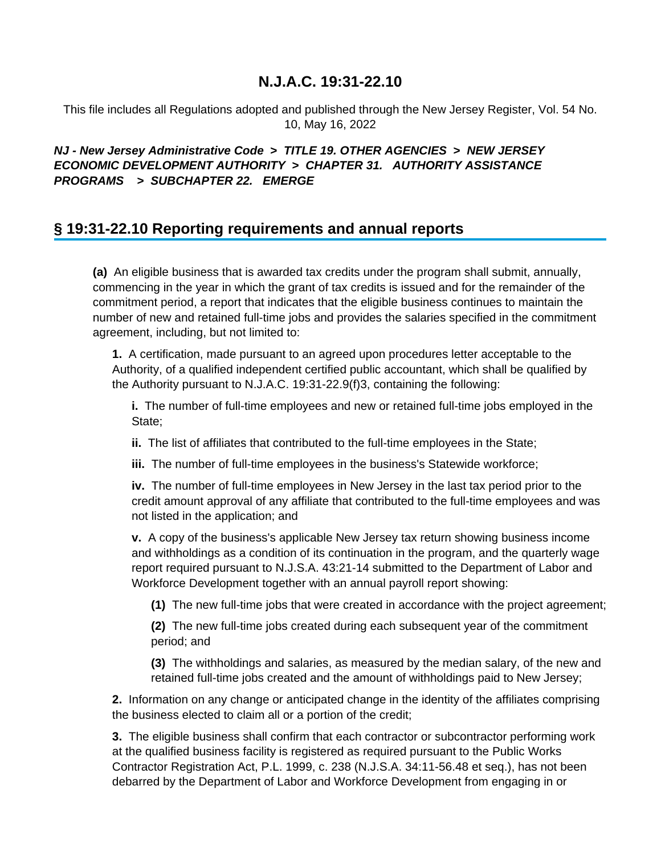This file includes all Regulations adopted and published through the New Jersey Register, Vol. 54 No. 10, May 16, 2022

## **NJ - New Jersey Administrative Code > TITLE 19. OTHER AGENCIES > NEW JERSEY ECONOMIC DEVELOPMENT AUTHORITY > CHAPTER 31. AUTHORITY ASSISTANCE PROGRAMS > SUBCHAPTER 22. EMERGE**

## **§ 19:31-22.10 Reporting requirements and annual reports**

**(a)** An eligible business that is awarded tax credits under the program shall submit, annually, commencing in the year in which the grant of tax credits is issued and for the remainder of the commitment period, a report that indicates that the eligible business continues to maintain the number of new and retained full-time jobs and provides the salaries specified in the commitment agreement, including, but not limited to:

**1.** A certification, made pursuant to an agreed upon procedures letter acceptable to the Authority, of a qualified independent certified public accountant, which shall be qualified by the Authority pursuant to N.J.A.C. 19:31-22.9(f)3, containing the following:

**i.** The number of full-time employees and new or retained full-time jobs employed in the State;

**ii.** The list of affiliates that contributed to the full-time employees in the State;

**iii.** The number of full-time employees in the business's Statewide workforce;

**iv.** The number of full-time employees in New Jersey in the last tax period prior to the credit amount approval of any affiliate that contributed to the full-time employees and was not listed in the application; and

**v.** A copy of the business's applicable New Jersey tax return showing business income and withholdings as a condition of its continuation in the program, and the quarterly wage report required pursuant to N.J.S.A. 43:21-14 submitted to the Department of Labor and Workforce Development together with an annual payroll report showing:

**(1)** The new full-time jobs that were created in accordance with the project agreement;

**(2)** The new full-time jobs created during each subsequent year of the commitment period; and

**(3)** The withholdings and salaries, as measured by the median salary, of the new and retained full-time jobs created and the amount of withholdings paid to New Jersey;

**2.** Information on any change or anticipated change in the identity of the affiliates comprising the business elected to claim all or a portion of the credit;

**3.** The eligible business shall confirm that each contractor or subcontractor performing work at the qualified business facility is registered as required pursuant to the Public Works Contractor Registration Act, P.L. 1999, c. 238 (N.J.S.A. 34:11-56.48 et seq.), has not been debarred by the Department of Labor and Workforce Development from engaging in or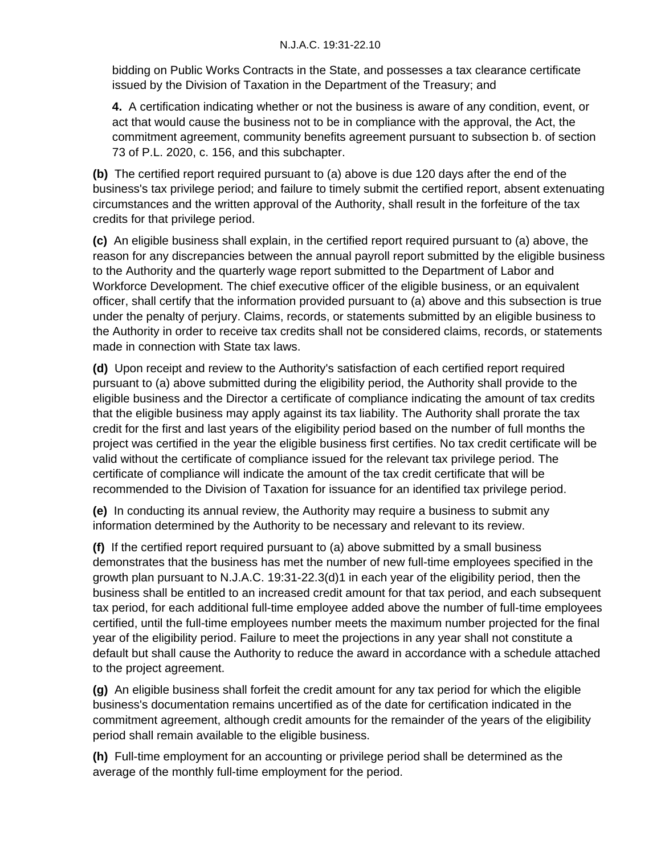bidding on Public Works Contracts in the State, and possesses a tax clearance certificate issued by the Division of Taxation in the Department of the Treasury; and

**4.** A certification indicating whether or not the business is aware of any condition, event, or act that would cause the business not to be in compliance with the approval, the Act, the commitment agreement, community benefits agreement pursuant to subsection b. of section 73 of P.L. 2020, c. 156, and this subchapter.

**(b)** The certified report required pursuant to (a) above is due 120 days after the end of the business's tax privilege period; and failure to timely submit the certified report, absent extenuating circumstances and the written approval of the Authority, shall result in the forfeiture of the tax credits for that privilege period.

**(c)** An eligible business shall explain, in the certified report required pursuant to (a) above, the reason for any discrepancies between the annual payroll report submitted by the eligible business to the Authority and the quarterly wage report submitted to the Department of Labor and Workforce Development. The chief executive officer of the eligible business, or an equivalent officer, shall certify that the information provided pursuant to (a) above and this subsection is true under the penalty of perjury. Claims, records, or statements submitted by an eligible business to the Authority in order to receive tax credits shall not be considered claims, records, or statements made in connection with State tax laws.

**(d)** Upon receipt and review to the Authority's satisfaction of each certified report required pursuant to (a) above submitted during the eligibility period, the Authority shall provide to the eligible business and the Director a certificate of compliance indicating the amount of tax credits that the eligible business may apply against its tax liability. The Authority shall prorate the tax credit for the first and last years of the eligibility period based on the number of full months the project was certified in the year the eligible business first certifies. No tax credit certificate will be valid without the certificate of compliance issued for the relevant tax privilege period. The certificate of compliance will indicate the amount of the tax credit certificate that will be recommended to the Division of Taxation for issuance for an identified tax privilege period.

**(e)** In conducting its annual review, the Authority may require a business to submit any information determined by the Authority to be necessary and relevant to its review.

**(f)** If the certified report required pursuant to (a) above submitted by a small business demonstrates that the business has met the number of new full-time employees specified in the growth plan pursuant to N.J.A.C. 19:31-22.3(d)1 in each year of the eligibility period, then the business shall be entitled to an increased credit amount for that tax period, and each subsequent tax period, for each additional full-time employee added above the number of full-time employees certified, until the full-time employees number meets the maximum number projected for the final year of the eligibility period. Failure to meet the projections in any year shall not constitute a default but shall cause the Authority to reduce the award in accordance with a schedule attached to the project agreement.

**(g)** An eligible business shall forfeit the credit amount for any tax period for which the eligible business's documentation remains uncertified as of the date for certification indicated in the commitment agreement, although credit amounts for the remainder of the years of the eligibility period shall remain available to the eligible business.

**(h)** Full-time employment for an accounting or privilege period shall be determined as the average of the monthly full-time employment for the period.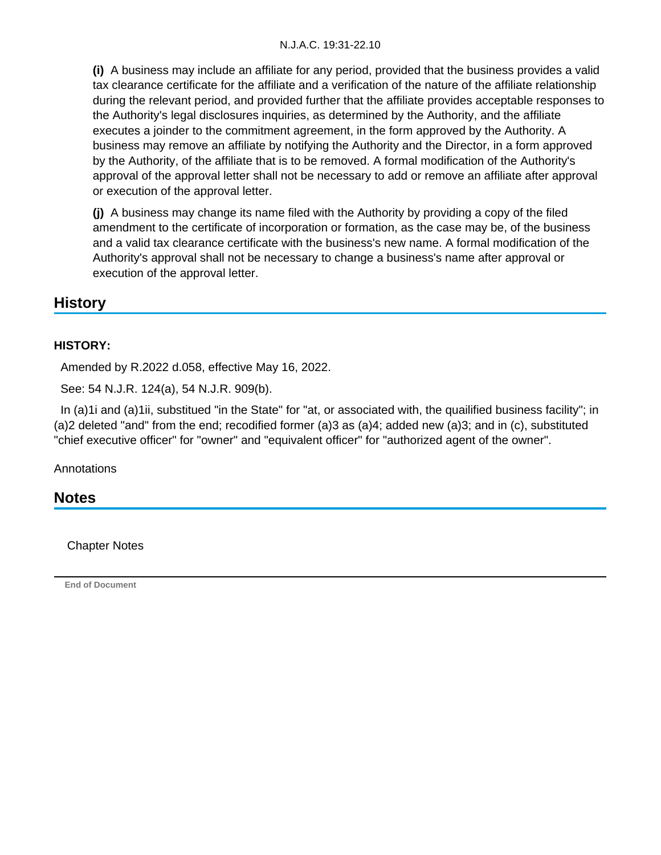**(i)** A business may include an affiliate for any period, provided that the business provides a valid tax clearance certificate for the affiliate and a verification of the nature of the affiliate relationship during the relevant period, and provided further that the affiliate provides acceptable responses to the Authority's legal disclosures inquiries, as determined by the Authority, and the affiliate executes a joinder to the commitment agreement, in the form approved by the Authority. A business may remove an affiliate by notifying the Authority and the Director, in a form approved by the Authority, of the affiliate that is to be removed. A formal modification of the Authority's approval of the approval letter shall not be necessary to add or remove an affiliate after approval or execution of the approval letter.

**(j)** A business may change its name filed with the Authority by providing a copy of the filed amendment to the certificate of incorporation or formation, as the case may be, of the business and a valid tax clearance certificate with the business's new name. A formal modification of the Authority's approval shall not be necessary to change a business's name after approval or execution of the approval letter.

## **History**

#### **HISTORY:**

Amended by R.2022 d.058, effective May 16, 2022.

See: 54 N.J.R. 124(a), 54 N.J.R. 909(b).

In (a)1i and (a)1ii, substitued "in the State" for "at, or associated with, the quailified business facility"; in (a)2 deleted "and" from the end; recodified former (a)3 as (a)4; added new (a)3; and in (c), substituted "chief executive officer" for "owner" and "equivalent officer" for "authorized agent of the owner".

**Annotations** 

**Notes**

Chapter Notes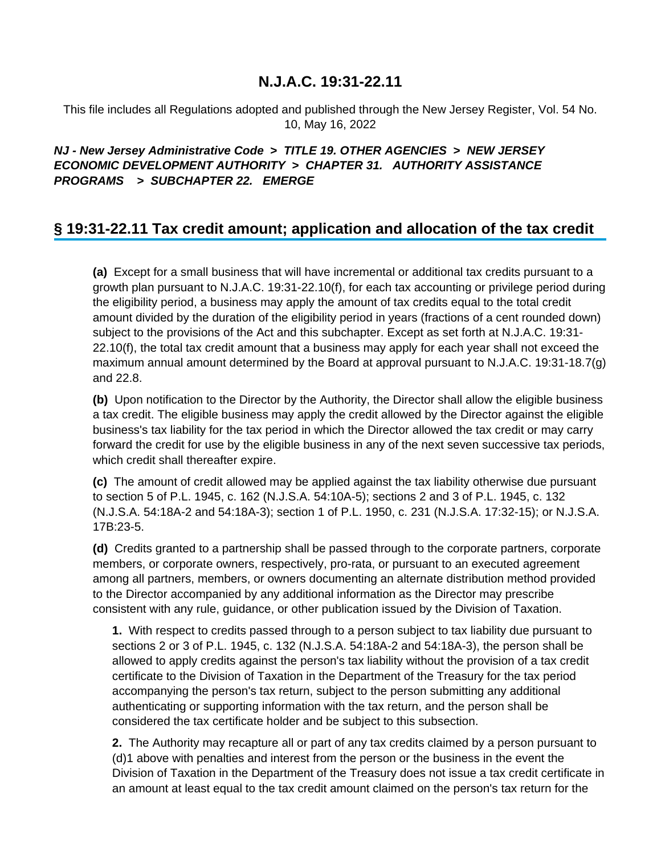This file includes all Regulations adopted and published through the New Jersey Register, Vol. 54 No. 10, May 16, 2022

## **NJ - New Jersey Administrative Code > TITLE 19. OTHER AGENCIES > NEW JERSEY ECONOMIC DEVELOPMENT AUTHORITY > CHAPTER 31. AUTHORITY ASSISTANCE PROGRAMS > SUBCHAPTER 22. EMERGE**

## **§ 19:31-22.11 Tax credit amount; application and allocation of the tax credit**

**(a)** Except for a small business that will have incremental or additional tax credits pursuant to a growth plan pursuant to N.J.A.C. 19:31-22.10(f), for each tax accounting or privilege period during the eligibility period, a business may apply the amount of tax credits equal to the total credit amount divided by the duration of the eligibility period in years (fractions of a cent rounded down) subject to the provisions of the Act and this subchapter. Except as set forth at N.J.A.C. 19:31- 22.10(f), the total tax credit amount that a business may apply for each year shall not exceed the maximum annual amount determined by the Board at approval pursuant to N.J.A.C. 19:31-18.7(g) and 22.8.

**(b)** Upon notification to the Director by the Authority, the Director shall allow the eligible business a tax credit. The eligible business may apply the credit allowed by the Director against the eligible business's tax liability for the tax period in which the Director allowed the tax credit or may carry forward the credit for use by the eligible business in any of the next seven successive tax periods, which credit shall thereafter expire.

**(c)** The amount of credit allowed may be applied against the tax liability otherwise due pursuant to section 5 of P.L. 1945, c. 162 (N.J.S.A. 54:10A-5); sections 2 and 3 of P.L. 1945, c. 132 (N.J.S.A. 54:18A-2 and 54:18A-3); section 1 of P.L. 1950, c. 231 (N.J.S.A. 17:32-15); or N.J.S.A. 17B:23-5.

**(d)** Credits granted to a partnership shall be passed through to the corporate partners, corporate members, or corporate owners, respectively, pro-rata, or pursuant to an executed agreement among all partners, members, or owners documenting an alternate distribution method provided to the Director accompanied by any additional information as the Director may prescribe consistent with any rule, guidance, or other publication issued by the Division of Taxation.

**1.** With respect to credits passed through to a person subject to tax liability due pursuant to sections 2 or 3 of P.L. 1945, c. 132 (N.J.S.A. 54:18A-2 and 54:18A-3), the person shall be allowed to apply credits against the person's tax liability without the provision of a tax credit certificate to the Division of Taxation in the Department of the Treasury for the tax period accompanying the person's tax return, subject to the person submitting any additional authenticating or supporting information with the tax return, and the person shall be considered the tax certificate holder and be subject to this subsection.

**2.** The Authority may recapture all or part of any tax credits claimed by a person pursuant to (d)1 above with penalties and interest from the person or the business in the event the Division of Taxation in the Department of the Treasury does not issue a tax credit certificate in an amount at least equal to the tax credit amount claimed on the person's tax return for the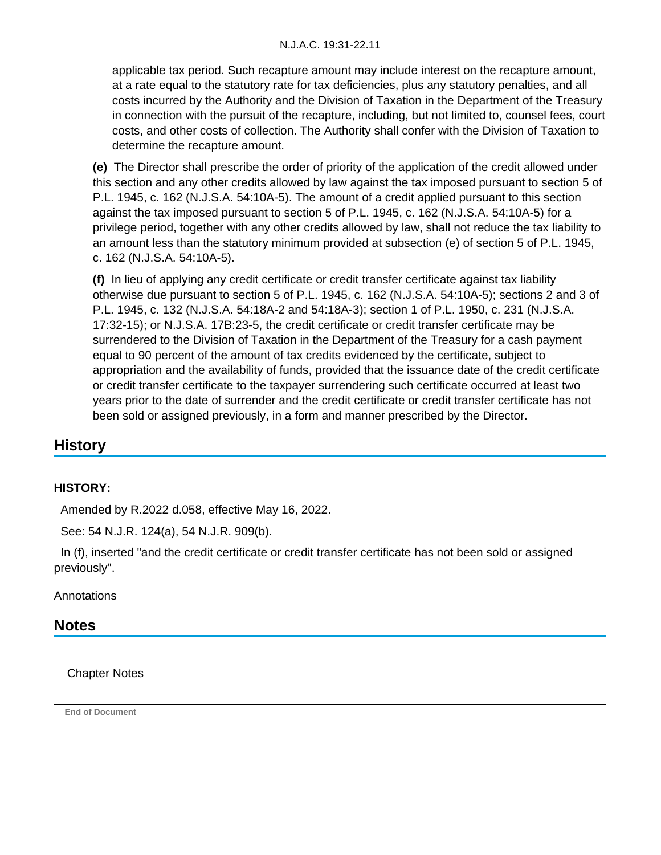applicable tax period. Such recapture amount may include interest on the recapture amount, at a rate equal to the statutory rate for tax deficiencies, plus any statutory penalties, and all costs incurred by the Authority and the Division of Taxation in the Department of the Treasury in connection with the pursuit of the recapture, including, but not limited to, counsel fees, court costs, and other costs of collection. The Authority shall confer with the Division of Taxation to determine the recapture amount.

**(e)** The Director shall prescribe the order of priority of the application of the credit allowed under this section and any other credits allowed by law against the tax imposed pursuant to section 5 of P.L. 1945, c. 162 (N.J.S.A. 54:10A-5). The amount of a credit applied pursuant to this section against the tax imposed pursuant to section 5 of P.L. 1945, c. 162 (N.J.S.A. 54:10A-5) for a privilege period, together with any other credits allowed by law, shall not reduce the tax liability to an amount less than the statutory minimum provided at subsection (e) of section 5 of P.L. 1945, c. 162 (N.J.S.A. 54:10A-5).

**(f)** In lieu of applying any credit certificate or credit transfer certificate against tax liability otherwise due pursuant to section 5 of P.L. 1945, c. 162 (N.J.S.A. 54:10A-5); sections 2 and 3 of P.L. 1945, c. 132 (N.J.S.A. 54:18A-2 and 54:18A-3); section 1 of P.L. 1950, c. 231 (N.J.S.A. 17:32-15); or N.J.S.A. 17B:23-5, the credit certificate or credit transfer certificate may be surrendered to the Division of Taxation in the Department of the Treasury for a cash payment equal to 90 percent of the amount of tax credits evidenced by the certificate, subject to appropriation and the availability of funds, provided that the issuance date of the credit certificate or credit transfer certificate to the taxpayer surrendering such certificate occurred at least two years prior to the date of surrender and the credit certificate or credit transfer certificate has not been sold or assigned previously, in a form and manner prescribed by the Director.

# **History**

#### **HISTORY:**

Amended by R.2022 d.058, effective May 16, 2022.

See: 54 N.J.R. 124(a), 54 N.J.R. 909(b).

 In (f), inserted "and the credit certificate or credit transfer certificate has not been sold or assigned previously".

**Annotations** 

## **Notes**

Chapter Notes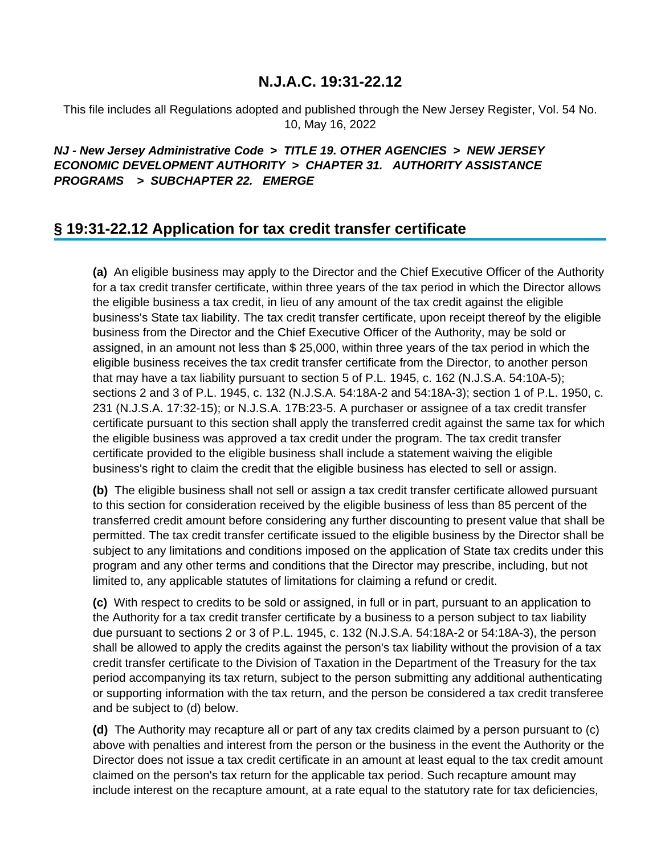This file includes all Regulations adopted and published through the New Jersey Register, Vol. 54 No. 10, May 16, 2022

## **NJ - New Jersey Administrative Code > TITLE 19. OTHER AGENCIES > NEW JERSEY ECONOMIC DEVELOPMENT AUTHORITY > CHAPTER 31. AUTHORITY ASSISTANCE PROGRAMS > SUBCHAPTER 22. EMERGE**

# **§ 19:31-22.12 Application for tax credit transfer certificate**

**(a)** An eligible business may apply to the Director and the Chief Executive Officer of the Authority for a tax credit transfer certificate, within three years of the tax period in which the Director allows the eligible business a tax credit, in lieu of any amount of the tax credit against the eligible business's State tax liability. The tax credit transfer certificate, upon receipt thereof by the eligible business from the Director and the Chief Executive Officer of the Authority, may be sold or assigned, in an amount not less than \$ 25,000, within three years of the tax period in which the eligible business receives the tax credit transfer certificate from the Director, to another person that may have a tax liability pursuant to section 5 of P.L. 1945, c. 162 (N.J.S.A. 54:10A-5); sections 2 and 3 of P.L. 1945, c. 132 (N.J.S.A. 54:18A-2 and 54:18A-3); section 1 of P.L. 1950, c. 231 (N.J.S.A. 17:32-15); or N.J.S.A. 17B:23-5. A purchaser or assignee of a tax credit transfer certificate pursuant to this section shall apply the transferred credit against the same tax for which the eligible business was approved a tax credit under the program. The tax credit transfer certificate provided to the eligible business shall include a statement waiving the eligible business's right to claim the credit that the eligible business has elected to sell or assign.

**(b)** The eligible business shall not sell or assign a tax credit transfer certificate allowed pursuant to this section for consideration received by the eligible business of less than 85 percent of the transferred credit amount before considering any further discounting to present value that shall be permitted. The tax credit transfer certificate issued to the eligible business by the Director shall be subject to any limitations and conditions imposed on the application of State tax credits under this program and any other terms and conditions that the Director may prescribe, including, but not limited to, any applicable statutes of limitations for claiming a refund or credit.

**(c)** With respect to credits to be sold or assigned, in full or in part, pursuant to an application to the Authority for a tax credit transfer certificate by a business to a person subject to tax liability due pursuant to sections 2 or 3 of P.L. 1945, c. 132 (N.J.S.A. 54:18A-2 or 54:18A-3), the person shall be allowed to apply the credits against the person's tax liability without the provision of a tax credit transfer certificate to the Division of Taxation in the Department of the Treasury for the tax period accompanying its tax return, subject to the person submitting any additional authenticating or supporting information with the tax return, and the person be considered a tax credit transferee and be subject to (d) below.

**(d)** The Authority may recapture all or part of any tax credits claimed by a person pursuant to (c) above with penalties and interest from the person or the business in the event the Authority or the Director does not issue a tax credit certificate in an amount at least equal to the tax credit amount claimed on the person's tax return for the applicable tax period. Such recapture amount may include interest on the recapture amount, at a rate equal to the statutory rate for tax deficiencies,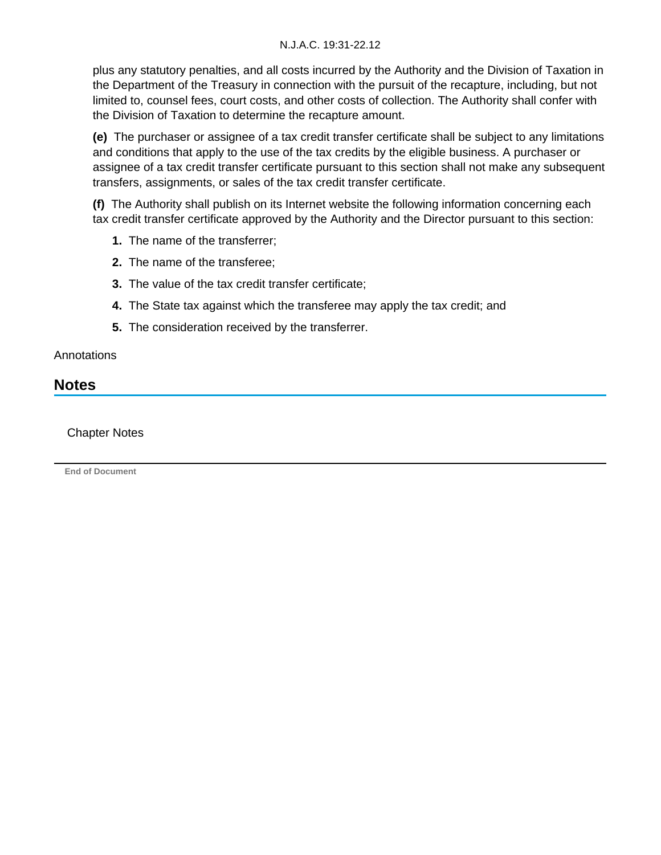plus any statutory penalties, and all costs incurred by the Authority and the Division of Taxation in the Department of the Treasury in connection with the pursuit of the recapture, including, but not limited to, counsel fees, court costs, and other costs of collection. The Authority shall confer with the Division of Taxation to determine the recapture amount.

**(e)** The purchaser or assignee of a tax credit transfer certificate shall be subject to any limitations and conditions that apply to the use of the tax credits by the eligible business. A purchaser or assignee of a tax credit transfer certificate pursuant to this section shall not make any subsequent transfers, assignments, or sales of the tax credit transfer certificate.

**(f)** The Authority shall publish on its Internet website the following information concerning each tax credit transfer certificate approved by the Authority and the Director pursuant to this section:

- **1.** The name of the transferrer;
- **2.** The name of the transferee;
- **3.** The value of the tax credit transfer certificate;
- **4.** The State tax against which the transferee may apply the tax credit; and
- **5.** The consideration received by the transferrer.

#### **Annotations**

## **Notes**

#### Chapter Notes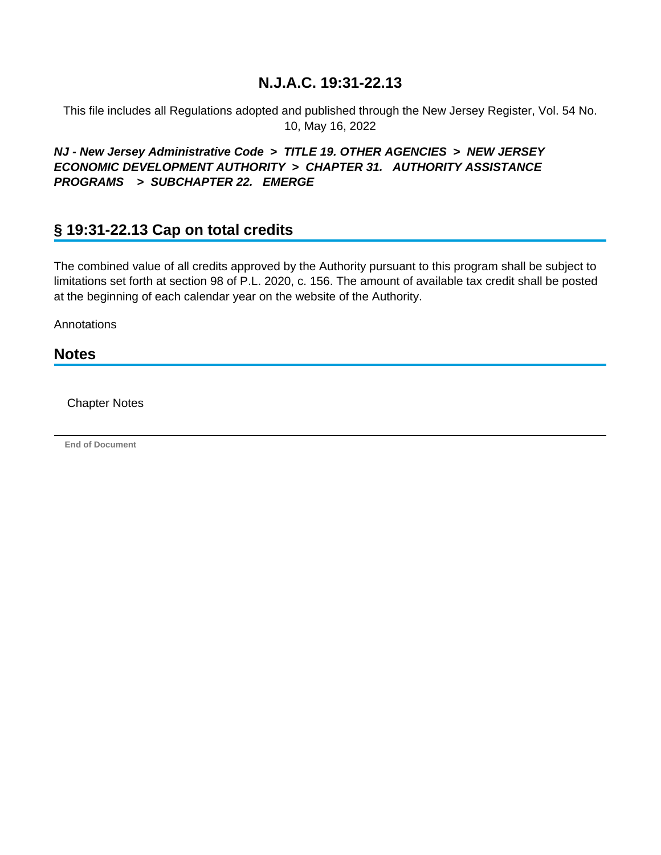This file includes all Regulations adopted and published through the New Jersey Register, Vol. 54 No. 10, May 16, 2022

## **NJ - New Jersey Administrative Code > TITLE 19. OTHER AGENCIES > NEW JERSEY ECONOMIC DEVELOPMENT AUTHORITY > CHAPTER 31. AUTHORITY ASSISTANCE PROGRAMS > SUBCHAPTER 22. EMERGE**

# **§ 19:31-22.13 Cap on total credits**

The combined value of all credits approved by the Authority pursuant to this program shall be subject to limitations set forth at section 98 of P.L. 2020, c. 156. The amount of available tax credit shall be posted at the beginning of each calendar year on the website of the Authority.

Annotations

### **Notes**

Chapter Notes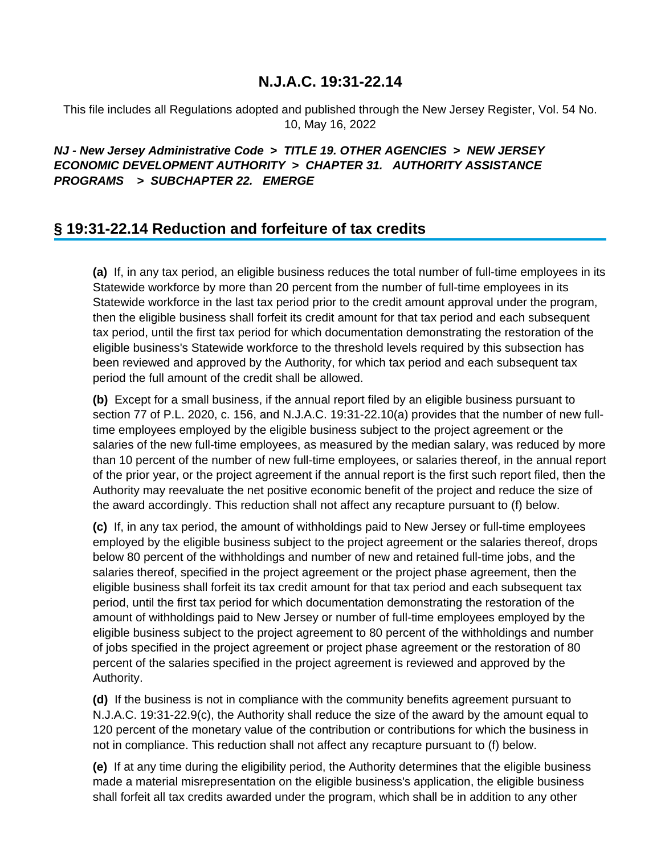This file includes all Regulations adopted and published through the New Jersey Register, Vol. 54 No. 10, May 16, 2022

## **NJ - New Jersey Administrative Code > TITLE 19. OTHER AGENCIES > NEW JERSEY ECONOMIC DEVELOPMENT AUTHORITY > CHAPTER 31. AUTHORITY ASSISTANCE PROGRAMS > SUBCHAPTER 22. EMERGE**

# **§ 19:31-22.14 Reduction and forfeiture of tax credits**

**(a)** If, in any tax period, an eligible business reduces the total number of full-time employees in its Statewide workforce by more than 20 percent from the number of full-time employees in its Statewide workforce in the last tax period prior to the credit amount approval under the program, then the eligible business shall forfeit its credit amount for that tax period and each subsequent tax period, until the first tax period for which documentation demonstrating the restoration of the eligible business's Statewide workforce to the threshold levels required by this subsection has been reviewed and approved by the Authority, for which tax period and each subsequent tax period the full amount of the credit shall be allowed.

**(b)** Except for a small business, if the annual report filed by an eligible business pursuant to section 77 of P.L. 2020, c. 156, and N.J.A.C. 19:31-22.10(a) provides that the number of new fulltime employees employed by the eligible business subject to the project agreement or the salaries of the new full-time employees, as measured by the median salary, was reduced by more than 10 percent of the number of new full-time employees, or salaries thereof, in the annual report of the prior year, or the project agreement if the annual report is the first such report filed, then the Authority may reevaluate the net positive economic benefit of the project and reduce the size of the award accordingly. This reduction shall not affect any recapture pursuant to (f) below.

**(c)** If, in any tax period, the amount of withholdings paid to New Jersey or full-time employees employed by the eligible business subject to the project agreement or the salaries thereof, drops below 80 percent of the withholdings and number of new and retained full-time jobs, and the salaries thereof, specified in the project agreement or the project phase agreement, then the eligible business shall forfeit its tax credit amount for that tax period and each subsequent tax period, until the first tax period for which documentation demonstrating the restoration of the amount of withholdings paid to New Jersey or number of full-time employees employed by the eligible business subject to the project agreement to 80 percent of the withholdings and number of jobs specified in the project agreement or project phase agreement or the restoration of 80 percent of the salaries specified in the project agreement is reviewed and approved by the Authority.

**(d)** If the business is not in compliance with the community benefits agreement pursuant to N.J.A.C. 19:31-22.9(c), the Authority shall reduce the size of the award by the amount equal to 120 percent of the monetary value of the contribution or contributions for which the business in not in compliance. This reduction shall not affect any recapture pursuant to (f) below.

**(e)** If at any time during the eligibility period, the Authority determines that the eligible business made a material misrepresentation on the eligible business's application, the eligible business shall forfeit all tax credits awarded under the program, which shall be in addition to any other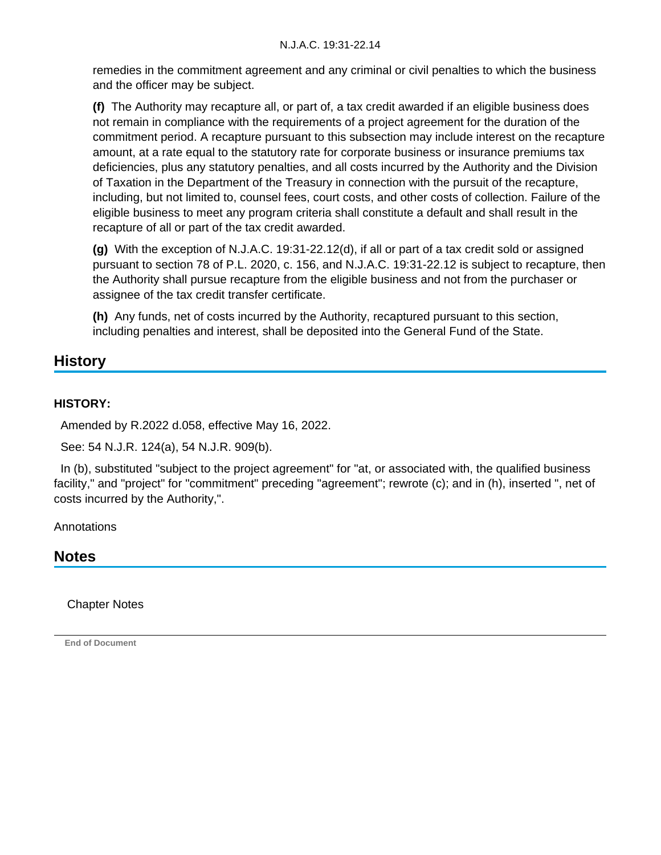remedies in the commitment agreement and any criminal or civil penalties to which the business and the officer may be subject.

**(f)** The Authority may recapture all, or part of, a tax credit awarded if an eligible business does not remain in compliance with the requirements of a project agreement for the duration of the commitment period. A recapture pursuant to this subsection may include interest on the recapture amount, at a rate equal to the statutory rate for corporate business or insurance premiums tax deficiencies, plus any statutory penalties, and all costs incurred by the Authority and the Division of Taxation in the Department of the Treasury in connection with the pursuit of the recapture, including, but not limited to, counsel fees, court costs, and other costs of collection. Failure of the eligible business to meet any program criteria shall constitute a default and shall result in the recapture of all or part of the tax credit awarded.

**(g)** With the exception of N.J.A.C. 19:31-22.12(d), if all or part of a tax credit sold or assigned pursuant to section 78 of P.L. 2020, c. 156, and N.J.A.C. 19:31-22.12 is subject to recapture, then the Authority shall pursue recapture from the eligible business and not from the purchaser or assignee of the tax credit transfer certificate.

**(h)** Any funds, net of costs incurred by the Authority, recaptured pursuant to this section, including penalties and interest, shall be deposited into the General Fund of the State.

# **History**

## **HISTORY:**

Amended by R.2022 d.058, effective May 16, 2022.

See: 54 N.J.R. 124(a), 54 N.J.R. 909(b).

 In (b), substituted "subject to the project agreement" for "at, or associated with, the qualified business facility," and "project" for "commitment" preceding "agreement"; rewrote (c); and in (h), inserted ", net of costs incurred by the Authority,".

**Annotations** 

## **Notes**

Chapter Notes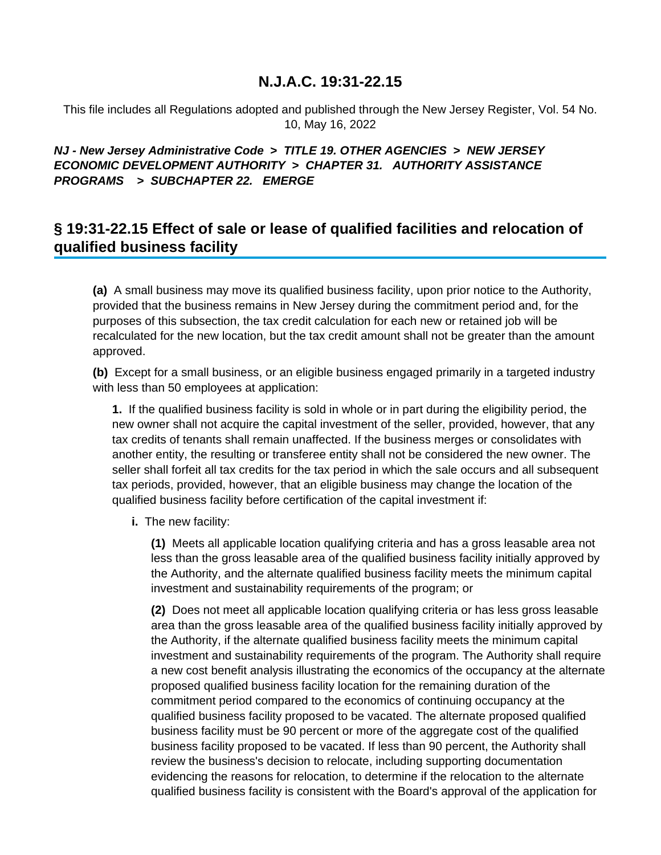This file includes all Regulations adopted and published through the New Jersey Register, Vol. 54 No. 10, May 16, 2022

## **NJ - New Jersey Administrative Code > TITLE 19. OTHER AGENCIES > NEW JERSEY ECONOMIC DEVELOPMENT AUTHORITY > CHAPTER 31. AUTHORITY ASSISTANCE PROGRAMS > SUBCHAPTER 22. EMERGE**

# **§ 19:31-22.15 Effect of sale or lease of qualified facilities and relocation of qualified business facility**

**(a)** A small business may move its qualified business facility, upon prior notice to the Authority, provided that the business remains in New Jersey during the commitment period and, for the purposes of this subsection, the tax credit calculation for each new or retained job will be recalculated for the new location, but the tax credit amount shall not be greater than the amount approved.

**(b)** Except for a small business, or an eligible business engaged primarily in a targeted industry with less than 50 employees at application:

**1.** If the qualified business facility is sold in whole or in part during the eligibility period, the new owner shall not acquire the capital investment of the seller, provided, however, that any tax credits of tenants shall remain unaffected. If the business merges or consolidates with another entity, the resulting or transferee entity shall not be considered the new owner. The seller shall forfeit all tax credits for the tax period in which the sale occurs and all subsequent tax periods, provided, however, that an eligible business may change the location of the qualified business facility before certification of the capital investment if:

#### **i.** The new facility:

**(1)** Meets all applicable location qualifying criteria and has a gross leasable area not less than the gross leasable area of the qualified business facility initially approved by the Authority, and the alternate qualified business facility meets the minimum capital investment and sustainability requirements of the program; or

**(2)** Does not meet all applicable location qualifying criteria or has less gross leasable area than the gross leasable area of the qualified business facility initially approved by the Authority, if the alternate qualified business facility meets the minimum capital investment and sustainability requirements of the program. The Authority shall require a new cost benefit analysis illustrating the economics of the occupancy at the alternate proposed qualified business facility location for the remaining duration of the commitment period compared to the economics of continuing occupancy at the qualified business facility proposed to be vacated. The alternate proposed qualified business facility must be 90 percent or more of the aggregate cost of the qualified business facility proposed to be vacated. If less than 90 percent, the Authority shall review the business's decision to relocate, including supporting documentation evidencing the reasons for relocation, to determine if the relocation to the alternate qualified business facility is consistent with the Board's approval of the application for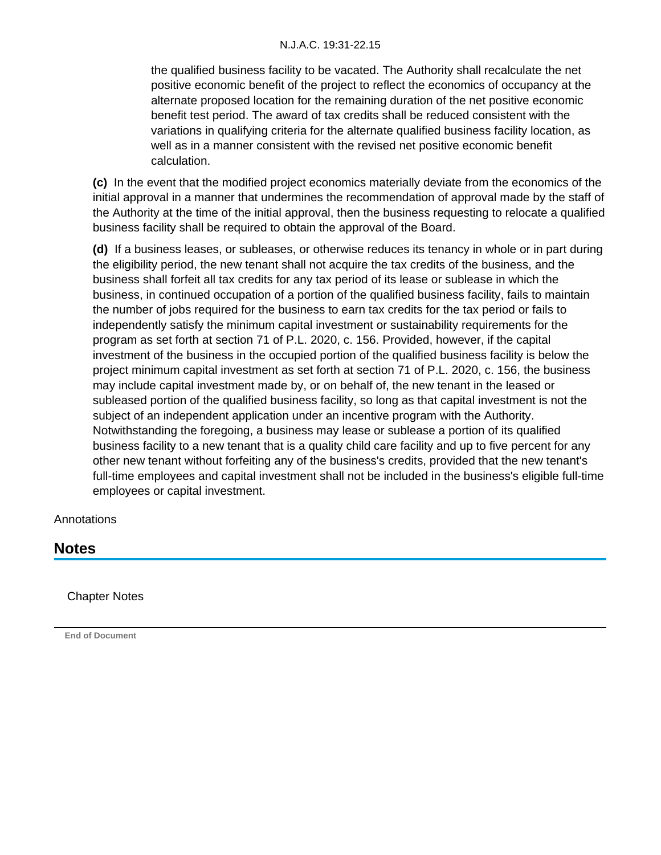the qualified business facility to be vacated. The Authority shall recalculate the net positive economic benefit of the project to reflect the economics of occupancy at the alternate proposed location for the remaining duration of the net positive economic benefit test period. The award of tax credits shall be reduced consistent with the variations in qualifying criteria for the alternate qualified business facility location, as well as in a manner consistent with the revised net positive economic benefit calculation.

**(c)** In the event that the modified project economics materially deviate from the economics of the initial approval in a manner that undermines the recommendation of approval made by the staff of the Authority at the time of the initial approval, then the business requesting to relocate a qualified business facility shall be required to obtain the approval of the Board.

**(d)** If a business leases, or subleases, or otherwise reduces its tenancy in whole or in part during the eligibility period, the new tenant shall not acquire the tax credits of the business, and the business shall forfeit all tax credits for any tax period of its lease or sublease in which the business, in continued occupation of a portion of the qualified business facility, fails to maintain the number of jobs required for the business to earn tax credits for the tax period or fails to independently satisfy the minimum capital investment or sustainability requirements for the program as set forth at section 71 of P.L. 2020, c. 156. Provided, however, if the capital investment of the business in the occupied portion of the qualified business facility is below the project minimum capital investment as set forth at section 71 of P.L. 2020, c. 156, the business may include capital investment made by, or on behalf of, the new tenant in the leased or subleased portion of the qualified business facility, so long as that capital investment is not the subject of an independent application under an incentive program with the Authority. Notwithstanding the foregoing, a business may lease or sublease a portion of its qualified business facility to a new tenant that is a quality child care facility and up to five percent for any other new tenant without forfeiting any of the business's credits, provided that the new tenant's full-time employees and capital investment shall not be included in the business's eligible full-time employees or capital investment.

**Annotations** 

# **Notes**

Chapter Notes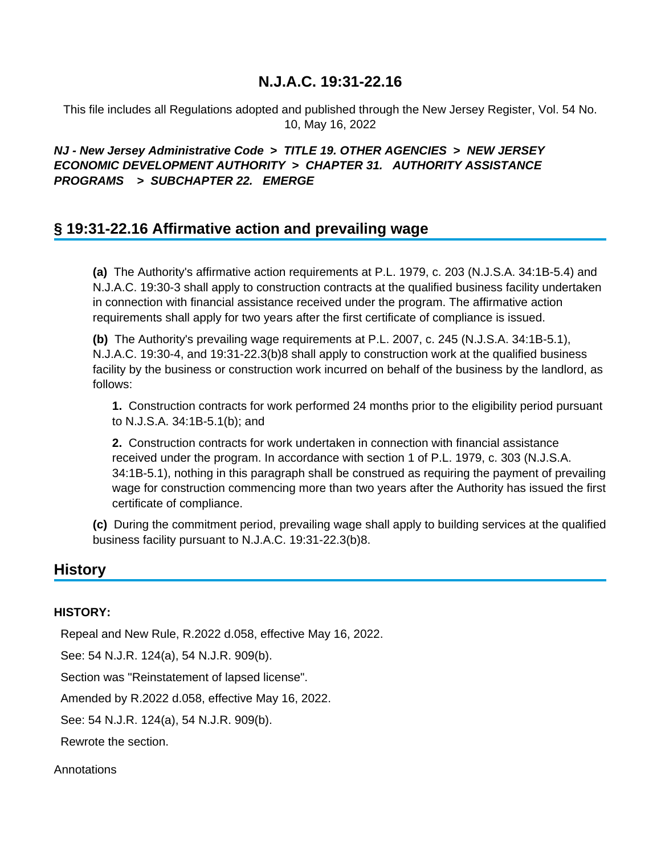This file includes all Regulations adopted and published through the New Jersey Register, Vol. 54 No. 10, May 16, 2022

### **NJ - New Jersey Administrative Code > TITLE 19. OTHER AGENCIES > NEW JERSEY ECONOMIC DEVELOPMENT AUTHORITY > CHAPTER 31. AUTHORITY ASSISTANCE PROGRAMS > SUBCHAPTER 22. EMERGE**

# **§ 19:31-22.16 Affirmative action and prevailing wage**

**(a)** The Authority's affirmative action requirements at P.L. 1979, c. 203 (N.J.S.A. 34:1B-5.4) and N.J.A.C. 19:30-3 shall apply to construction contracts at the qualified business facility undertaken in connection with financial assistance received under the program. The affirmative action requirements shall apply for two years after the first certificate of compliance is issued.

**(b)** The Authority's prevailing wage requirements at P.L. 2007, c. 245 (N.J.S.A. 34:1B-5.1), N.J.A.C. 19:30-4, and 19:31-22.3(b)8 shall apply to construction work at the qualified business facility by the business or construction work incurred on behalf of the business by the landlord, as follows:

**1.** Construction contracts for work performed 24 months prior to the eligibility period pursuant to N.J.S.A. 34:1B-5.1(b); and

**2.** Construction contracts for work undertaken in connection with financial assistance received under the program. In accordance with section 1 of P.L. 1979, c. 303 (N.J.S.A. 34:1B-5.1), nothing in this paragraph shall be construed as requiring the payment of prevailing wage for construction commencing more than two years after the Authority has issued the first certificate of compliance.

**(c)** During the commitment period, prevailing wage shall apply to building services at the qualified business facility pursuant to N.J.A.C. 19:31-22.3(b)8.

## **History**

#### **HISTORY:**

Repeal and New Rule, R.2022 d.058, effective May 16, 2022.

See: 54 N.J.R. 124(a), 54 N.J.R. 909(b).

Section was "Reinstatement of lapsed license".

Amended by R.2022 d.058, effective May 16, 2022.

See: 54 N.J.R. 124(a), 54 N.J.R. 909(b).

Rewrote the section.

**Annotations**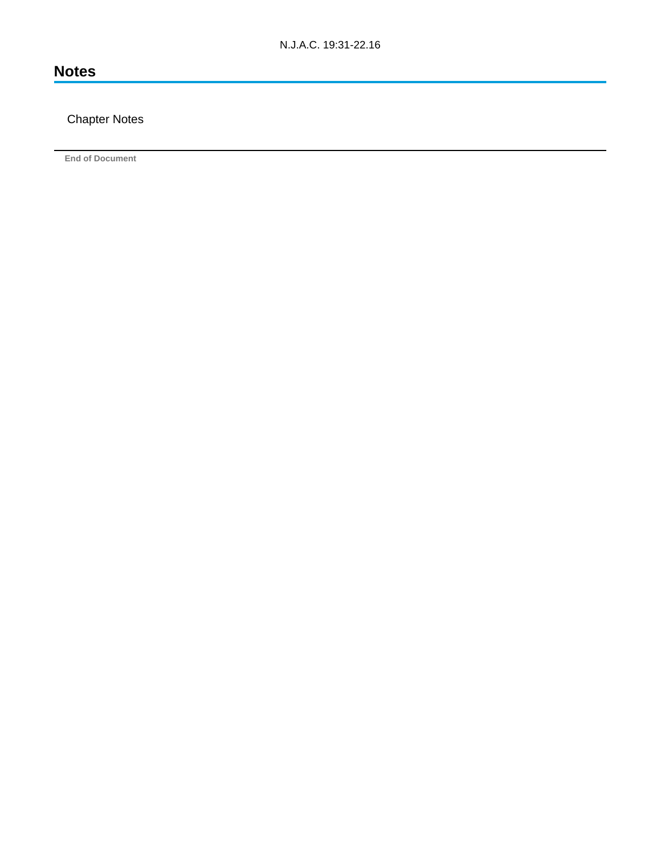# **Notes**

## Chapter Notes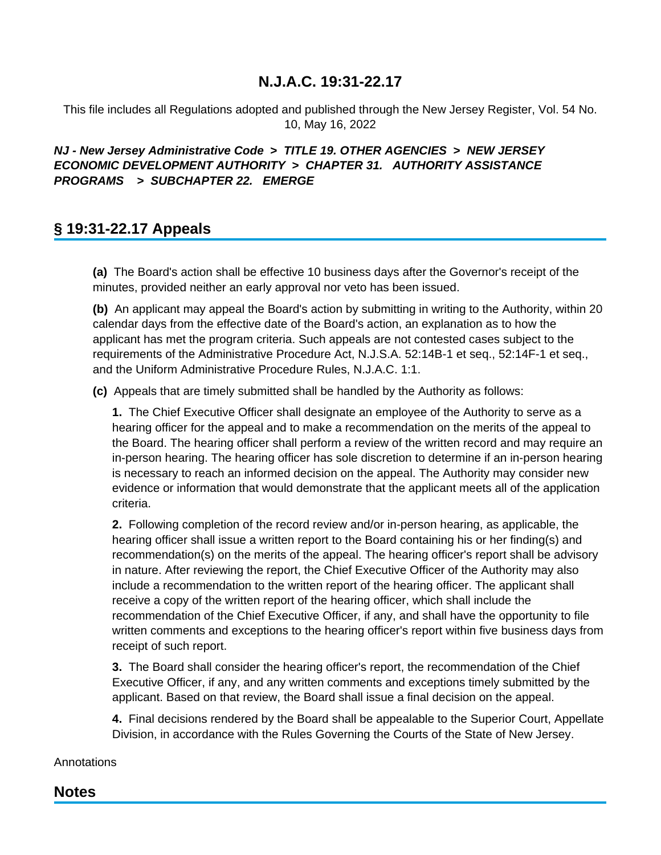This file includes all Regulations adopted and published through the New Jersey Register, Vol. 54 No. 10, May 16, 2022

## **NJ - New Jersey Administrative Code > TITLE 19. OTHER AGENCIES > NEW JERSEY ECONOMIC DEVELOPMENT AUTHORITY > CHAPTER 31. AUTHORITY ASSISTANCE PROGRAMS > SUBCHAPTER 22. EMERGE**

# **§ 19:31-22.17 Appeals**

**(a)** The Board's action shall be effective 10 business days after the Governor's receipt of the minutes, provided neither an early approval nor veto has been issued.

**(b)** An applicant may appeal the Board's action by submitting in writing to the Authority, within 20 calendar days from the effective date of the Board's action, an explanation as to how the applicant has met the program criteria. Such appeals are not contested cases subject to the requirements of the Administrative Procedure Act, N.J.S.A. 52:14B-1 et seq., 52:14F-1 et seq., and the Uniform Administrative Procedure Rules, N.J.A.C. 1:1.

**(c)** Appeals that are timely submitted shall be handled by the Authority as follows:

**1.** The Chief Executive Officer shall designate an employee of the Authority to serve as a hearing officer for the appeal and to make a recommendation on the merits of the appeal to the Board. The hearing officer shall perform a review of the written record and may require an in-person hearing. The hearing officer has sole discretion to determine if an in-person hearing is necessary to reach an informed decision on the appeal. The Authority may consider new evidence or information that would demonstrate that the applicant meets all of the application criteria.

**2.** Following completion of the record review and/or in-person hearing, as applicable, the hearing officer shall issue a written report to the Board containing his or her finding(s) and recommendation(s) on the merits of the appeal. The hearing officer's report shall be advisory in nature. After reviewing the report, the Chief Executive Officer of the Authority may also include a recommendation to the written report of the hearing officer. The applicant shall receive a copy of the written report of the hearing officer, which shall include the recommendation of the Chief Executive Officer, if any, and shall have the opportunity to file written comments and exceptions to the hearing officer's report within five business days from receipt of such report.

**3.** The Board shall consider the hearing officer's report, the recommendation of the Chief Executive Officer, if any, and any written comments and exceptions timely submitted by the applicant. Based on that review, the Board shall issue a final decision on the appeal.

**4.** Final decisions rendered by the Board shall be appealable to the Superior Court, Appellate Division, in accordance with the Rules Governing the Courts of the State of New Jersey.

### **Annotations**

## **Notes**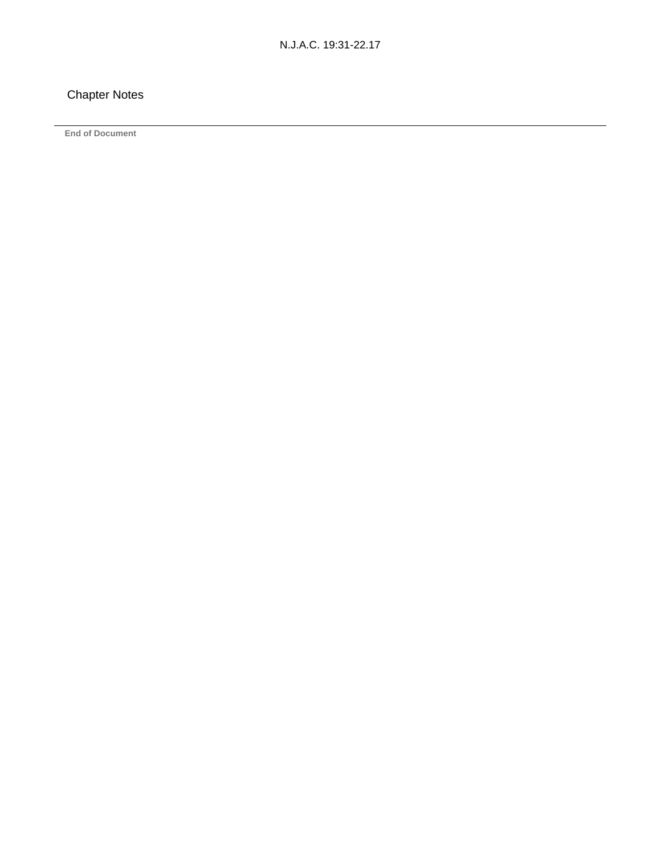## Chapter Notes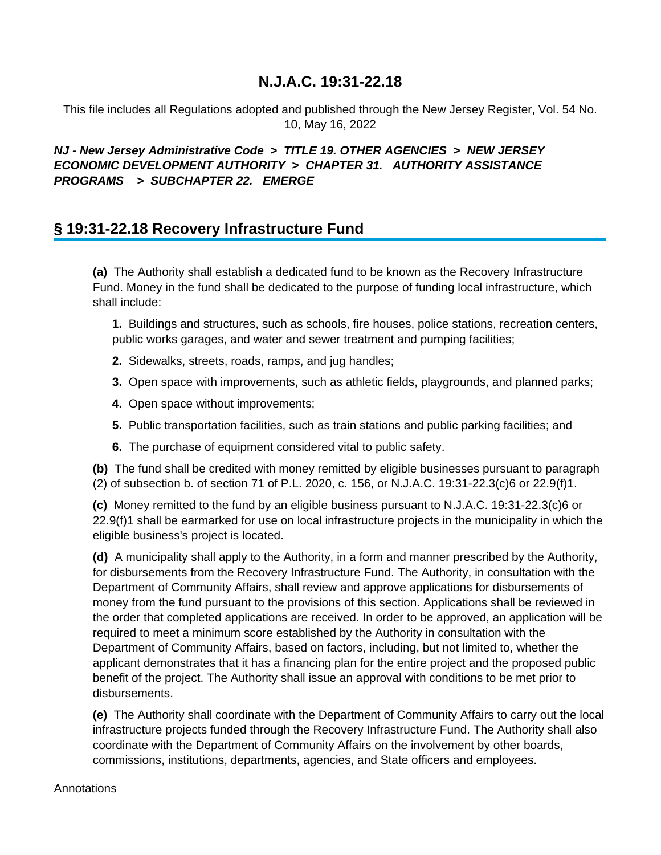This file includes all Regulations adopted and published through the New Jersey Register, Vol. 54 No. 10, May 16, 2022

## **NJ - New Jersey Administrative Code > TITLE 19. OTHER AGENCIES > NEW JERSEY ECONOMIC DEVELOPMENT AUTHORITY > CHAPTER 31. AUTHORITY ASSISTANCE PROGRAMS > SUBCHAPTER 22. EMERGE**

# **§ 19:31-22.18 Recovery Infrastructure Fund**

**(a)** The Authority shall establish a dedicated fund to be known as the Recovery Infrastructure Fund. Money in the fund shall be dedicated to the purpose of funding local infrastructure, which shall include:

**1.** Buildings and structures, such as schools, fire houses, police stations, recreation centers, public works garages, and water and sewer treatment and pumping facilities;

- **2.** Sidewalks, streets, roads, ramps, and jug handles;
- **3.** Open space with improvements, such as athletic fields, playgrounds, and planned parks;
- **4.** Open space without improvements;
- **5.** Public transportation facilities, such as train stations and public parking facilities; and
- **6.** The purchase of equipment considered vital to public safety.

**(b)** The fund shall be credited with money remitted by eligible businesses pursuant to paragraph (2) of subsection b. of section 71 of P.L. 2020, c. 156, or N.J.A.C. 19:31-22.3(c)6 or 22.9(f)1.

**(c)** Money remitted to the fund by an eligible business pursuant to N.J.A.C. 19:31-22.3(c)6 or 22.9(f)1 shall be earmarked for use on local infrastructure projects in the municipality in which the eligible business's project is located.

**(d)** A municipality shall apply to the Authority, in a form and manner prescribed by the Authority, for disbursements from the Recovery Infrastructure Fund. The Authority, in consultation with the Department of Community Affairs, shall review and approve applications for disbursements of money from the fund pursuant to the provisions of this section. Applications shall be reviewed in the order that completed applications are received. In order to be approved, an application will be required to meet a minimum score established by the Authority in consultation with the Department of Community Affairs, based on factors, including, but not limited to, whether the applicant demonstrates that it has a financing plan for the entire project and the proposed public benefit of the project. The Authority shall issue an approval with conditions to be met prior to disbursements.

**(e)** The Authority shall coordinate with the Department of Community Affairs to carry out the local infrastructure projects funded through the Recovery Infrastructure Fund. The Authority shall also coordinate with the Department of Community Affairs on the involvement by other boards, commissions, institutions, departments, agencies, and State officers and employees.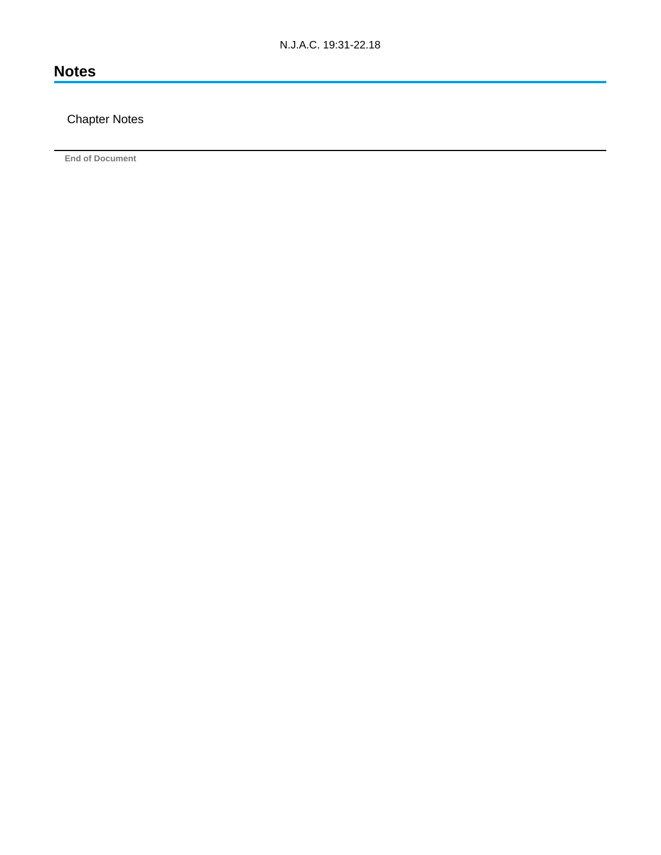# **Notes**

## Chapter Notes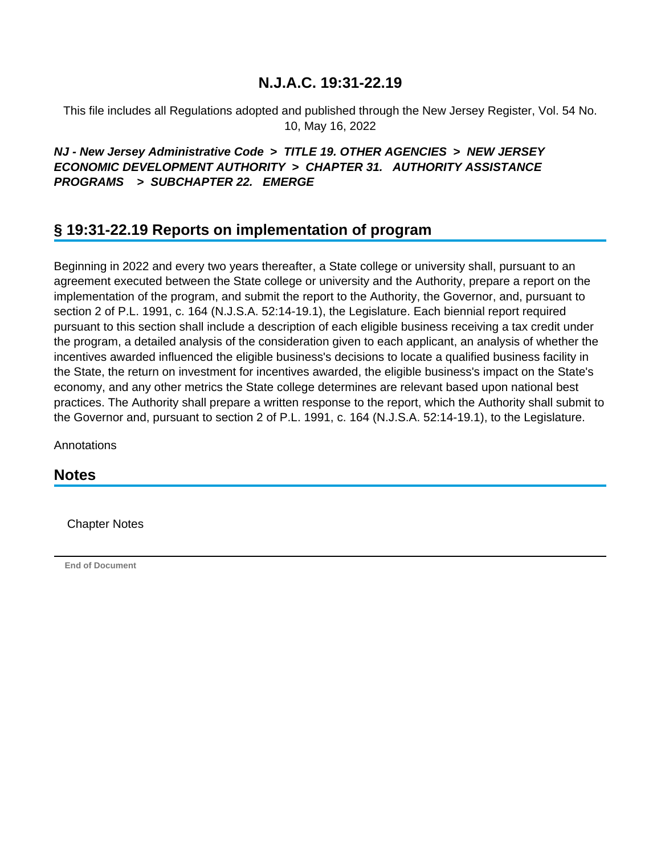This file includes all Regulations adopted and published through the New Jersey Register, Vol. 54 No. 10, May 16, 2022

### **NJ - New Jersey Administrative Code > TITLE 19. OTHER AGENCIES > NEW JERSEY ECONOMIC DEVELOPMENT AUTHORITY > CHAPTER 31. AUTHORITY ASSISTANCE PROGRAMS > SUBCHAPTER 22. EMERGE**

# **§ 19:31-22.19 Reports on implementation of program**

Beginning in 2022 and every two years thereafter, a State college or university shall, pursuant to an agreement executed between the State college or university and the Authority, prepare a report on the implementation of the program, and submit the report to the Authority, the Governor, and, pursuant to section 2 of P.L. 1991, c. 164 (N.J.S.A. 52:14-19.1), the Legislature. Each biennial report required pursuant to this section shall include a description of each eligible business receiving a tax credit under the program, a detailed analysis of the consideration given to each applicant, an analysis of whether the incentives awarded influenced the eligible business's decisions to locate a qualified business facility in the State, the return on investment for incentives awarded, the eligible business's impact on the State's economy, and any other metrics the State college determines are relevant based upon national best practices. The Authority shall prepare a written response to the report, which the Authority shall submit to the Governor and, pursuant to section 2 of P.L. 1991, c. 164 (N.J.S.A. 52:14-19.1), to the Legislature.

**Annotations** 

**Notes**

Chapter Notes